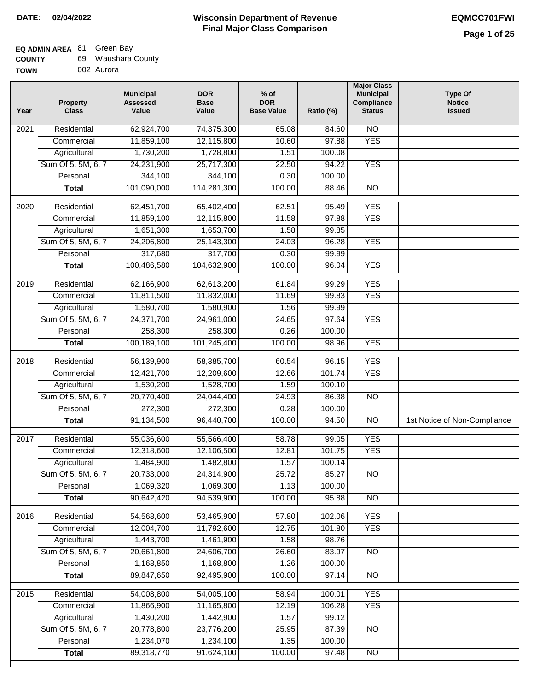| <b>COUNTY</b> | 69 Waushara County |
|---------------|--------------------|
| <b>TOWN</b>   | 002 Aurora         |

| .  |            |  |
|----|------------|--|
| ٧Ν | 002 Aurora |  |
|    |            |  |

| N <sub>O</sub><br>Residential<br>62,924,700<br>74,375,300<br>2021<br>65.08<br>84.60                 |                              |
|-----------------------------------------------------------------------------------------------------|------------------------------|
|                                                                                                     |                              |
| <b>YES</b><br>11,859,100<br>12,115,800<br>10.60<br>97.88<br>Commercial                              |                              |
| Agricultural<br>1,730,200<br>1,728,800<br>100.08<br>1.51                                            |                              |
| Sum Of 5, 5M, 6, 7<br>25,717,300<br>94.22<br><b>YES</b><br>24,231,900<br>22.50                      |                              |
| Personal<br>344,100<br>344,100<br>0.30<br>100.00                                                    |                              |
| 101,090,000<br>114,281,300<br>100.00<br>88.46<br>$\overline{NO}$<br><b>Total</b>                    |                              |
| <b>YES</b><br>$\overline{2020}$<br>Residential<br>62,451,700<br>65,402,400<br>95.49<br>62.51        |                              |
| 11.58<br><b>YES</b><br>Commercial<br>11,859,100<br>12,115,800<br>97.88                              |                              |
| 1,653,700<br>1.58<br>Agricultural<br>1,651,300<br>99.85                                             |                              |
| Sum Of 5, 5M, 6, 7<br>25,143,300<br>96.28<br><b>YES</b><br>24,206,800<br>24.03                      |                              |
| 317,700<br>99.99<br>Personal<br>317,680<br>0.30                                                     |                              |
| 100,486,580<br><b>YES</b><br><b>Total</b><br>104,632,900<br>100.00<br>96.04                         |                              |
| <b>YES</b><br>Residential<br>$\frac{1}{2019}$<br>62,166,900<br>62,613,200<br>61.84<br>99.29         |                              |
| 99.83<br><b>YES</b><br>Commercial<br>11,811,500<br>11,832,000<br>11.69                              |                              |
| 1.56<br>Agricultural<br>1,580,700<br>1,580,900<br>99.99                                             |                              |
| Sum Of 5, 5M, 6, 7<br><b>YES</b><br>24,371,700<br>24,961,000<br>24.65<br>97.64                      |                              |
| 258,300<br>258,300<br>Personal<br>0.26<br>100.00                                                    |                              |
| <b>YES</b><br>100,189,100<br>101,245,400<br>100.00<br>98.96<br><b>Total</b>                         |                              |
| <b>YES</b><br>2018<br>Residential<br>60.54<br>96.15                                                 |                              |
| 56,139,900<br>58,385,700<br>101.74<br><b>YES</b><br>12,421,700<br>12,209,600<br>12.66<br>Commercial |                              |
| 1.59<br>1,530,200<br>1,528,700<br>100.10<br>Agricultural                                            |                              |
| Sum Of 5, 5M, 6, 7<br>20,770,400<br>24,044,400<br>24.93<br>86.38<br>$\overline{10}$                 |                              |
| 272,300<br>272,300<br>0.28<br>100.00<br>Personal                                                    |                              |
| 100.00<br><b>NO</b><br>91,134,500<br>96,440,700<br>94.50<br><b>Total</b>                            | 1st Notice of Non-Compliance |
|                                                                                                     |                              |
| 2017<br>Residential<br>55,036,600<br>55,566,400<br>58.78<br>99.05<br><b>YES</b>                     |                              |
| <b>YES</b><br>12,318,600<br>12,106,500<br>12.81<br>101.75<br>Commercial                             |                              |
| 1,484,900<br>1,482,800<br>1.57<br>100.14<br>Agricultural                                            |                              |
| Sum Of 5, 5M, 6, 7<br>20,733,000<br>24,314,900<br>25.72<br>85.27<br>NO.                             |                              |
| Personal<br>1,069,320<br>1,069,300<br>1.13<br>100.00                                                |                              |
| 90,642,420<br>94,539,900<br>100.00<br><b>NO</b><br>95.88<br><b>Total</b>                            |                              |
| <b>YES</b><br>Residential<br>54,568,600<br>53,465,900<br>57.80<br>102.06<br>2016                    |                              |
| 12,004,700<br>12.75<br><b>YES</b><br>Commercial<br>11,792,600<br>101.80                             |                              |
| 1,461,900<br>Agricultural<br>1,443,700<br>1.58<br>98.76                                             |                              |
| 83.97<br>Sum Of 5, 5M, 6, 7<br>20,661,800<br>24,606,700<br>26.60<br>$\overline{NO}$                 |                              |
| Personal<br>1,168,850<br>1,168,800<br>1.26<br>100.00                                                |                              |
| <b>Total</b><br>89,847,650<br>92,495,900<br>100.00<br>97.14<br>N <sub>O</sub>                       |                              |
| <b>YES</b><br>Residential<br>54,008,800<br>54,005,100<br>2015<br>58.94<br>100.01                    |                              |
| 12.19<br><b>YES</b><br>11,866,900<br>11,165,800<br>106.28<br>Commercial                             |                              |
| 99.12<br>Agricultural<br>1,430,200<br>1,442,900<br>1.57                                             |                              |
| Sum Of 5, 5M, 6, 7<br>20,778,800<br>23,776,200<br>87.39<br>$\overline{NO}$<br>25.95                 |                              |
| Personal<br>1,234,070<br>1,234,100<br>1.35<br>100.00                                                |                              |
| 89,318,770<br>91,624,100<br>100.00<br>97.48<br>$\overline{NO}$<br><b>Total</b>                      |                              |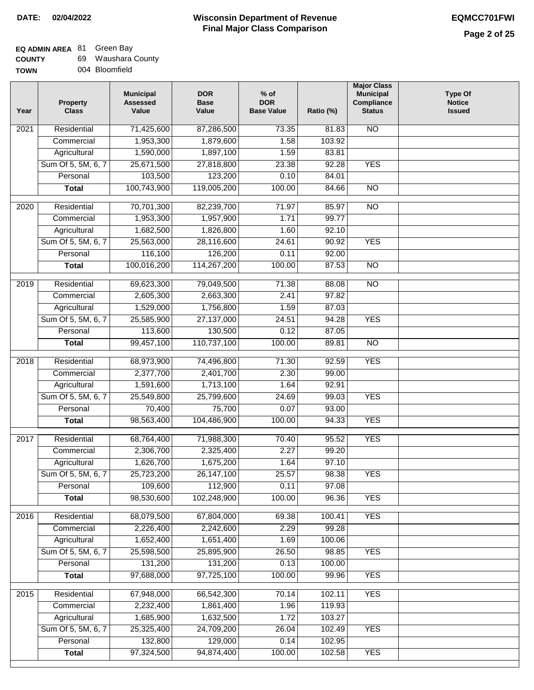| <b>COUNTY</b> | 69 Waushara County |
|---------------|--------------------|
| <b>TOWN</b>   | 004 Bloomfield     |

|  | 004 Bloomfield |
|--|----------------|
|  |                |

| Year              | <b>Property</b><br><b>Class</b> | <b>Municipal</b><br><b>Assessed</b><br>Value | <b>DOR</b><br><b>Base</b><br>Value | $%$ of<br><b>DOR</b><br><b>Base Value</b> | Ratio (%) | <b>Major Class</b><br><b>Municipal</b><br>Compliance<br><b>Status</b> | <b>Type Of</b><br><b>Notice</b><br><b>Issued</b> |
|-------------------|---------------------------------|----------------------------------------------|------------------------------------|-------------------------------------------|-----------|-----------------------------------------------------------------------|--------------------------------------------------|
| 2021              | Residential                     | 71,425,600                                   | 87,286,500                         | 73.35                                     | 81.83     | $\overline{NO}$                                                       |                                                  |
|                   | Commercial                      | 1,953,300                                    | 1,879,600                          | 1.58                                      | 103.92    |                                                                       |                                                  |
|                   | Agricultural                    | 1,590,000                                    | 1,897,100                          | 1.59                                      | 83.81     |                                                                       |                                                  |
|                   | Sum Of 5, 5M, 6, 7              | 25,671,500                                   | 27,818,800                         | 23.38                                     | 92.28     | <b>YES</b>                                                            |                                                  |
|                   | Personal                        | 103,500                                      | 123,200                            | 0.10                                      | 84.01     |                                                                       |                                                  |
|                   | <b>Total</b>                    | 100,743,900                                  | 119,005,200                        | 100.00                                    | 84.66     | $\overline{NO}$                                                       |                                                  |
| 2020              | Residential                     | 70,701,300                                   | 82,239,700                         | 71.97                                     | 85.97     | NO                                                                    |                                                  |
|                   | Commercial                      | 1,953,300                                    | 1,957,900                          | 1.71                                      | 99.77     |                                                                       |                                                  |
|                   | Agricultural                    | 1,682,500                                    | 1,826,800                          | 1.60                                      | 92.10     |                                                                       |                                                  |
|                   | Sum Of 5, 5M, 6, 7              | 25,563,000                                   | 28,116,600                         | 24.61                                     | 90.92     | <b>YES</b>                                                            |                                                  |
|                   | Personal                        | 116,100                                      | 126,200                            | 0.11                                      | 92.00     |                                                                       |                                                  |
|                   | <b>Total</b>                    | 100,016,200                                  | 114,267,200                        | 100.00                                    | 87.53     | $\overline{NO}$                                                       |                                                  |
| 2019              | Residential                     | 69,623,300                                   | 79,049,500                         | 71.38                                     | 88.08     | <b>NO</b>                                                             |                                                  |
|                   | Commercial                      | 2,605,300                                    | 2,663,300                          | 2.41                                      | 97.82     |                                                                       |                                                  |
|                   | Agricultural                    | 1,529,000                                    | 1,756,800                          | 1.59                                      | 87.03     |                                                                       |                                                  |
|                   | Sum Of 5, 5M, 6, 7              | 25,585,900                                   | 27,137,000                         | 24.51                                     | 94.28     | <b>YES</b>                                                            |                                                  |
|                   | Personal                        | 113,600                                      | 130,500                            | 0.12                                      | 87.05     |                                                                       |                                                  |
|                   | <b>Total</b>                    | 99,457,100                                   | 110,737,100                        | 100.00                                    | 89.81     | $\overline{NO}$                                                       |                                                  |
| 2018              | Residential                     | 68,973,900                                   | 74,496,800                         | 71.30                                     | 92.59     | <b>YES</b>                                                            |                                                  |
|                   | Commercial                      | 2,377,700                                    | 2,401,700                          | 2.30                                      | 99.00     |                                                                       |                                                  |
|                   | Agricultural                    | 1,591,600                                    | 1,713,100                          | 1.64                                      | 92.91     |                                                                       |                                                  |
|                   | Sum Of 5, 5M, 6, 7              | 25,549,800                                   | 25,799,600                         | 24.69                                     | 99.03     | <b>YES</b>                                                            |                                                  |
|                   | Personal                        | 70,400                                       | 75,700                             | 0.07                                      | 93.00     |                                                                       |                                                  |
|                   | <b>Total</b>                    | 98,563,400                                   | 104,486,900                        | 100.00                                    | 94.33     | <b>YES</b>                                                            |                                                  |
|                   |                                 |                                              |                                    |                                           |           |                                                                       |                                                  |
| 2017              | Residential                     | 68,764,400                                   | 71,988,300                         | 70.40                                     | 95.52     | <b>YES</b>                                                            |                                                  |
|                   | Commercial                      | 2,306,700                                    | 2,325,400                          | 2.27                                      | 99.20     |                                                                       |                                                  |
|                   | Agricultural                    | 1,626,700                                    | 1,675,200                          | 1.64                                      | 97.10     |                                                                       |                                                  |
|                   | Sum Of 5, 5M, 6, 7              | 25,723,200                                   | 26,147,100                         | 25.57                                     | 98.38     | YES                                                                   |                                                  |
|                   | Personal                        | 109,600                                      | 112,900                            | 0.11                                      | 97.08     |                                                                       |                                                  |
|                   | <b>Total</b>                    | 98,530,600                                   | 102,248,900                        | 100.00                                    | 96.36     | <b>YES</b>                                                            |                                                  |
| 2016              | Residential                     | 68,079,500                                   | 67,804,000                         | 69.38                                     | 100.41    | <b>YES</b>                                                            |                                                  |
|                   | Commercial                      | 2,226,400                                    | 2,242,600                          | 2.29                                      | 99.28     |                                                                       |                                                  |
|                   | Agricultural                    | 1,652,400                                    | 1,651,400                          | 1.69                                      | 100.06    |                                                                       |                                                  |
|                   | Sum Of 5, 5M, 6, 7              | 25,598,500                                   | 25,895,900                         | 26.50                                     | 98.85     | <b>YES</b>                                                            |                                                  |
|                   | Personal                        | 131,200                                      | 131,200                            | 0.13                                      | 100.00    |                                                                       |                                                  |
|                   | <b>Total</b>                    | 97,688,000                                   | 97,725,100                         | 100.00                                    | 99.96     | <b>YES</b>                                                            |                                                  |
| $\overline{2015}$ | Residential                     | 67,948,000                                   | 66,542,300                         | 70.14                                     | 102.11    | <b>YES</b>                                                            |                                                  |
|                   | Commercial                      | 2,232,400                                    | 1,861,400                          | 1.96                                      | 119.93    |                                                                       |                                                  |
|                   | Agricultural                    | 1,685,900                                    | 1,632,500                          | 1.72                                      | 103.27    |                                                                       |                                                  |
|                   | Sum Of 5, 5M, 6, 7              | 25,325,400                                   | 24,709,200                         | 26.04                                     | 102.49    | <b>YES</b>                                                            |                                                  |
|                   | Personal                        | 132,800                                      | 129,000                            | 0.14                                      | 102.95    |                                                                       |                                                  |
|                   | <b>Total</b>                    | 97,324,500                                   | 94,874,400                         | 100.00                                    | 102.58    | <b>YES</b>                                                            |                                                  |
|                   |                                 |                                              |                                    |                                           |           |                                                                       |                                                  |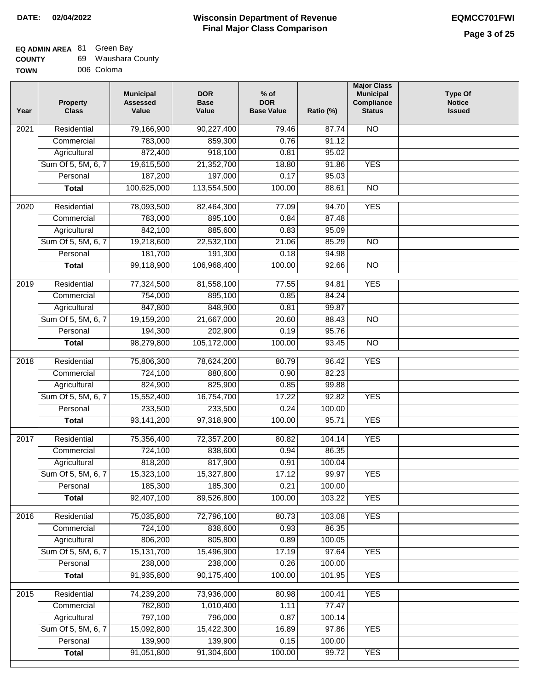| <b>COUNTY</b> | 69 Waushara County |
|---------------|--------------------|
| <b>TOWN</b>   | 006 Coloma         |

| Year              | <b>Property</b><br><b>Class</b> | <b>Municipal</b><br><b>Assessed</b><br>Value | <b>DOR</b><br><b>Base</b><br>Value | $%$ of<br><b>DOR</b><br><b>Base Value</b> | Ratio (%) | <b>Major Class</b><br><b>Municipal</b><br>Compliance<br><b>Status</b> | <b>Type Of</b><br><b>Notice</b><br><b>Issued</b> |
|-------------------|---------------------------------|----------------------------------------------|------------------------------------|-------------------------------------------|-----------|-----------------------------------------------------------------------|--------------------------------------------------|
| 2021              | Residential                     | 79,166,900                                   | 90,227,400                         | 79.46                                     | 87.74     | N <sub>O</sub>                                                        |                                                  |
|                   | Commercial                      | 783,000                                      | 859,300                            | 0.76                                      | 91.12     |                                                                       |                                                  |
|                   | Agricultural                    | 872,400                                      | 918,100                            | 0.81                                      | 95.02     |                                                                       |                                                  |
|                   | Sum Of 5, 5M, 6, 7              | 19,615,500                                   | 21,352,700                         | 18.80                                     | 91.86     | <b>YES</b>                                                            |                                                  |
|                   | Personal                        | 187,200                                      | 197,000                            | 0.17                                      | 95.03     |                                                                       |                                                  |
|                   | <b>Total</b>                    | 100,625,000                                  | 113,554,500                        | 100.00                                    | 88.61     | $\overline{NO}$                                                       |                                                  |
| 2020              | Residential                     | 78,093,500                                   | 82,464,300                         | 77.09                                     | 94.70     | <b>YES</b>                                                            |                                                  |
|                   | Commercial                      | 783,000                                      | 895,100                            | 0.84                                      | 87.48     |                                                                       |                                                  |
|                   | Agricultural                    | 842,100                                      | 885,600                            | 0.83                                      | 95.09     |                                                                       |                                                  |
|                   | Sum Of 5, 5M, 6, 7              | 19,218,600                                   | 22,532,100                         | 21.06                                     | 85.29     | <b>NO</b>                                                             |                                                  |
|                   | Personal                        | 181,700                                      | 191,300                            | 0.18                                      | 94.98     |                                                                       |                                                  |
|                   | <b>Total</b>                    | 99,118,900                                   | 106,968,400                        | 100.00                                    | 92.66     | $\overline{NO}$                                                       |                                                  |
| 2019              | Residential                     |                                              |                                    | 77.55                                     | 94.81     | <b>YES</b>                                                            |                                                  |
|                   | Commercial                      | 77,324,500<br>754,000                        | 81,558,100<br>895,100              | 0.85                                      | 84.24     |                                                                       |                                                  |
|                   | Agricultural                    | 847,800                                      | 848,900                            | 0.81                                      | 99.87     |                                                                       |                                                  |
|                   | Sum Of 5, 5M, 6, 7              | 19,159,200                                   | 21,667,000                         | 20.60                                     | 88.43     | $\overline{NO}$                                                       |                                                  |
|                   | Personal                        | 194,300                                      | 202,900                            | 0.19                                      | 95.76     |                                                                       |                                                  |
|                   | <b>Total</b>                    | 98,279,800                                   | 105,172,000                        | 100.00                                    | 93.45     | $\overline{NO}$                                                       |                                                  |
|                   |                                 |                                              |                                    |                                           |           |                                                                       |                                                  |
| 2018              | Residential                     | 75,806,300                                   | 78,624,200                         | 80.79                                     | 96.42     | <b>YES</b>                                                            |                                                  |
|                   | Commercial                      | 724,100                                      | 880,600                            | 0.90                                      | 82.23     |                                                                       |                                                  |
|                   | Agricultural                    | 824,900                                      | 825,900                            | 0.85                                      | 99.88     |                                                                       |                                                  |
|                   | Sum Of 5, 5M, 6, 7              | 15,552,400                                   | 16,754,700                         | 17.22                                     | 92.82     | <b>YES</b>                                                            |                                                  |
|                   | Personal                        | 233,500                                      | 233,500                            | 0.24                                      | 100.00    |                                                                       |                                                  |
|                   | <b>Total</b>                    | 93,141,200                                   | 97,318,900                         | 100.00                                    | 95.71     | <b>YES</b>                                                            |                                                  |
| 2017              | Residential                     | 75,356,400                                   | 72,357,200                         | 80.82                                     | 104.14    | <b>YES</b>                                                            |                                                  |
|                   | Commercial                      | 724,100                                      | 838,600                            | 0.94                                      | 86.35     |                                                                       |                                                  |
|                   | Agricultural                    | 818,200                                      | 817,900                            | 0.91                                      | 100.04    |                                                                       |                                                  |
|                   | Sum Of 5, 5M, 6, 7              | 15,323,100                                   | 15,327,800                         | 17.12                                     | 99.97     | <b>YES</b>                                                            |                                                  |
|                   | Personal                        | 185,300                                      | 185,300                            | 0.21                                      | 100.00    |                                                                       |                                                  |
|                   | <b>Total</b>                    | 92,407,100                                   | 89,526,800                         | 100.00                                    | 103.22    | <b>YES</b>                                                            |                                                  |
| $\overline{2016}$ | Residential                     | 75,035,800                                   | 72,796,100                         | 80.73                                     | 103.08    | <b>YES</b>                                                            |                                                  |
|                   | Commercial                      | 724,100                                      | 838,600                            | 0.93                                      | 86.35     |                                                                       |                                                  |
|                   | Agricultural                    | 806,200                                      | 805,800                            | 0.89                                      | 100.05    |                                                                       |                                                  |
|                   | Sum Of 5, 5M, 6, 7              | 15, 131, 700                                 | 15,496,900                         | 17.19                                     | 97.64     | <b>YES</b>                                                            |                                                  |
|                   | Personal                        | 238,000                                      | 238,000                            | 0.26                                      | 100.00    |                                                                       |                                                  |
|                   | <b>Total</b>                    | 91,935,800                                   | 90,175,400                         | 100.00                                    | 101.95    | <b>YES</b>                                                            |                                                  |
| 2015              | Residential                     | 74,239,200                                   | 73,936,000                         | 80.98                                     | 100.41    | <b>YES</b>                                                            |                                                  |
|                   | Commercial                      | 782,800                                      | 1,010,400                          | 1.11                                      | 77.47     |                                                                       |                                                  |
|                   | Agricultural                    | 797,100                                      | 796,000                            | 0.87                                      | 100.14    |                                                                       |                                                  |
|                   | Sum Of 5, 5M, 6, 7              | 15,092,800                                   | 15,422,300                         | 16.89                                     | 97.86     | <b>YES</b>                                                            |                                                  |
|                   | Personal                        | 139,900                                      | 139,900                            | 0.15                                      | 100.00    |                                                                       |                                                  |
|                   | <b>Total</b>                    | 91,051,800                                   | 91,304,600                         | 100.00                                    | 99.72     | <b>YES</b>                                                            |                                                  |
|                   |                                 |                                              |                                    |                                           |           |                                                                       |                                                  |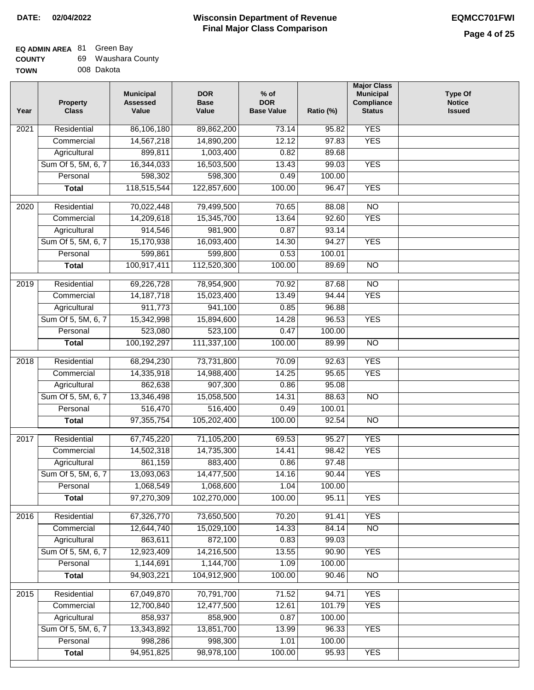# **EQ ADMIN AREA** 81 Green Bay

| <b>COUNTY</b> |  | Waushara County |  |
|---------------|--|-----------------|--|
|---------------|--|-----------------|--|

**TOWN** 008 Dakota

| Year              | <b>Property</b><br><b>Class</b> | <b>Municipal</b><br><b>Assessed</b><br>Value | <b>DOR</b><br><b>Base</b><br>Value | $%$ of<br><b>DOR</b><br><b>Base Value</b> | Ratio (%) | <b>Major Class</b><br><b>Municipal</b><br>Compliance<br><b>Status</b> | <b>Type Of</b><br><b>Notice</b><br><b>Issued</b> |
|-------------------|---------------------------------|----------------------------------------------|------------------------------------|-------------------------------------------|-----------|-----------------------------------------------------------------------|--------------------------------------------------|
| 2021              | Residential                     | 86,106,180                                   | 89,862,200                         | 73.14                                     | 95.82     | <b>YES</b>                                                            |                                                  |
|                   | Commercial                      | 14,567,218                                   | 14,890,200                         | 12.12                                     | 97.83     | <b>YES</b>                                                            |                                                  |
|                   | Agricultural                    | 899,811                                      | 1,003,400                          | 0.82                                      | 89.68     |                                                                       |                                                  |
|                   | Sum Of 5, 5M, 6, 7              | 16,344,033                                   | 16,503,500                         | 13.43                                     | 99.03     | <b>YES</b>                                                            |                                                  |
|                   | Personal                        | 598,302                                      | 598,300                            | 0.49                                      | 100.00    |                                                                       |                                                  |
|                   | <b>Total</b>                    | 118,515,544                                  | 122,857,600                        | 100.00                                    | 96.47     | <b>YES</b>                                                            |                                                  |
| 2020              | Residential                     | 70,022,448                                   | 79,499,500                         | 70.65                                     | 88.08     | $\overline{NO}$                                                       |                                                  |
|                   | Commercial                      | 14,209,618                                   | 15,345,700                         | 13.64                                     | 92.60     | <b>YES</b>                                                            |                                                  |
|                   | Agricultural                    | 914,546                                      | 981,900                            | 0.87                                      | 93.14     |                                                                       |                                                  |
|                   | Sum Of 5, 5M, 6, 7              | 15,170,938                                   | 16,093,400                         | 14.30                                     | 94.27     | <b>YES</b>                                                            |                                                  |
|                   | Personal                        | 599,861                                      | 599,800                            | 0.53                                      | 100.01    |                                                                       |                                                  |
|                   | <b>Total</b>                    | 100,917,411                                  | 112,520,300                        | 100.00                                    | 89.69     | $\overline{NO}$                                                       |                                                  |
| 2019              | Residential                     | 69,226,728                                   | 78,954,900                         | 70.92                                     | 87.68     | $\overline{NO}$                                                       |                                                  |
|                   | Commercial                      | 14, 187, 718                                 | 15,023,400                         | 13.49                                     | 94.44     | <b>YES</b>                                                            |                                                  |
|                   | Agricultural                    | 911,773                                      | 941,100                            | 0.85                                      | 96.88     |                                                                       |                                                  |
|                   | Sum Of 5, 5M, 6, 7              | 15,342,998                                   | 15,894,600                         | 14.28                                     | 96.53     | <b>YES</b>                                                            |                                                  |
|                   | Personal                        | 523,080                                      | 523,100                            | 0.47                                      | 100.00    |                                                                       |                                                  |
|                   | <b>Total</b>                    | 100,192,297                                  | 111,337,100                        | 100.00                                    | 89.99     | <b>NO</b>                                                             |                                                  |
| $\overline{2018}$ | Residential                     | 68,294,230                                   | 73,731,800                         | 70.09                                     | 92.63     | <b>YES</b>                                                            |                                                  |
|                   | Commercial                      | 14,335,918                                   | 14,988,400                         | 14.25                                     | 95.65     | <b>YES</b>                                                            |                                                  |
|                   | Agricultural                    | 862,638                                      | 907,300                            | 0.86                                      | 95.08     |                                                                       |                                                  |
|                   | Sum Of 5, 5M, 6, 7              | 13,346,498                                   | 15,058,500                         | 14.31                                     | 88.63     | $\overline{NO}$                                                       |                                                  |
|                   | Personal                        | 516,470                                      | 516,400                            | 0.49                                      | 100.01    |                                                                       |                                                  |
|                   | <b>Total</b>                    | 97, 355, 754                                 | 105,202,400                        | 100.00                                    | 92.54     | <b>NO</b>                                                             |                                                  |
| 2017              | Residential                     | 67,745,220                                   | 71,105,200                         | 69.53                                     | 95.27     | <b>YES</b>                                                            |                                                  |
|                   | Commercial                      | 14,502,318                                   | 14,735,300                         | 14.41                                     | 98.42     | <b>YES</b>                                                            |                                                  |
|                   | Agricultural                    | 861,159                                      | 883,400                            | 0.86                                      | 97.48     |                                                                       |                                                  |
|                   | Sum Of 5, 5M, 6, 7              | 13,093,063                                   | 14,477,500                         | 14.16                                     | 90.44     | <b>YES</b>                                                            |                                                  |
|                   | Personal                        | 1,068,549                                    | 1,068,600                          | 1.04                                      | 100.00    |                                                                       |                                                  |
|                   | <b>Total</b>                    | 97,270,309                                   | 102,270,000                        | 100.00                                    | 95.11     | <b>YES</b>                                                            |                                                  |
|                   |                                 |                                              |                                    |                                           |           |                                                                       |                                                  |
| 2016              | Residential                     | 67,326,770                                   | 73,650,500                         | 70.20                                     | 91.41     | <b>YES</b>                                                            |                                                  |
|                   | Commercial                      | 12,644,740                                   | 15,029,100                         | 14.33                                     | 84.14     | $\overline{NO}$                                                       |                                                  |
|                   | Agricultural                    | 863,611                                      | 872,100                            | 0.83                                      | 99.03     |                                                                       |                                                  |
|                   | Sum Of 5, 5M, 6, 7              | 12,923,409                                   | 14,216,500                         | 13.55                                     | 90.90     | <b>YES</b>                                                            |                                                  |
|                   | Personal                        | 1,144,691                                    | 1,144,700                          | 1.09                                      | 100.00    |                                                                       |                                                  |
|                   | <b>Total</b>                    | 94,903,221                                   | 104,912,900                        | 100.00                                    | 90.46     | N <sub>O</sub>                                                        |                                                  |
| 2015              | Residential                     | 67,049,870                                   | 70,791,700                         | 71.52                                     | 94.71     | <b>YES</b>                                                            |                                                  |
|                   | Commercial                      | 12,700,840                                   | 12,477,500                         | 12.61                                     | 101.79    | <b>YES</b>                                                            |                                                  |
|                   | Agricultural                    | 858,937                                      | 858,900                            | 0.87                                      | 100.00    |                                                                       |                                                  |
|                   | Sum Of 5, 5M, 6, 7              | 13,343,892                                   | 13,851,700                         | 13.99                                     | 96.33     | <b>YES</b>                                                            |                                                  |
|                   | Personal                        | 998,286                                      | 998,300                            | 1.01                                      | 100.00    |                                                                       |                                                  |
|                   | <b>Total</b>                    | 94, 951, 825                                 | 98,978,100                         | 100.00                                    | 95.93     | <b>YES</b>                                                            |                                                  |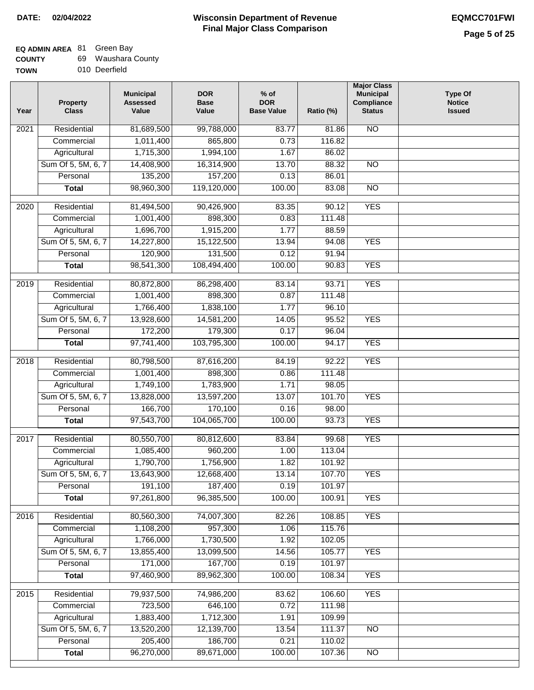# **EQ ADMIN AREA** 81 Green Bay

| <b>COUNTY</b> | 69 Waushara County |
|---------------|--------------------|
|---------------|--------------------|

**TOWN** 010 Deerfield

| Year              | <b>Property</b><br><b>Class</b> | <b>Municipal</b><br><b>Assessed</b><br>Value | <b>DOR</b><br><b>Base</b><br>Value | $%$ of<br><b>DOR</b><br><b>Base Value</b> | Ratio (%) | <b>Major Class</b><br><b>Municipal</b><br>Compliance<br><b>Status</b> | <b>Type Of</b><br><b>Notice</b><br><b>Issued</b> |
|-------------------|---------------------------------|----------------------------------------------|------------------------------------|-------------------------------------------|-----------|-----------------------------------------------------------------------|--------------------------------------------------|
| $\overline{202}1$ | Residential                     | 81,689,500                                   | 99,788,000                         | 83.77                                     | 81.86     | <b>NO</b>                                                             |                                                  |
|                   | Commercial                      | 1,011,400                                    | 865,800                            | 0.73                                      | 116.82    |                                                                       |                                                  |
|                   | Agricultural                    | 1,715,300                                    | 1,994,100                          | 1.67                                      | 86.02     |                                                                       |                                                  |
|                   | Sum Of 5, 5M, 6, 7              | 14,408,900                                   | 16,314,900                         | 13.70                                     | 88.32     | $\overline{NO}$                                                       |                                                  |
|                   | Personal                        | 135,200                                      | 157,200                            | 0.13                                      | 86.01     |                                                                       |                                                  |
|                   | <b>Total</b>                    | 98,960,300                                   | 119,120,000                        | 100.00                                    | 83.08     | $\overline{NO}$                                                       |                                                  |
| $\overline{2020}$ | Residential                     | 81,494,500                                   | 90,426,900                         | 83.35                                     | 90.12     | <b>YES</b>                                                            |                                                  |
|                   | Commercial                      | 1,001,400                                    | 898,300                            | 0.83                                      | 111.48    |                                                                       |                                                  |
|                   | Agricultural                    | 1,696,700                                    | 1,915,200                          | 1.77                                      | 88.59     |                                                                       |                                                  |
|                   | Sum Of 5, 5M, 6, 7              | 14,227,800                                   | 15,122,500                         | 13.94                                     | 94.08     | <b>YES</b>                                                            |                                                  |
|                   | Personal                        | 120,900                                      | 131,500                            | 0.12                                      | 91.94     |                                                                       |                                                  |
|                   | <b>Total</b>                    | 98,541,300                                   | 108,494,400                        | 100.00                                    | 90.83     | <b>YES</b>                                                            |                                                  |
| 2019              | Residential                     | 80,872,800                                   | 86,298,400                         | 83.14                                     | 93.71     | <b>YES</b>                                                            |                                                  |
|                   | Commercial                      | 1,001,400                                    | 898,300                            | 0.87                                      | 111.48    |                                                                       |                                                  |
|                   | Agricultural                    | 1,766,400                                    | 1,838,100                          | 1.77                                      | 96.10     |                                                                       |                                                  |
|                   | Sum Of 5, 5M, 6, 7              | 13,928,600                                   | 14,581,200                         | 14.05                                     | 95.52     | <b>YES</b>                                                            |                                                  |
|                   | Personal                        | 172,200                                      | 179,300                            | 0.17                                      | 96.04     |                                                                       |                                                  |
|                   | <b>Total</b>                    | 97,741,400                                   | 103,795,300                        | 100.00                                    | 94.17     | <b>YES</b>                                                            |                                                  |
| 2018              | Residential                     | 80,798,500                                   | 87,616,200                         | 84.19                                     | 92.22     | <b>YES</b>                                                            |                                                  |
|                   | Commercial                      | 1,001,400                                    | 898,300                            | 0.86                                      | 111.48    |                                                                       |                                                  |
|                   | Agricultural                    | 1,749,100                                    | 1,783,900                          | 1.71                                      | 98.05     |                                                                       |                                                  |
|                   | Sum Of 5, 5M, 6, 7              | 13,828,000                                   | 13,597,200                         | 13.07                                     | 101.70    | <b>YES</b>                                                            |                                                  |
|                   | Personal                        | 166,700                                      | 170,100                            | 0.16                                      | 98.00     |                                                                       |                                                  |
|                   | <b>Total</b>                    | 97,543,700                                   | 104,065,700                        | 100.00                                    | 93.73     | <b>YES</b>                                                            |                                                  |
| 2017              | Residential                     | 80,550,700                                   | 80,812,600                         | 83.84                                     | 99.68     | <b>YES</b>                                                            |                                                  |
|                   | Commercial                      | 1,085,400                                    | 960,200                            | 1.00                                      | 113.04    |                                                                       |                                                  |
|                   | Agricultural                    | 1,790,700                                    | 1,756,900                          | 1.82                                      | 101.92    |                                                                       |                                                  |
|                   | Sum Of 5, 5M, 6, 7              | 13,643,900                                   | 12,668,400                         | 13.14                                     | 107.70    | <b>YES</b>                                                            |                                                  |
|                   | Personal                        | 191,100                                      | 187,400                            | 0.19                                      | 101.97    |                                                                       |                                                  |
|                   | <b>Total</b>                    | 97,261,800                                   | 96,385,500                         | 100.00                                    | 100.91    | <b>YES</b>                                                            |                                                  |
|                   |                                 |                                              |                                    |                                           |           |                                                                       |                                                  |
| 2016              | Residential                     | 80,560,300                                   | 74,007,300                         | 82.26                                     | 108.85    | <b>YES</b>                                                            |                                                  |
|                   | Commercial                      | 1,108,200                                    | 957,300                            | 1.06                                      | 115.76    |                                                                       |                                                  |
|                   | Agricultural                    | 1,766,000                                    | 1,730,500                          | 1.92                                      | 102.05    |                                                                       |                                                  |
|                   | Sum Of 5, 5M, 6, 7              | 13,855,400                                   | 13,099,500                         | 14.56                                     | 105.77    | <b>YES</b>                                                            |                                                  |
|                   | Personal                        | 171,000                                      | 167,700                            | 0.19                                      | 101.97    |                                                                       |                                                  |
|                   | <b>Total</b>                    | 97,460,900                                   | 89,962,300                         | 100.00                                    | 108.34    | <b>YES</b>                                                            |                                                  |
| 2015              | Residential                     | 79,937,500                                   | 74,986,200                         | 83.62                                     | 106.60    | <b>YES</b>                                                            |                                                  |
|                   | Commercial                      | 723,500                                      | 646,100                            | 0.72                                      | 111.98    |                                                                       |                                                  |
|                   | Agricultural                    | 1,883,400                                    | 1,712,300                          | 1.91                                      | 109.99    |                                                                       |                                                  |
|                   | Sum Of 5, 5M, 6, 7              | 13,520,200                                   | 12,139,700                         | 13.54                                     | 111.37    | <b>NO</b>                                                             |                                                  |
|                   | Personal                        | 205,400                                      | 186,700                            | 0.21                                      | 110.02    |                                                                       |                                                  |
|                   | <b>Total</b>                    | 96,270,000                                   | 89,671,000                         | 100.00                                    | 107.36    | NO                                                                    |                                                  |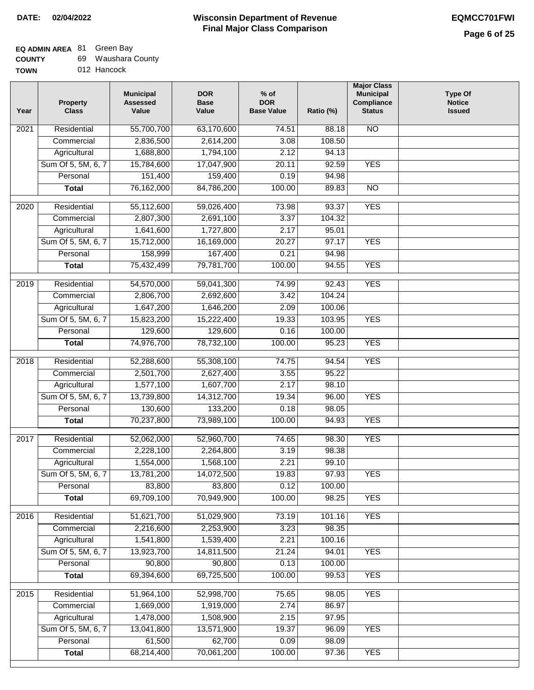# **EQ ADMIN AREA** 81 Green Bay

| <b>COUNTY</b> |  | 69 Waushara County |  |
|---------------|--|--------------------|--|
|---------------|--|--------------------|--|

**TOWN** 012 Hancock

| Year | <b>Property</b><br><b>Class</b> | <b>Municipal</b><br><b>Assessed</b><br>Value | <b>DOR</b><br><b>Base</b><br>Value | $%$ of<br><b>DOR</b><br><b>Base Value</b> | Ratio (%) | <b>Major Class</b><br><b>Municipal</b><br>Compliance<br><b>Status</b> | <b>Type Of</b><br><b>Notice</b><br><b>Issued</b> |
|------|---------------------------------|----------------------------------------------|------------------------------------|-------------------------------------------|-----------|-----------------------------------------------------------------------|--------------------------------------------------|
| 2021 | Residential                     | 55,700,700                                   | 63,170,600                         | 74.51                                     | 88.18     | N <sub>O</sub>                                                        |                                                  |
|      | Commercial                      | 2,836,500                                    | 2,614,200                          | 3.08                                      | 108.50    |                                                                       |                                                  |
|      | Agricultural                    | 1,688,800                                    | 1,794,100                          | 2.12                                      | 94.13     |                                                                       |                                                  |
|      | Sum Of 5, 5M, 6, 7              | 15,784,600                                   | 17,047,900                         | 20.11                                     | 92.59     | <b>YES</b>                                                            |                                                  |
|      | Personal                        | 151,400                                      | 159,400                            | 0.19                                      | 94.98     |                                                                       |                                                  |
|      | <b>Total</b>                    | 76,162,000                                   | 84,786,200                         | 100.00                                    | 89.83     | $\overline{NO}$                                                       |                                                  |
| 2020 | Residential                     | 55,112,600                                   | 59,026,400                         | 73.98                                     | 93.37     | <b>YES</b>                                                            |                                                  |
|      | Commercial                      | 2,807,300                                    | 2,691,100                          | 3.37                                      | 104.32    |                                                                       |                                                  |
|      | Agricultural                    | 1,641,600                                    | 1,727,800                          | 2.17                                      | 95.01     |                                                                       |                                                  |
|      | Sum Of 5, 5M, 6, 7              | 15,712,000                                   | 16,169,000                         | 20.27                                     | 97.17     | <b>YES</b>                                                            |                                                  |
|      | Personal                        | 158,999                                      | 167,400                            | 0.21                                      | 94.98     |                                                                       |                                                  |
|      | <b>Total</b>                    | 75,432,499                                   | 79,781,700                         | 100.00                                    | 94.55     | <b>YES</b>                                                            |                                                  |
|      |                                 |                                              |                                    |                                           |           |                                                                       |                                                  |
| 2019 | Residential                     | 54,570,000                                   | 59,041,300                         | 74.99                                     | 92.43     | <b>YES</b>                                                            |                                                  |
|      | Commercial                      | 2,806,700                                    | 2,692,600                          | 3.42                                      | 104.24    |                                                                       |                                                  |
|      | Agricultural                    | 1,647,200                                    | 1,646,200                          | 2.09                                      | 100.06    |                                                                       |                                                  |
|      | Sum Of 5, 5M, 6, 7              | 15,823,200                                   | 15,222,400                         | 19.33                                     | 103.95    | <b>YES</b>                                                            |                                                  |
|      | Personal                        | 129,600                                      | 129,600                            | 0.16                                      | 100.00    |                                                                       |                                                  |
|      | <b>Total</b>                    | 74,976,700                                   | 78,732,100                         | 100.00                                    | 95.23     | <b>YES</b>                                                            |                                                  |
| 2018 | Residential                     | 52,288,600                                   | 55,308,100                         | 74.75                                     | 94.54     | <b>YES</b>                                                            |                                                  |
|      | Commercial                      | 2,501,700                                    | 2,627,400                          | 3.55                                      | 95.22     |                                                                       |                                                  |
|      | Agricultural                    | 1,577,100                                    | 1,607,700                          | 2.17                                      | 98.10     |                                                                       |                                                  |
|      | Sum Of 5, 5M, 6, 7              | 13,739,800                                   | 14,312,700                         | 19.34                                     | 96.00     | <b>YES</b>                                                            |                                                  |
|      | Personal                        | 130,600                                      | 133,200                            | 0.18                                      | 98.05     |                                                                       |                                                  |
|      | <b>Total</b>                    | 70,237,800                                   | 73,989,100                         | 100.00                                    | 94.93     | <b>YES</b>                                                            |                                                  |
| 2017 | Residential                     | 52,062,000                                   | 52,960,700                         | 74.65                                     | 98.30     | <b>YES</b>                                                            |                                                  |
|      | Commercial                      | 2,228,100                                    | 2,264,800                          | 3.19                                      | 98.38     |                                                                       |                                                  |
|      | Agricultural                    | 1,554,000                                    | 1,568,100                          | 2.21                                      | 99.10     |                                                                       |                                                  |
|      | Sum Of 5, 5M, 6, 7              | 13,781,200                                   | 14,072,500                         | 19.83                                     | 97.93     | YES                                                                   |                                                  |
|      | Personal                        | 83,800                                       | 83,800                             | 0.12                                      | 100.00    |                                                                       |                                                  |
|      | <b>Total</b>                    | 69,709,100                                   | 70,949,900                         | 100.00                                    | 98.25     | <b>YES</b>                                                            |                                                  |
| 2016 | Residential                     | 51,621,700                                   | 51,029,900                         | 73.19                                     | 101.16    | <b>YES</b>                                                            |                                                  |
|      | Commercial                      | 2,216,600                                    | 2,253,900                          | 3.23                                      | 98.35     |                                                                       |                                                  |
|      | Agricultural                    | 1,541,800                                    | 1,539,400                          | 2.21                                      | 100.16    |                                                                       |                                                  |
|      | Sum Of 5, 5M, 6, 7              | 13,923,700                                   | 14,811,500                         | 21.24                                     | 94.01     | <b>YES</b>                                                            |                                                  |
|      | Personal                        | 90,800                                       | 90,800                             | 0.13                                      | 100.00    |                                                                       |                                                  |
|      | <b>Total</b>                    | 69,394,600                                   | 69,725,500                         | 100.00                                    | 99.53     | <b>YES</b>                                                            |                                                  |
| 2015 | Residential                     | 51,964,100                                   | 52,998,700                         | 75.65                                     | 98.05     | <b>YES</b>                                                            |                                                  |
|      | Commercial                      | 1,669,000                                    | 1,919,000                          | 2.74                                      | 86.97     |                                                                       |                                                  |
|      | Agricultural                    | 1,478,000                                    | 1,508,900                          | 2.15                                      | 97.95     |                                                                       |                                                  |
|      | Sum Of 5, 5M, 6, 7              | 13,041,800                                   | 13,571,900                         | 19.37                                     | 96.09     | <b>YES</b>                                                            |                                                  |
|      | Personal                        | 61,500                                       | 62,700                             | 0.09                                      | 98.09     |                                                                       |                                                  |
|      | <b>Total</b>                    | 68,214,400                                   | 70,061,200                         | 100.00                                    | 97.36     | <b>YES</b>                                                            |                                                  |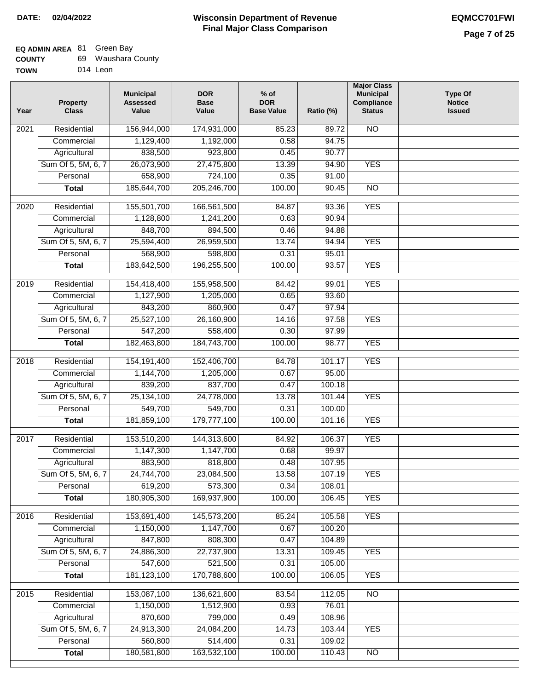#### **EQ ADMIN AREA** 81 Green Bay

| <b>COUNTY</b> | 69 Waushara County |
|---------------|--------------------|
|               |                    |

**TOWN** 014 Leon

| Residential<br>N <sub>O</sub><br>2021<br>156,944,000<br>174,931,000<br>85.23<br>89.72<br>94.75<br>1,129,400<br>0.58<br>Commercial<br>1,192,000<br>838,500<br>923,800<br>Agricultural<br>0.45<br>90.77<br>Sum Of 5, 5M, 6, 7<br>26,073,900<br>27,475,800<br><b>YES</b><br>13.39<br>94.90<br>658,900<br>724,100<br>Personal<br>0.35<br>91.00<br>205,246,700<br>185,644,700<br>100.00<br>90.45<br>$\overline{NO}$<br><b>Total</b><br><b>YES</b><br>2020<br>Residential<br>155,501,700<br>166,561,500<br>84.87<br>93.36<br>1,128,800<br>1,241,200<br>0.63<br>90.94<br>Commercial<br>848,700<br>894,500<br>0.46<br>94.88<br>Agricultural<br>Sum Of 5, 5M, 6, 7<br>25,594,400<br>26,959,500<br>13.74<br>94.94<br><b>YES</b><br>95.01<br>Personal<br>568,900<br>598,800<br>0.31<br>183,642,500<br><b>YES</b><br>196,255,500<br>100.00<br>93.57<br><b>Total</b><br>2019<br>Residential<br>154,418,400<br>155,958,500<br>84.42<br>99.01<br><b>YES</b><br>93.60<br>Commercial<br>1,127,900<br>1,205,000<br>0.65<br>843,200<br>860,900<br>0.47<br>97.94<br>Agricultural<br>Sum Of 5, 5M, 6, 7<br>25,527,100<br>26,160,900<br>97.58<br><b>YES</b><br>14.16<br>558,400<br>Personal<br>547,200<br>0.30<br>97.99<br>184,743,700<br>100.00<br>98.77<br><b>YES</b><br>182,463,800<br><b>Total</b><br><b>YES</b><br>2018<br>Residential<br>154,191,400<br>152,406,700<br>101.17<br>84.78<br>95.00<br>Commercial<br>1,144,700<br>1,205,000<br>0.67<br>839,200<br>837,700<br>100.18<br>Agricultural<br>0.47<br>Sum Of 5, 5M, 6, 7<br>25,134,100<br>24,778,000<br>13.78<br>101.44<br><b>YES</b><br>549,700<br>549,700<br>Personal<br>0.31<br>100.00<br>181,859,100<br>179,777,100<br>100.00<br>101.16<br><b>YES</b><br><b>Total</b><br><b>YES</b><br>$\overline{2017}$<br>Residential<br>144,313,600<br>106.37<br>153,510,200<br>84.92<br>1,147,300<br>1,147,700<br>0.68<br>Commercial<br>99.97<br>818,800<br>107.95<br>883,900<br>0.48<br>Agricultural<br>13.58<br>Sum Of 5, 5M, 6, 7<br>24,744,700<br>23,084,500<br>107.19<br><b>YES</b><br>619,200<br>573,300<br>0.34<br>Personal<br>108.01<br>180,905,300<br>169,937,900<br>100.00<br>106.45<br><b>YES</b><br><b>Total</b><br>Residential<br>153,691,400<br>145,573,200<br>85.24<br>105.58<br><b>YES</b><br>2016<br>Commercial<br>1,150,000<br>1,147,700<br>0.67<br>100.20<br>847,800<br>808,300<br>104.89<br>Agricultural<br>0.47<br>Sum Of 5, 5M, 6, 7<br>24,886,300<br>22,737,900<br><b>YES</b><br>13.31<br>109.45<br>Personal<br>547,600<br>521,500<br>0.31<br>105.00<br><b>YES</b><br>181,123,100<br>170,788,600<br>100.00<br>106.05<br><b>Total</b><br>Residential<br>153,087,100<br>136,621,600<br>N <sub>O</sub><br>2015<br>83.54<br>112.05<br>1,150,000<br>0.93<br>Commercial<br>1,512,900<br>76.01<br>870,600<br>799,000<br>108.96<br>Agricultural<br>0.49<br>Sum Of 5, 5M, 6, 7<br>24,913,300<br>24,084,200<br><b>YES</b><br>14.73<br>103.44<br>560,800<br>514,400<br>Personal<br>109.02<br>0.31<br>180,581,800<br>163,532,100<br><b>Total</b><br>100.00<br>110.43<br>N <sub>O</sub> | Year | <b>Property</b><br><b>Class</b> | <b>Municipal</b><br><b>Assessed</b><br>Value | <b>DOR</b><br><b>Base</b><br>Value | % of<br><b>DOR</b><br><b>Base Value</b> | Ratio (%) | <b>Major Class</b><br><b>Municipal</b><br>Compliance<br><b>Status</b> | <b>Type Of</b><br><b>Notice</b><br><b>Issued</b> |
|--------------------------------------------------------------------------------------------------------------------------------------------------------------------------------------------------------------------------------------------------------------------------------------------------------------------------------------------------------------------------------------------------------------------------------------------------------------------------------------------------------------------------------------------------------------------------------------------------------------------------------------------------------------------------------------------------------------------------------------------------------------------------------------------------------------------------------------------------------------------------------------------------------------------------------------------------------------------------------------------------------------------------------------------------------------------------------------------------------------------------------------------------------------------------------------------------------------------------------------------------------------------------------------------------------------------------------------------------------------------------------------------------------------------------------------------------------------------------------------------------------------------------------------------------------------------------------------------------------------------------------------------------------------------------------------------------------------------------------------------------------------------------------------------------------------------------------------------------------------------------------------------------------------------------------------------------------------------------------------------------------------------------------------------------------------------------------------------------------------------------------------------------------------------------------------------------------------------------------------------------------------------------------------------------------------------------------------------------------------------------------------------------------------------------------------------------------------------------------------------------------------------------------------------------------------------------------------------------------------------------------------------------------------------------------------------------------------------------------------------------------------------------------------------------------------------------------------------------------------------------------------------------------------------------------------------------------------------------------------------------------------------------------|------|---------------------------------|----------------------------------------------|------------------------------------|-----------------------------------------|-----------|-----------------------------------------------------------------------|--------------------------------------------------|
|                                                                                                                                                                                                                                                                                                                                                                                                                                                                                                                                                                                                                                                                                                                                                                                                                                                                                                                                                                                                                                                                                                                                                                                                                                                                                                                                                                                                                                                                                                                                                                                                                                                                                                                                                                                                                                                                                                                                                                                                                                                                                                                                                                                                                                                                                                                                                                                                                                                                                                                                                                                                                                                                                                                                                                                                                                                                                                                                                                                                                                |      |                                 |                                              |                                    |                                         |           |                                                                       |                                                  |
|                                                                                                                                                                                                                                                                                                                                                                                                                                                                                                                                                                                                                                                                                                                                                                                                                                                                                                                                                                                                                                                                                                                                                                                                                                                                                                                                                                                                                                                                                                                                                                                                                                                                                                                                                                                                                                                                                                                                                                                                                                                                                                                                                                                                                                                                                                                                                                                                                                                                                                                                                                                                                                                                                                                                                                                                                                                                                                                                                                                                                                |      |                                 |                                              |                                    |                                         |           |                                                                       |                                                  |
|                                                                                                                                                                                                                                                                                                                                                                                                                                                                                                                                                                                                                                                                                                                                                                                                                                                                                                                                                                                                                                                                                                                                                                                                                                                                                                                                                                                                                                                                                                                                                                                                                                                                                                                                                                                                                                                                                                                                                                                                                                                                                                                                                                                                                                                                                                                                                                                                                                                                                                                                                                                                                                                                                                                                                                                                                                                                                                                                                                                                                                |      |                                 |                                              |                                    |                                         |           |                                                                       |                                                  |
|                                                                                                                                                                                                                                                                                                                                                                                                                                                                                                                                                                                                                                                                                                                                                                                                                                                                                                                                                                                                                                                                                                                                                                                                                                                                                                                                                                                                                                                                                                                                                                                                                                                                                                                                                                                                                                                                                                                                                                                                                                                                                                                                                                                                                                                                                                                                                                                                                                                                                                                                                                                                                                                                                                                                                                                                                                                                                                                                                                                                                                |      |                                 |                                              |                                    |                                         |           |                                                                       |                                                  |
|                                                                                                                                                                                                                                                                                                                                                                                                                                                                                                                                                                                                                                                                                                                                                                                                                                                                                                                                                                                                                                                                                                                                                                                                                                                                                                                                                                                                                                                                                                                                                                                                                                                                                                                                                                                                                                                                                                                                                                                                                                                                                                                                                                                                                                                                                                                                                                                                                                                                                                                                                                                                                                                                                                                                                                                                                                                                                                                                                                                                                                |      |                                 |                                              |                                    |                                         |           |                                                                       |                                                  |
|                                                                                                                                                                                                                                                                                                                                                                                                                                                                                                                                                                                                                                                                                                                                                                                                                                                                                                                                                                                                                                                                                                                                                                                                                                                                                                                                                                                                                                                                                                                                                                                                                                                                                                                                                                                                                                                                                                                                                                                                                                                                                                                                                                                                                                                                                                                                                                                                                                                                                                                                                                                                                                                                                                                                                                                                                                                                                                                                                                                                                                |      |                                 |                                              |                                    |                                         |           |                                                                       |                                                  |
|                                                                                                                                                                                                                                                                                                                                                                                                                                                                                                                                                                                                                                                                                                                                                                                                                                                                                                                                                                                                                                                                                                                                                                                                                                                                                                                                                                                                                                                                                                                                                                                                                                                                                                                                                                                                                                                                                                                                                                                                                                                                                                                                                                                                                                                                                                                                                                                                                                                                                                                                                                                                                                                                                                                                                                                                                                                                                                                                                                                                                                |      |                                 |                                              |                                    |                                         |           |                                                                       |                                                  |
|                                                                                                                                                                                                                                                                                                                                                                                                                                                                                                                                                                                                                                                                                                                                                                                                                                                                                                                                                                                                                                                                                                                                                                                                                                                                                                                                                                                                                                                                                                                                                                                                                                                                                                                                                                                                                                                                                                                                                                                                                                                                                                                                                                                                                                                                                                                                                                                                                                                                                                                                                                                                                                                                                                                                                                                                                                                                                                                                                                                                                                |      |                                 |                                              |                                    |                                         |           |                                                                       |                                                  |
|                                                                                                                                                                                                                                                                                                                                                                                                                                                                                                                                                                                                                                                                                                                                                                                                                                                                                                                                                                                                                                                                                                                                                                                                                                                                                                                                                                                                                                                                                                                                                                                                                                                                                                                                                                                                                                                                                                                                                                                                                                                                                                                                                                                                                                                                                                                                                                                                                                                                                                                                                                                                                                                                                                                                                                                                                                                                                                                                                                                                                                |      |                                 |                                              |                                    |                                         |           |                                                                       |                                                  |
|                                                                                                                                                                                                                                                                                                                                                                                                                                                                                                                                                                                                                                                                                                                                                                                                                                                                                                                                                                                                                                                                                                                                                                                                                                                                                                                                                                                                                                                                                                                                                                                                                                                                                                                                                                                                                                                                                                                                                                                                                                                                                                                                                                                                                                                                                                                                                                                                                                                                                                                                                                                                                                                                                                                                                                                                                                                                                                                                                                                                                                |      |                                 |                                              |                                    |                                         |           |                                                                       |                                                  |
|                                                                                                                                                                                                                                                                                                                                                                                                                                                                                                                                                                                                                                                                                                                                                                                                                                                                                                                                                                                                                                                                                                                                                                                                                                                                                                                                                                                                                                                                                                                                                                                                                                                                                                                                                                                                                                                                                                                                                                                                                                                                                                                                                                                                                                                                                                                                                                                                                                                                                                                                                                                                                                                                                                                                                                                                                                                                                                                                                                                                                                |      |                                 |                                              |                                    |                                         |           |                                                                       |                                                  |
|                                                                                                                                                                                                                                                                                                                                                                                                                                                                                                                                                                                                                                                                                                                                                                                                                                                                                                                                                                                                                                                                                                                                                                                                                                                                                                                                                                                                                                                                                                                                                                                                                                                                                                                                                                                                                                                                                                                                                                                                                                                                                                                                                                                                                                                                                                                                                                                                                                                                                                                                                                                                                                                                                                                                                                                                                                                                                                                                                                                                                                |      |                                 |                                              |                                    |                                         |           |                                                                       |                                                  |
|                                                                                                                                                                                                                                                                                                                                                                                                                                                                                                                                                                                                                                                                                                                                                                                                                                                                                                                                                                                                                                                                                                                                                                                                                                                                                                                                                                                                                                                                                                                                                                                                                                                                                                                                                                                                                                                                                                                                                                                                                                                                                                                                                                                                                                                                                                                                                                                                                                                                                                                                                                                                                                                                                                                                                                                                                                                                                                                                                                                                                                |      |                                 |                                              |                                    |                                         |           |                                                                       |                                                  |
|                                                                                                                                                                                                                                                                                                                                                                                                                                                                                                                                                                                                                                                                                                                                                                                                                                                                                                                                                                                                                                                                                                                                                                                                                                                                                                                                                                                                                                                                                                                                                                                                                                                                                                                                                                                                                                                                                                                                                                                                                                                                                                                                                                                                                                                                                                                                                                                                                                                                                                                                                                                                                                                                                                                                                                                                                                                                                                                                                                                                                                |      |                                 |                                              |                                    |                                         |           |                                                                       |                                                  |
|                                                                                                                                                                                                                                                                                                                                                                                                                                                                                                                                                                                                                                                                                                                                                                                                                                                                                                                                                                                                                                                                                                                                                                                                                                                                                                                                                                                                                                                                                                                                                                                                                                                                                                                                                                                                                                                                                                                                                                                                                                                                                                                                                                                                                                                                                                                                                                                                                                                                                                                                                                                                                                                                                                                                                                                                                                                                                                                                                                                                                                |      |                                 |                                              |                                    |                                         |           |                                                                       |                                                  |
|                                                                                                                                                                                                                                                                                                                                                                                                                                                                                                                                                                                                                                                                                                                                                                                                                                                                                                                                                                                                                                                                                                                                                                                                                                                                                                                                                                                                                                                                                                                                                                                                                                                                                                                                                                                                                                                                                                                                                                                                                                                                                                                                                                                                                                                                                                                                                                                                                                                                                                                                                                                                                                                                                                                                                                                                                                                                                                                                                                                                                                |      |                                 |                                              |                                    |                                         |           |                                                                       |                                                  |
|                                                                                                                                                                                                                                                                                                                                                                                                                                                                                                                                                                                                                                                                                                                                                                                                                                                                                                                                                                                                                                                                                                                                                                                                                                                                                                                                                                                                                                                                                                                                                                                                                                                                                                                                                                                                                                                                                                                                                                                                                                                                                                                                                                                                                                                                                                                                                                                                                                                                                                                                                                                                                                                                                                                                                                                                                                                                                                                                                                                                                                |      |                                 |                                              |                                    |                                         |           |                                                                       |                                                  |
|                                                                                                                                                                                                                                                                                                                                                                                                                                                                                                                                                                                                                                                                                                                                                                                                                                                                                                                                                                                                                                                                                                                                                                                                                                                                                                                                                                                                                                                                                                                                                                                                                                                                                                                                                                                                                                                                                                                                                                                                                                                                                                                                                                                                                                                                                                                                                                                                                                                                                                                                                                                                                                                                                                                                                                                                                                                                                                                                                                                                                                |      |                                 |                                              |                                    |                                         |           |                                                                       |                                                  |
|                                                                                                                                                                                                                                                                                                                                                                                                                                                                                                                                                                                                                                                                                                                                                                                                                                                                                                                                                                                                                                                                                                                                                                                                                                                                                                                                                                                                                                                                                                                                                                                                                                                                                                                                                                                                                                                                                                                                                                                                                                                                                                                                                                                                                                                                                                                                                                                                                                                                                                                                                                                                                                                                                                                                                                                                                                                                                                                                                                                                                                |      |                                 |                                              |                                    |                                         |           |                                                                       |                                                  |
|                                                                                                                                                                                                                                                                                                                                                                                                                                                                                                                                                                                                                                                                                                                                                                                                                                                                                                                                                                                                                                                                                                                                                                                                                                                                                                                                                                                                                                                                                                                                                                                                                                                                                                                                                                                                                                                                                                                                                                                                                                                                                                                                                                                                                                                                                                                                                                                                                                                                                                                                                                                                                                                                                                                                                                                                                                                                                                                                                                                                                                |      |                                 |                                              |                                    |                                         |           |                                                                       |                                                  |
|                                                                                                                                                                                                                                                                                                                                                                                                                                                                                                                                                                                                                                                                                                                                                                                                                                                                                                                                                                                                                                                                                                                                                                                                                                                                                                                                                                                                                                                                                                                                                                                                                                                                                                                                                                                                                                                                                                                                                                                                                                                                                                                                                                                                                                                                                                                                                                                                                                                                                                                                                                                                                                                                                                                                                                                                                                                                                                                                                                                                                                |      |                                 |                                              |                                    |                                         |           |                                                                       |                                                  |
|                                                                                                                                                                                                                                                                                                                                                                                                                                                                                                                                                                                                                                                                                                                                                                                                                                                                                                                                                                                                                                                                                                                                                                                                                                                                                                                                                                                                                                                                                                                                                                                                                                                                                                                                                                                                                                                                                                                                                                                                                                                                                                                                                                                                                                                                                                                                                                                                                                                                                                                                                                                                                                                                                                                                                                                                                                                                                                                                                                                                                                |      |                                 |                                              |                                    |                                         |           |                                                                       |                                                  |
|                                                                                                                                                                                                                                                                                                                                                                                                                                                                                                                                                                                                                                                                                                                                                                                                                                                                                                                                                                                                                                                                                                                                                                                                                                                                                                                                                                                                                                                                                                                                                                                                                                                                                                                                                                                                                                                                                                                                                                                                                                                                                                                                                                                                                                                                                                                                                                                                                                                                                                                                                                                                                                                                                                                                                                                                                                                                                                                                                                                                                                |      |                                 |                                              |                                    |                                         |           |                                                                       |                                                  |
|                                                                                                                                                                                                                                                                                                                                                                                                                                                                                                                                                                                                                                                                                                                                                                                                                                                                                                                                                                                                                                                                                                                                                                                                                                                                                                                                                                                                                                                                                                                                                                                                                                                                                                                                                                                                                                                                                                                                                                                                                                                                                                                                                                                                                                                                                                                                                                                                                                                                                                                                                                                                                                                                                                                                                                                                                                                                                                                                                                                                                                |      |                                 |                                              |                                    |                                         |           |                                                                       |                                                  |
|                                                                                                                                                                                                                                                                                                                                                                                                                                                                                                                                                                                                                                                                                                                                                                                                                                                                                                                                                                                                                                                                                                                                                                                                                                                                                                                                                                                                                                                                                                                                                                                                                                                                                                                                                                                                                                                                                                                                                                                                                                                                                                                                                                                                                                                                                                                                                                                                                                                                                                                                                                                                                                                                                                                                                                                                                                                                                                                                                                                                                                |      |                                 |                                              |                                    |                                         |           |                                                                       |                                                  |
|                                                                                                                                                                                                                                                                                                                                                                                                                                                                                                                                                                                                                                                                                                                                                                                                                                                                                                                                                                                                                                                                                                                                                                                                                                                                                                                                                                                                                                                                                                                                                                                                                                                                                                                                                                                                                                                                                                                                                                                                                                                                                                                                                                                                                                                                                                                                                                                                                                                                                                                                                                                                                                                                                                                                                                                                                                                                                                                                                                                                                                |      |                                 |                                              |                                    |                                         |           |                                                                       |                                                  |
|                                                                                                                                                                                                                                                                                                                                                                                                                                                                                                                                                                                                                                                                                                                                                                                                                                                                                                                                                                                                                                                                                                                                                                                                                                                                                                                                                                                                                                                                                                                                                                                                                                                                                                                                                                                                                                                                                                                                                                                                                                                                                                                                                                                                                                                                                                                                                                                                                                                                                                                                                                                                                                                                                                                                                                                                                                                                                                                                                                                                                                |      |                                 |                                              |                                    |                                         |           |                                                                       |                                                  |
|                                                                                                                                                                                                                                                                                                                                                                                                                                                                                                                                                                                                                                                                                                                                                                                                                                                                                                                                                                                                                                                                                                                                                                                                                                                                                                                                                                                                                                                                                                                                                                                                                                                                                                                                                                                                                                                                                                                                                                                                                                                                                                                                                                                                                                                                                                                                                                                                                                                                                                                                                                                                                                                                                                                                                                                                                                                                                                                                                                                                                                |      |                                 |                                              |                                    |                                         |           |                                                                       |                                                  |
|                                                                                                                                                                                                                                                                                                                                                                                                                                                                                                                                                                                                                                                                                                                                                                                                                                                                                                                                                                                                                                                                                                                                                                                                                                                                                                                                                                                                                                                                                                                                                                                                                                                                                                                                                                                                                                                                                                                                                                                                                                                                                                                                                                                                                                                                                                                                                                                                                                                                                                                                                                                                                                                                                                                                                                                                                                                                                                                                                                                                                                |      |                                 |                                              |                                    |                                         |           |                                                                       |                                                  |
|                                                                                                                                                                                                                                                                                                                                                                                                                                                                                                                                                                                                                                                                                                                                                                                                                                                                                                                                                                                                                                                                                                                                                                                                                                                                                                                                                                                                                                                                                                                                                                                                                                                                                                                                                                                                                                                                                                                                                                                                                                                                                                                                                                                                                                                                                                                                                                                                                                                                                                                                                                                                                                                                                                                                                                                                                                                                                                                                                                                                                                |      |                                 |                                              |                                    |                                         |           |                                                                       |                                                  |
|                                                                                                                                                                                                                                                                                                                                                                                                                                                                                                                                                                                                                                                                                                                                                                                                                                                                                                                                                                                                                                                                                                                                                                                                                                                                                                                                                                                                                                                                                                                                                                                                                                                                                                                                                                                                                                                                                                                                                                                                                                                                                                                                                                                                                                                                                                                                                                                                                                                                                                                                                                                                                                                                                                                                                                                                                                                                                                                                                                                                                                |      |                                 |                                              |                                    |                                         |           |                                                                       |                                                  |
|                                                                                                                                                                                                                                                                                                                                                                                                                                                                                                                                                                                                                                                                                                                                                                                                                                                                                                                                                                                                                                                                                                                                                                                                                                                                                                                                                                                                                                                                                                                                                                                                                                                                                                                                                                                                                                                                                                                                                                                                                                                                                                                                                                                                                                                                                                                                                                                                                                                                                                                                                                                                                                                                                                                                                                                                                                                                                                                                                                                                                                |      |                                 |                                              |                                    |                                         |           |                                                                       |                                                  |
|                                                                                                                                                                                                                                                                                                                                                                                                                                                                                                                                                                                                                                                                                                                                                                                                                                                                                                                                                                                                                                                                                                                                                                                                                                                                                                                                                                                                                                                                                                                                                                                                                                                                                                                                                                                                                                                                                                                                                                                                                                                                                                                                                                                                                                                                                                                                                                                                                                                                                                                                                                                                                                                                                                                                                                                                                                                                                                                                                                                                                                |      |                                 |                                              |                                    |                                         |           |                                                                       |                                                  |
|                                                                                                                                                                                                                                                                                                                                                                                                                                                                                                                                                                                                                                                                                                                                                                                                                                                                                                                                                                                                                                                                                                                                                                                                                                                                                                                                                                                                                                                                                                                                                                                                                                                                                                                                                                                                                                                                                                                                                                                                                                                                                                                                                                                                                                                                                                                                                                                                                                                                                                                                                                                                                                                                                                                                                                                                                                                                                                                                                                                                                                |      |                                 |                                              |                                    |                                         |           |                                                                       |                                                  |
|                                                                                                                                                                                                                                                                                                                                                                                                                                                                                                                                                                                                                                                                                                                                                                                                                                                                                                                                                                                                                                                                                                                                                                                                                                                                                                                                                                                                                                                                                                                                                                                                                                                                                                                                                                                                                                                                                                                                                                                                                                                                                                                                                                                                                                                                                                                                                                                                                                                                                                                                                                                                                                                                                                                                                                                                                                                                                                                                                                                                                                |      |                                 |                                              |                                    |                                         |           |                                                                       |                                                  |
|                                                                                                                                                                                                                                                                                                                                                                                                                                                                                                                                                                                                                                                                                                                                                                                                                                                                                                                                                                                                                                                                                                                                                                                                                                                                                                                                                                                                                                                                                                                                                                                                                                                                                                                                                                                                                                                                                                                                                                                                                                                                                                                                                                                                                                                                                                                                                                                                                                                                                                                                                                                                                                                                                                                                                                                                                                                                                                                                                                                                                                |      |                                 |                                              |                                    |                                         |           |                                                                       |                                                  |
|                                                                                                                                                                                                                                                                                                                                                                                                                                                                                                                                                                                                                                                                                                                                                                                                                                                                                                                                                                                                                                                                                                                                                                                                                                                                                                                                                                                                                                                                                                                                                                                                                                                                                                                                                                                                                                                                                                                                                                                                                                                                                                                                                                                                                                                                                                                                                                                                                                                                                                                                                                                                                                                                                                                                                                                                                                                                                                                                                                                                                                |      |                                 |                                              |                                    |                                         |           |                                                                       |                                                  |
|                                                                                                                                                                                                                                                                                                                                                                                                                                                                                                                                                                                                                                                                                                                                                                                                                                                                                                                                                                                                                                                                                                                                                                                                                                                                                                                                                                                                                                                                                                                                                                                                                                                                                                                                                                                                                                                                                                                                                                                                                                                                                                                                                                                                                                                                                                                                                                                                                                                                                                                                                                                                                                                                                                                                                                                                                                                                                                                                                                                                                                |      |                                 |                                              |                                    |                                         |           |                                                                       |                                                  |
|                                                                                                                                                                                                                                                                                                                                                                                                                                                                                                                                                                                                                                                                                                                                                                                                                                                                                                                                                                                                                                                                                                                                                                                                                                                                                                                                                                                                                                                                                                                                                                                                                                                                                                                                                                                                                                                                                                                                                                                                                                                                                                                                                                                                                                                                                                                                                                                                                                                                                                                                                                                                                                                                                                                                                                                                                                                                                                                                                                                                                                |      |                                 |                                              |                                    |                                         |           |                                                                       |                                                  |
|                                                                                                                                                                                                                                                                                                                                                                                                                                                                                                                                                                                                                                                                                                                                                                                                                                                                                                                                                                                                                                                                                                                                                                                                                                                                                                                                                                                                                                                                                                                                                                                                                                                                                                                                                                                                                                                                                                                                                                                                                                                                                                                                                                                                                                                                                                                                                                                                                                                                                                                                                                                                                                                                                                                                                                                                                                                                                                                                                                                                                                |      |                                 |                                              |                                    |                                         |           |                                                                       |                                                  |
|                                                                                                                                                                                                                                                                                                                                                                                                                                                                                                                                                                                                                                                                                                                                                                                                                                                                                                                                                                                                                                                                                                                                                                                                                                                                                                                                                                                                                                                                                                                                                                                                                                                                                                                                                                                                                                                                                                                                                                                                                                                                                                                                                                                                                                                                                                                                                                                                                                                                                                                                                                                                                                                                                                                                                                                                                                                                                                                                                                                                                                |      |                                 |                                              |                                    |                                         |           |                                                                       |                                                  |
|                                                                                                                                                                                                                                                                                                                                                                                                                                                                                                                                                                                                                                                                                                                                                                                                                                                                                                                                                                                                                                                                                                                                                                                                                                                                                                                                                                                                                                                                                                                                                                                                                                                                                                                                                                                                                                                                                                                                                                                                                                                                                                                                                                                                                                                                                                                                                                                                                                                                                                                                                                                                                                                                                                                                                                                                                                                                                                                                                                                                                                |      |                                 |                                              |                                    |                                         |           |                                                                       |                                                  |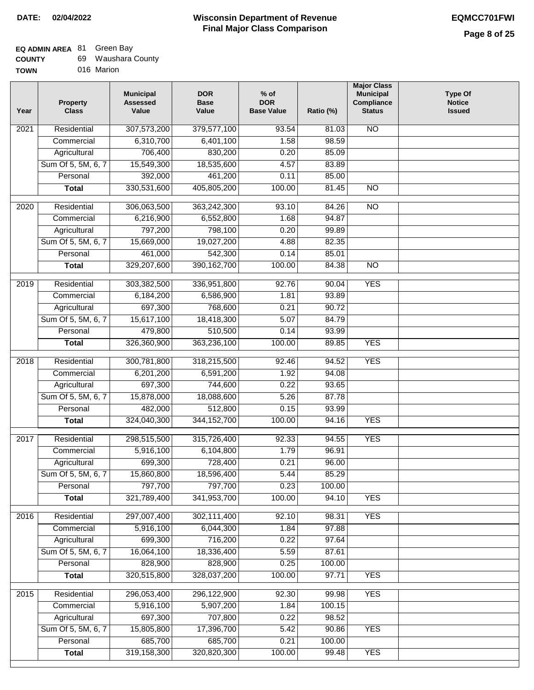# **EQ ADMIN AREA** 81 Green Bay **COUNTY**

| <b>COUNTY</b> | 69. | Waushara County |
|---------------|-----|-----------------|
| <b>TOWN</b>   |     | 016 Marion      |

| Year | <b>Property</b><br><b>Class</b> | <b>Municipal</b><br><b>Assessed</b><br>Value | <b>DOR</b><br><b>Base</b><br>Value | $%$ of<br><b>DOR</b><br><b>Base Value</b> | Ratio (%) | <b>Major Class</b><br><b>Municipal</b><br>Compliance<br><b>Status</b> | <b>Type Of</b><br><b>Notice</b><br><b>Issued</b> |
|------|---------------------------------|----------------------------------------------|------------------------------------|-------------------------------------------|-----------|-----------------------------------------------------------------------|--------------------------------------------------|
| 2021 | Residential                     | 307,573,200                                  | 379,577,100                        | 93.54                                     | 81.03     | <b>NO</b>                                                             |                                                  |
|      | Commercial                      | 6,310,700                                    | 6,401,100                          | 1.58                                      | 98.59     |                                                                       |                                                  |
|      | Agricultural                    | 706,400                                      | 830,200                            | 0.20                                      | 85.09     |                                                                       |                                                  |
|      | Sum Of 5, 5M, 6, 7              | 15,549,300                                   | 18,535,600                         | 4.57                                      | 83.89     |                                                                       |                                                  |
|      | Personal                        | 392,000                                      | 461,200                            | 0.11                                      | 85.00     |                                                                       |                                                  |
|      | <b>Total</b>                    | 330,531,600                                  | 405,805,200                        | 100.00                                    | 81.45     | $\overline{NO}$                                                       |                                                  |
| 2020 | Residential                     | 306,063,500                                  | 363,242,300                        | 93.10                                     | 84.26     | $\overline{3}$                                                        |                                                  |
|      | Commercial                      | 6,216,900                                    | 6,552,800                          | 1.68                                      | 94.87     |                                                                       |                                                  |
|      | Agricultural                    | 797,200                                      | 798,100                            | 0.20                                      | 99.89     |                                                                       |                                                  |
|      | Sum Of 5, 5M, 6, 7              | 15,669,000                                   | 19,027,200                         | 4.88                                      | 82.35     |                                                                       |                                                  |
|      | Personal                        | 461,000                                      | 542,300                            | 0.14                                      | 85.01     |                                                                       |                                                  |
|      | <b>Total</b>                    | 329,207,600                                  | 390, 162, 700                      | 100.00                                    | 84.38     | $\overline{NO}$                                                       |                                                  |
| 2019 | Residential                     | 303,382,500                                  | 336,951,800                        | 92.76                                     | 90.04     | <b>YES</b>                                                            |                                                  |
|      | Commercial                      | 6,184,200                                    | 6,586,900                          | 1.81                                      | 93.89     |                                                                       |                                                  |
|      | Agricultural                    | 697,300                                      | 768,600                            | 0.21                                      | 90.72     |                                                                       |                                                  |
|      | Sum Of 5, 5M, 6, 7              | 15,617,100                                   | 18,418,300                         | 5.07                                      | 84.79     |                                                                       |                                                  |
|      | Personal                        | 479,800                                      | 510,500                            | 0.14                                      | 93.99     |                                                                       |                                                  |
|      | <b>Total</b>                    | 326,360,900                                  | 363,236,100                        | 100.00                                    | 89.85     | <b>YES</b>                                                            |                                                  |
|      |                                 |                                              |                                    |                                           |           |                                                                       |                                                  |
| 2018 | Residential                     | 300,781,800                                  | 318,215,500                        | 92.46                                     | 94.52     | <b>YES</b>                                                            |                                                  |
|      | Commercial                      | 6,201,200                                    | 6,591,200                          | 1.92                                      | 94.08     |                                                                       |                                                  |
|      | Agricultural                    | 697,300                                      | 744,600                            | 0.22                                      | 93.65     |                                                                       |                                                  |
|      | Sum Of 5, 5M, 6, 7              | 15,878,000                                   | 18,088,600                         | 5.26                                      | 87.78     |                                                                       |                                                  |
|      | Personal                        | 482,000                                      | 512,800                            | 0.15                                      | 93.99     |                                                                       |                                                  |
|      | <b>Total</b>                    | 324,040,300                                  | 344, 152, 700                      | 100.00                                    | 94.16     | <b>YES</b>                                                            |                                                  |
| 2017 | Residential                     | 298,515,500                                  | 315,726,400                        | 92.33                                     | 94.55     | <b>YES</b>                                                            |                                                  |
|      | Commercial                      | 5,916,100                                    | 6,104,800                          | 1.79                                      | 96.91     |                                                                       |                                                  |
|      | Agricultural                    | 699,300                                      | 728,400                            | 0.21                                      | 96.00     |                                                                       |                                                  |
|      | Sum Of 5, 5M, 6, 7              | 15,860,800                                   | 18,596,400                         | 5.44                                      | 85.29     |                                                                       |                                                  |
|      | Personal                        | 797,700                                      | 797,700                            | 0.23                                      | 100.00    |                                                                       |                                                  |
|      | <b>Total</b>                    | 321,789,400                                  | 341,953,700                        | 100.00                                    | 94.10     | <b>YES</b>                                                            |                                                  |
| 2016 | Residential                     | 297,007,400                                  | 302,111,400                        | 92.10                                     | 98.31     | <b>YES</b>                                                            |                                                  |
|      | Commercial                      | 5,916,100                                    | 6,044,300                          | 1.84                                      | 97.88     |                                                                       |                                                  |
|      | Agricultural                    | 699,300                                      | 716,200                            | 0.22                                      | 97.64     |                                                                       |                                                  |
|      | Sum Of 5, 5M, 6, 7              | 16,064,100                                   | 18,336,400                         | 5.59                                      | 87.61     |                                                                       |                                                  |
|      | Personal                        | 828,900                                      | 828,900                            | 0.25                                      | 100.00    |                                                                       |                                                  |
|      | <b>Total</b>                    | 320,515,800                                  | 328,037,200                        | 100.00                                    | 97.71     | <b>YES</b>                                                            |                                                  |
|      |                                 |                                              |                                    |                                           |           |                                                                       |                                                  |
| 2015 | Residential                     | 296,053,400                                  | 296,122,900                        | 92.30                                     | 99.98     | <b>YES</b>                                                            |                                                  |
|      | Commercial                      | 5,916,100                                    | 5,907,200                          | 1.84                                      | 100.15    |                                                                       |                                                  |
|      | Agricultural                    | 697,300                                      | 707,800                            | 0.22                                      | 98.52     |                                                                       |                                                  |
|      | Sum Of 5, 5M, 6, 7              | 15,805,800                                   | 17,396,700                         | 5.42                                      | 90.86     | <b>YES</b>                                                            |                                                  |
|      | Personal                        | 685,700                                      | 685,700                            | 0.21                                      | 100.00    |                                                                       |                                                  |
|      | <b>Total</b>                    | 319,158,300                                  | 320,820,300                        | 100.00                                    | 99.48     | <b>YES</b>                                                            |                                                  |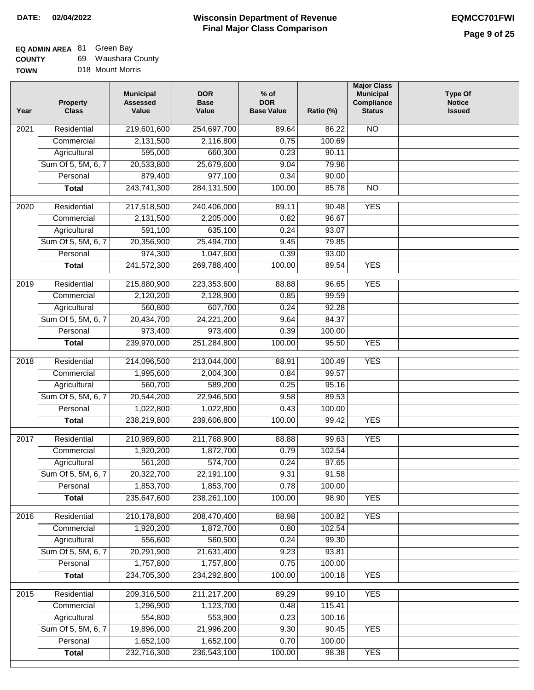# **EQ ADMIN AREA** 81 Green Bay

**COUNTY TOWN** 69 Waushara County 018 Mount Morris

| Year             | <b>Property</b><br><b>Class</b>    | <b>Municipal</b><br><b>Assessed</b><br>Value | <b>DOR</b><br><b>Base</b><br>Value | $%$ of<br><b>DOR</b><br><b>Base Value</b> | Ratio (%)       | <b>Major Class</b><br><b>Municipal</b><br>Compliance<br><b>Status</b> | <b>Type Of</b><br><b>Notice</b><br><b>Issued</b> |
|------------------|------------------------------------|----------------------------------------------|------------------------------------|-------------------------------------------|-----------------|-----------------------------------------------------------------------|--------------------------------------------------|
| 2021             | Residential                        | 219,601,600                                  | 254,697,700                        | 89.64                                     | 86.22           | $\overline{NO}$                                                       |                                                  |
|                  | Commercial                         | 2,131,500                                    | 2,116,800                          | 0.75                                      | 100.69          |                                                                       |                                                  |
|                  | Agricultural                       | 595,000                                      | 660,300                            | 0.23                                      | 90.11           |                                                                       |                                                  |
|                  | Sum Of 5, 5M, 6, 7                 | 20,533,800                                   | 25,679,600                         | 9.04                                      | 79.96           |                                                                       |                                                  |
|                  | Personal                           | 879,400                                      | 977,100                            | 0.34                                      | 90.00           |                                                                       |                                                  |
|                  | <b>Total</b>                       | 243,741,300                                  | 284, 131, 500                      | 100.00                                    | 85.78           | <b>NO</b>                                                             |                                                  |
| 2020             | Residential                        | 217,518,500                                  | 240,406,000                        | 89.11                                     | 90.48           | <b>YES</b>                                                            |                                                  |
|                  | Commercial                         | 2,131,500                                    | 2,205,000                          | 0.82                                      | 96.67           |                                                                       |                                                  |
|                  | Agricultural                       | 591,100                                      | 635,100                            | 0.24                                      | 93.07           |                                                                       |                                                  |
|                  | Sum Of 5, 5M, 6, 7                 | 20,356,900                                   | 25,494,700                         | 9.45                                      | 79.85           |                                                                       |                                                  |
|                  | Personal                           | 974,300                                      | 1,047,600                          | 0.39                                      | 93.00           |                                                                       |                                                  |
|                  | <b>Total</b>                       | 241,572,300                                  | 269,788,400                        | 100.00                                    | 89.54           | <b>YES</b>                                                            |                                                  |
| $\frac{1}{2019}$ | Residential                        | 215,880,900                                  | 223,353,600                        | 88.88                                     | 96.65           | <b>YES</b>                                                            |                                                  |
|                  | Commercial                         | 2,120,200                                    | 2,128,900                          | 0.85                                      | 99.59           |                                                                       |                                                  |
|                  | Agricultural                       | 560,800                                      | 607,700                            | 0.24                                      | 92.28           |                                                                       |                                                  |
|                  | Sum Of 5, 5M, 6, 7                 | 20,434,700                                   | 24,221,200                         | 9.64                                      | 84.37           |                                                                       |                                                  |
|                  | Personal                           | 973,400                                      | 973,400                            | 0.39                                      | 100.00          |                                                                       |                                                  |
|                  | <b>Total</b>                       | 239,970,000                                  | 251,284,800                        | 100.00                                    | 95.50           | <b>YES</b>                                                            |                                                  |
|                  |                                    |                                              |                                    |                                           |                 |                                                                       |                                                  |
| 2018             | Residential<br>Commercial          | 214,096,500<br>1,995,600                     | 213,044,000<br>2,004,300           | 88.91<br>0.84                             | 100.49<br>99.57 | <b>YES</b>                                                            |                                                  |
|                  |                                    |                                              |                                    |                                           | 95.16           |                                                                       |                                                  |
|                  | Agricultural<br>Sum Of 5, 5M, 6, 7 | 560,700<br>20,544,200                        | 589,200<br>22,946,500              | 0.25<br>9.58                              | 89.53           |                                                                       |                                                  |
|                  | Personal                           | 1,022,800                                    | 1,022,800                          | 0.43                                      | 100.00          |                                                                       |                                                  |
|                  | <b>Total</b>                       | 238,219,800                                  | 239,606,800                        | 100.00                                    | 99.42           | <b>YES</b>                                                            |                                                  |
|                  |                                    |                                              |                                    |                                           |                 |                                                                       |                                                  |
| 2017             | Residential                        | 210,989,800                                  | 211,768,900                        | 88.88                                     | 99.63           | <b>YES</b>                                                            |                                                  |
|                  | Commercial                         | 1,920,200                                    | 1,872,700                          | 0.79                                      | 102.54          |                                                                       |                                                  |
|                  | Agricultural                       | 561,200                                      | 574,700                            | 0.24                                      | 97.65           |                                                                       |                                                  |
|                  | Sum Of 5, 5M, 6, 7                 | 20,322,700                                   | 22,191,100                         | 9.31                                      | 91.58           |                                                                       |                                                  |
|                  | Personal                           | 1,853,700                                    | 1,853,700                          | 0.78                                      | 100.00          |                                                                       |                                                  |
|                  | <b>Total</b>                       | 235,647,600                                  | 238,261,100                        | 100.00                                    | 98.90           | <b>YES</b>                                                            |                                                  |
| 2016             | Residential                        | 210,178,800                                  | 208,470,400                        | 88.98                                     | 100.82          | <b>YES</b>                                                            |                                                  |
|                  | Commercial                         | 1,920,200                                    | 1,872,700                          | 0.80                                      | 102.54          |                                                                       |                                                  |
|                  | Agricultural                       | 556,600                                      | 560,500                            | 0.24                                      | 99.30           |                                                                       |                                                  |
|                  | Sum Of 5, 5M, 6, 7                 | 20,291,900                                   | 21,631,400                         | 9.23                                      | 93.81           |                                                                       |                                                  |
|                  | Personal                           | 1,757,800                                    | 1,757,800                          | 0.75                                      | 100.00          |                                                                       |                                                  |
|                  | <b>Total</b>                       | 234,705,300                                  | 234,292,800                        | 100.00                                    | 100.18          | <b>YES</b>                                                            |                                                  |
| 2015             | Residential                        | 209,316,500                                  | 211,217,200                        | 89.29                                     | 99.10           | <b>YES</b>                                                            |                                                  |
|                  | Commercial                         | 1,296,900                                    | 1,123,700                          | 0.48                                      | 115.41          |                                                                       |                                                  |
|                  | Agricultural                       | 554,800                                      | 553,900                            | 0.23                                      | 100.16          |                                                                       |                                                  |
|                  | Sum Of 5, 5M, 6, 7                 | 19,896,000                                   | 21,996,200                         | 9.30                                      | 90.45           | <b>YES</b>                                                            |                                                  |
|                  | Personal                           | 1,652,100                                    | 1,652,100                          | 0.70                                      | 100.00          |                                                                       |                                                  |
|                  | <b>Total</b>                       | 232,716,300                                  | 236,543,100                        | 100.00                                    | 98.38           | <b>YES</b>                                                            |                                                  |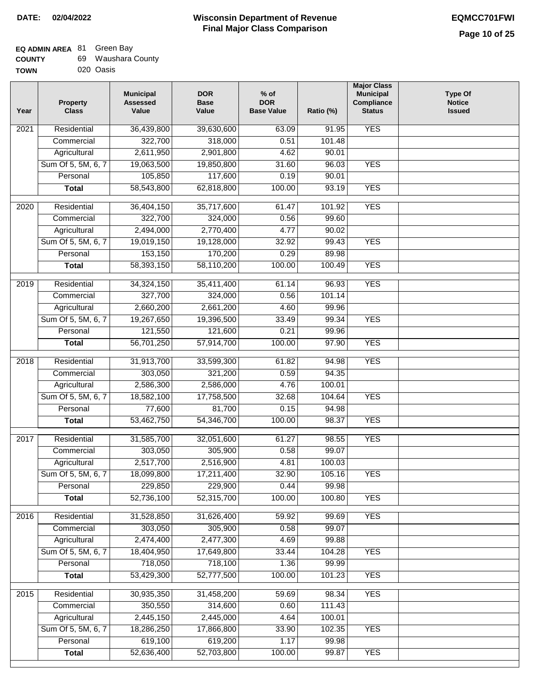# **EQ ADMIN AREA** 81 Green Bay

| <b>COUNTY</b> | 69 Waushara County |
|---------------|--------------------|
|               |                    |

**TOWN** 020 Oasis

| Year | <b>Property</b><br><b>Class</b> | <b>Municipal</b><br><b>Assessed</b><br>Value | <b>DOR</b><br><b>Base</b><br>Value | $%$ of<br><b>DOR</b><br><b>Base Value</b> | Ratio (%) | <b>Major Class</b><br><b>Municipal</b><br>Compliance<br><b>Status</b> | <b>Type Of</b><br><b>Notice</b><br><b>Issued</b> |
|------|---------------------------------|----------------------------------------------|------------------------------------|-------------------------------------------|-----------|-----------------------------------------------------------------------|--------------------------------------------------|
| 2021 | Residential                     | 36,439,800                                   | 39,630,600                         | 63.09                                     | 91.95     | <b>YES</b>                                                            |                                                  |
|      | Commercial                      | 322,700                                      | 318,000                            | 0.51                                      | 101.48    |                                                                       |                                                  |
|      | Agricultural                    | 2,611,950                                    | 2,901,800                          | 4.62                                      | 90.01     |                                                                       |                                                  |
|      | Sum Of 5, 5M, 6, 7              | 19,063,500                                   | 19,850,800                         | 31.60                                     | 96.03     | <b>YES</b>                                                            |                                                  |
|      | Personal                        | 105,850                                      | 117,600                            | 0.19                                      | 90.01     |                                                                       |                                                  |
|      | <b>Total</b>                    | 58,543,800                                   | 62,818,800                         | 100.00                                    | 93.19     | <b>YES</b>                                                            |                                                  |
| 2020 | Residential                     | 36,404,150                                   | 35,717,600                         | 61.47                                     | 101.92    | <b>YES</b>                                                            |                                                  |
|      | Commercial                      | 322,700                                      | 324,000                            | 0.56                                      | 99.60     |                                                                       |                                                  |
|      | Agricultural                    | 2,494,000                                    | 2,770,400                          | 4.77                                      | 90.02     |                                                                       |                                                  |
|      | Sum Of 5, 5M, 6, 7              | 19,019,150                                   | 19,128,000                         | 32.92                                     | 99.43     | <b>YES</b>                                                            |                                                  |
|      | Personal                        | 153,150                                      | 170,200                            | 0.29                                      | 89.98     |                                                                       |                                                  |
|      | <b>Total</b>                    | 58,393,150                                   | 58,110,200                         | 100.00                                    | 100.49    | <b>YES</b>                                                            |                                                  |
|      |                                 |                                              |                                    |                                           |           |                                                                       |                                                  |
| 2019 | Residential                     | 34,324,150                                   | 35,411,400                         | 61.14                                     | 96.93     | <b>YES</b>                                                            |                                                  |
|      | Commercial                      | 327,700                                      | 324,000                            | 0.56                                      | 101.14    |                                                                       |                                                  |
|      | Agricultural                    | 2,660,200                                    | 2,661,200                          | 4.60                                      | 99.96     |                                                                       |                                                  |
|      | Sum Of 5, 5M, 6, 7              | 19,267,650                                   | 19,396,500                         | 33.49                                     | 99.34     | <b>YES</b>                                                            |                                                  |
|      | Personal                        | 121,550                                      | 121,600                            | 0.21                                      | 99.96     |                                                                       |                                                  |
|      | <b>Total</b>                    | 56,701,250                                   | 57,914,700                         | 100.00                                    | 97.90     | <b>YES</b>                                                            |                                                  |
| 2018 | Residential                     | 31,913,700                                   | 33,599,300                         | 61.82                                     | 94.98     | <b>YES</b>                                                            |                                                  |
|      | Commercial                      | 303,050                                      | 321,200                            | 0.59                                      | 94.35     |                                                                       |                                                  |
|      | Agricultural                    | 2,586,300                                    | 2,586,000                          | 4.76                                      | 100.01    |                                                                       |                                                  |
|      | Sum Of 5, 5M, 6, 7              | 18,582,100                                   | 17,758,500                         | 32.68                                     | 104.64    | <b>YES</b>                                                            |                                                  |
|      | Personal                        | 77,600                                       | 81,700                             | 0.15                                      | 94.98     |                                                                       |                                                  |
|      | <b>Total</b>                    | 53,462,750                                   | 54,346,700                         | 100.00                                    | 98.37     | <b>YES</b>                                                            |                                                  |
| 2017 | Residential                     | 31,585,700                                   | 32,051,600                         | 61.27                                     | 98.55     | <b>YES</b>                                                            |                                                  |
|      | Commercial                      | 303,050                                      | 305,900                            | 0.58                                      | 99.07     |                                                                       |                                                  |
|      | Agricultural                    | 2,517,700                                    | 2,516,900                          | 4.81                                      | 100.03    |                                                                       |                                                  |
|      | Sum Of 5, 5M, 6, 7              | 18,099,800                                   | 17,211,400                         | 32.90                                     | 105.16    | <b>YES</b>                                                            |                                                  |
|      | Personal                        | 229,850                                      | 229,900                            | 0.44                                      | 99.98     |                                                                       |                                                  |
|      | <b>Total</b>                    | 52,736,100                                   | 52,315,700                         | 100.00                                    | 100.80    | <b>YES</b>                                                            |                                                  |
|      |                                 |                                              |                                    |                                           |           |                                                                       |                                                  |
| 2016 | Residential                     | 31,528,850                                   | 31,626,400                         | 59.92                                     | 99.69     | <b>YES</b>                                                            |                                                  |
|      | Commercial                      | 303,050<br>2,474,400                         | 305,900<br>2,477,300               | 0.58                                      | 99.07     |                                                                       |                                                  |
|      | Agricultural                    |                                              |                                    | 4.69                                      | 99.88     | <b>YES</b>                                                            |                                                  |
|      | Sum Of 5, 5M, 6, 7              | 18,404,950                                   | 17,649,800                         | 33.44                                     | 104.28    |                                                                       |                                                  |
|      | Personal                        | 718,050                                      | 718,100                            | 1.36                                      | 99.99     |                                                                       |                                                  |
|      | <b>Total</b>                    | 53,429,300                                   | 52,777,500                         | 100.00                                    | 101.23    | <b>YES</b>                                                            |                                                  |
| 2015 | Residential                     | 30,935,350                                   | 31,458,200                         | 59.69                                     | 98.34     | <b>YES</b>                                                            |                                                  |
|      | Commercial                      | 350,550                                      | 314,600                            | 0.60                                      | 111.43    |                                                                       |                                                  |
|      | Agricultural                    | 2,445,150                                    | 2,445,000                          | 4.64                                      | 100.01    |                                                                       |                                                  |
|      | Sum Of 5, 5M, 6, 7              | 18,286,250                                   | 17,866,800                         | 33.90                                     | 102.35    | <b>YES</b>                                                            |                                                  |
|      | Personal                        | 619,100                                      | 619,200                            | 1.17                                      | 99.98     |                                                                       |                                                  |
|      | <b>Total</b>                    | 52,636,400                                   | 52,703,800                         | 100.00                                    | 99.87     | <b>YES</b>                                                            |                                                  |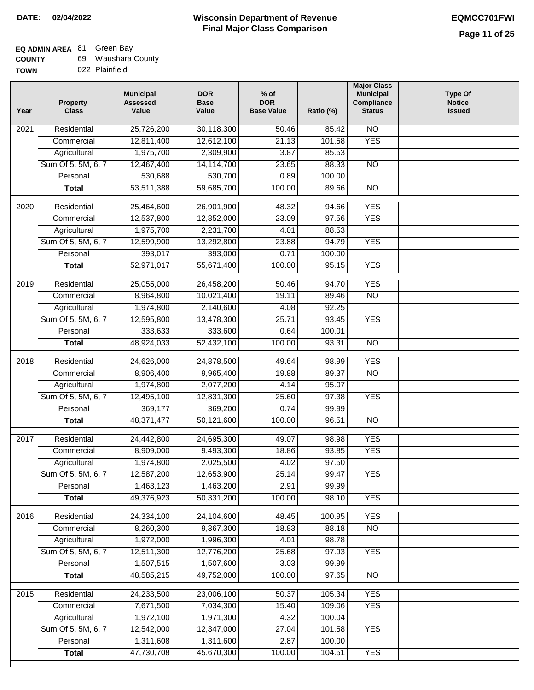# **EQ ADMIN AREA** 81 Green Bay

| <b>COUNTY</b> | Waushara County |
|---------------|-----------------|
|---------------|-----------------|

**TOWN** 022 Plainfield

| Year | <b>Property</b><br><b>Class</b> | <b>Municipal</b><br><b>Assessed</b><br>Value | <b>DOR</b><br><b>Base</b><br>Value | $%$ of<br><b>DOR</b><br><b>Base Value</b> | Ratio (%) | <b>Major Class</b><br><b>Municipal</b><br>Compliance<br><b>Status</b> | <b>Type Of</b><br><b>Notice</b><br><b>Issued</b> |
|------|---------------------------------|----------------------------------------------|------------------------------------|-------------------------------------------|-----------|-----------------------------------------------------------------------|--------------------------------------------------|
| 2021 | Residential                     | 25,726,200                                   | 30,118,300                         | 50.46                                     | 85.42     | $\overline{NO}$                                                       |                                                  |
|      | Commercial                      | 12,811,400                                   | 12,612,100                         | 21.13                                     | 101.58    | <b>YES</b>                                                            |                                                  |
|      | Agricultural                    | 1,975,700                                    | 2,309,900                          | 3.87                                      | 85.53     |                                                                       |                                                  |
|      | Sum Of 5, 5M, 6, 7              | 12,467,400                                   | 14,114,700                         | 23.65                                     | 88.33     | $\overline{NO}$                                                       |                                                  |
|      | Personal                        | 530,688                                      | 530,700                            | 0.89                                      | 100.00    |                                                                       |                                                  |
|      | <b>Total</b>                    | 53,511,388                                   | 59,685,700                         | 100.00                                    | 89.66     | $\overline{NO}$                                                       |                                                  |
| 2020 | Residential                     | 25,464,600                                   | 26,901,900                         | 48.32                                     | 94.66     | <b>YES</b>                                                            |                                                  |
|      | Commercial                      | 12,537,800                                   | 12,852,000                         | 23.09                                     | 97.56     | <b>YES</b>                                                            |                                                  |
|      | Agricultural                    | 1,975,700                                    | 2,231,700                          | 4.01                                      | 88.53     |                                                                       |                                                  |
|      | Sum Of 5, 5M, 6, 7              | 12,599,900                                   | 13,292,800                         | 23.88                                     | 94.79     | <b>YES</b>                                                            |                                                  |
|      | Personal                        | 393,017                                      | 393,000                            | 0.71                                      | 100.00    |                                                                       |                                                  |
|      | <b>Total</b>                    | 52,971,017                                   | 55,671,400                         | 100.00                                    | 95.15     | <b>YES</b>                                                            |                                                  |
|      |                                 |                                              |                                    |                                           |           |                                                                       |                                                  |
| 2019 | Residential                     | 25,055,000                                   | 26,458,200                         | 50.46                                     | 94.70     | <b>YES</b>                                                            |                                                  |
|      | Commercial                      | 8,964,800                                    | 10,021,400                         | 19.11                                     | 89.46     | $\overline{NO}$                                                       |                                                  |
|      | Agricultural                    | 1,974,800                                    | 2,140,600                          | 4.08                                      | 92.25     |                                                                       |                                                  |
|      | Sum Of 5, 5M, 6, 7              | 12,595,800                                   | 13,478,300                         | 25.71                                     | 93.45     | <b>YES</b>                                                            |                                                  |
|      | Personal                        | 333,633                                      | 333,600                            | 0.64                                      | 100.01    |                                                                       |                                                  |
|      | <b>Total</b>                    | 48,924,033                                   | 52,432,100                         | 100.00                                    | 93.31     | $\overline{NO}$                                                       |                                                  |
| 2018 | Residential                     | 24,626,000                                   | 24,878,500                         | 49.64                                     | 98.99     | <b>YES</b>                                                            |                                                  |
|      | Commercial                      | 8,906,400                                    | 9,965,400                          | 19.88                                     | 89.37     | N <sub>O</sub>                                                        |                                                  |
|      | Agricultural                    | 1,974,800                                    | 2,077,200                          | 4.14                                      | 95.07     |                                                                       |                                                  |
|      | Sum Of 5, 5M, 6, 7              | 12,495,100                                   | 12,831,300                         | 25.60                                     | 97.38     | <b>YES</b>                                                            |                                                  |
|      | Personal                        | 369,177                                      | 369,200                            | 0.74                                      | 99.99     |                                                                       |                                                  |
|      | <b>Total</b>                    | 48,371,477                                   | 50,121,600                         | 100.00                                    | 96.51     | $\overline{NO}$                                                       |                                                  |
| 2017 | Residential                     | 24,442,800                                   | 24,695,300                         | 49.07                                     | 98.98     | <b>YES</b>                                                            |                                                  |
|      | Commercial                      | 8,909,000                                    | 9,493,300                          | 18.86                                     | 93.85     | <b>YES</b>                                                            |                                                  |
|      | Agricultural                    | 1,974,800                                    | 2,025,500                          | 4.02                                      | 97.50     |                                                                       |                                                  |
|      | Sum Of 5, 5M, 6, 7              | 12,587,200                                   | 12,653,900                         | 25.14                                     | 99.47     | <b>YES</b>                                                            |                                                  |
|      | Personal                        | 1,463,123                                    | 1,463,200                          | 2.91                                      | 99.99     |                                                                       |                                                  |
|      | <b>Total</b>                    | 49,376,923                                   | 50,331,200                         | 100.00                                    | 98.10     | <b>YES</b>                                                            |                                                  |
|      |                                 |                                              |                                    |                                           |           |                                                                       |                                                  |
| 2016 | Residential                     | 24,334,100                                   | 24,104,600                         | 48.45                                     | 100.95    | <b>YES</b>                                                            |                                                  |
|      | Commercial                      | 8,260,300                                    | 9,367,300                          | 18.83                                     | 88.18     | $\overline{NO}$                                                       |                                                  |
|      | Agricultural                    | 1,972,000                                    | 1,996,300                          | 4.01                                      | 98.78     |                                                                       |                                                  |
|      | Sum Of 5, 5M, 6, 7              | 12,511,300                                   | 12,776,200                         | 25.68                                     | 97.93     | <b>YES</b>                                                            |                                                  |
|      | Personal                        | 1,507,515                                    | 1,507,600                          | 3.03                                      | 99.99     |                                                                       |                                                  |
|      | <b>Total</b>                    | 48,585,215                                   | 49,752,000                         | 100.00                                    | 97.65     | N <sub>O</sub>                                                        |                                                  |
| 2015 | Residential                     | 24,233,500                                   | 23,006,100                         | 50.37                                     | 105.34    | <b>YES</b>                                                            |                                                  |
|      | Commercial                      | 7,671,500                                    | 7,034,300                          | 15.40                                     | 109.06    | <b>YES</b>                                                            |                                                  |
|      | Agricultural                    | 1,972,100                                    | 1,971,300                          | 4.32                                      | 100.04    |                                                                       |                                                  |
|      | Sum Of 5, 5M, 6, 7              | 12,542,000                                   | 12,347,000                         | 27.04                                     | 101.58    | <b>YES</b>                                                            |                                                  |
|      | Personal                        | 1,311,608                                    | 1,311,600                          | 2.87                                      | 100.00    |                                                                       |                                                  |
|      | <b>Total</b>                    | 47,730,708                                   | 45,670,300                         | 100.00                                    | 104.51    | <b>YES</b>                                                            |                                                  |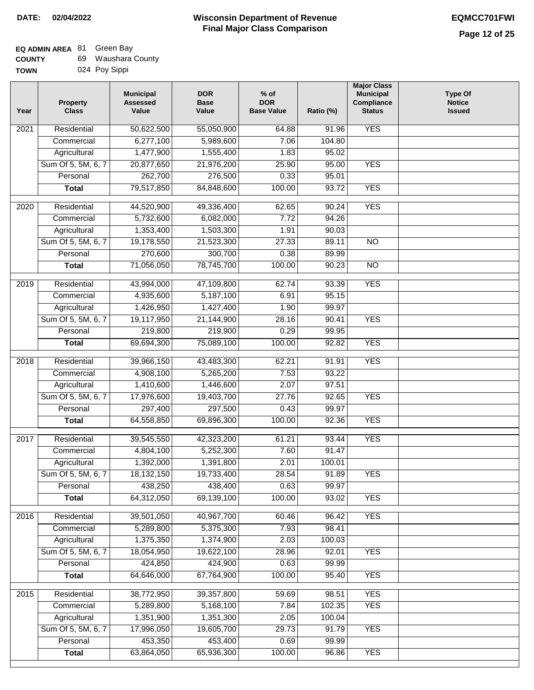**Type Of Notice Issued**

 $\mathbf{I}$ 

| <b>COUNTY</b> | 69 Waushara County |
|---------------|--------------------|
|               |                    |

| <b>TOWN</b> | 024 Poy Sippi                   |                                              |                                    |                                           |           |                                                                              |
|-------------|---------------------------------|----------------------------------------------|------------------------------------|-------------------------------------------|-----------|------------------------------------------------------------------------------|
| Year        | <b>Property</b><br><b>Class</b> | <b>Municipal</b><br><b>Assessed</b><br>Value | <b>DOR</b><br><b>Base</b><br>Value | $%$ of<br><b>DOR</b><br><b>Base Value</b> | Ratio (%) | <b>Major Class</b><br><b>Municipal</b><br><b>Compliance</b><br><b>Status</b> |
| 2021        | Residential                     | 50,622,500                                   | 55,050,900                         | 64.88                                     | 91.96     | <b>YES</b>                                                                   |
|             | Commercial                      | 6,277,100                                    | 5,989,600                          | 7.06                                      | 104.80    |                                                                              |
|             | Agricultural                    | 1,477,900                                    | 1,555,400                          | 1.83                                      | 95.02     |                                                                              |
|             | Sum Of 5, 5M, 6, 7              | 20,877,650                                   | 21,976,200                         | 25.90                                     | 95.00     | <b>YES</b>                                                                   |
|             | Personal                        | 262,700                                      | 276,500                            | 0.33                                      | 95.01     |                                                                              |
|             | <b>Total</b>                    | 79,517,850                                   | 84,848,600                         | 100.00                                    | 93.72     | <b>YES</b>                                                                   |
| 2020        | Residential                     | 44,520,900                                   | 49,336,400                         | 62.65                                     | 90.24     | <b>YES</b>                                                                   |
|             | Commercial                      | 5,732,600                                    | 6,082,000                          | 7.72                                      | 94.26     |                                                                              |
|             | Agricultural                    | 1,353,400                                    | 1,503,300                          | 1.91                                      | 90.03     |                                                                              |
|             | Sum Of 5, 5M, 6, 7              | 19,178,550                                   | 21,523,300                         | 27.33                                     | 89.11     | $\overline{NO}$                                                              |
|             | Personal                        | 270,600                                      | 300,700                            | 0.38                                      | 89.99     |                                                                              |
|             | <b>Total</b>                    | 71,056,050                                   | 78,745,700                         | 100.00                                    | 90.23     | <b>NO</b>                                                                    |
| 2019        | Residential                     | 43,994,000                                   | 47,109,800                         | 62.74                                     | 93.39     | <b>YES</b>                                                                   |
|             | Commercial                      | 4,935,600                                    | 5,187,100                          | 6.91                                      | 95.15     |                                                                              |
|             | Agricultural                    | 1,426,950                                    | 1,427,400                          | 1.90                                      | 99.97     |                                                                              |
|             | Sum Of 5, 5M, 6, 7              | 19,117,950                                   | 21,144,900                         | 28.16                                     | 90.41     | <b>YES</b>                                                                   |
|             | Personal                        | 219,800                                      | 219,900                            | 0.29                                      | 99.95     |                                                                              |
|             | <b>Total</b>                    | 69,694,300                                   | 75,089,100                         | 100.00                                    | 92.82     | <b>YES</b>                                                                   |
| 2018        | Residential                     | 39,966,150                                   | 43,483,300                         | 62.21                                     | 91.91     | $\overline{YES}$                                                             |
|             | Commercial                      | 4,908,100                                    | 5,265,200                          | 7.53                                      | 93.22     |                                                                              |
|             | المعربة ابرمزجه فالمراد         | $4.440$ COO                                  | $4.449$ COO                        | 0.07                                      | 07E4      |                                                                              |

|                   | Commercial         | 4,908,100  | 5,265,200  | 7.53   | 93.22  |            |  |
|-------------------|--------------------|------------|------------|--------|--------|------------|--|
|                   | Agricultural       | 1,410,600  | 1,446,600  | 2.07   | 97.51  |            |  |
|                   | Sum Of 5, 5M, 6, 7 | 17,976,600 | 19,403,700 | 27.76  | 92.65  | <b>YES</b> |  |
|                   | Personal           | 297,400    | 297,500    | 0.43   | 99.97  |            |  |
|                   | <b>Total</b>       | 64,558,850 | 69,896,300 | 100.00 | 92.36  | <b>YES</b> |  |
|                   |                    |            |            |        |        |            |  |
| 2017              | Residential        | 39,545,550 | 42,323,200 | 61.21  | 93.44  | <b>YES</b> |  |
|                   | Commercial         | 4,804,100  | 5,252,300  | 7.60   | 91.47  |            |  |
|                   | Agricultural       | 1,392,000  | 1,391,800  | 2.01   | 100.01 |            |  |
|                   | Sum Of 5, 5M, 6, 7 | 18,132,150 | 19,733,400 | 28.54  | 91.89  | <b>YES</b> |  |
|                   | Personal           | 438,250    | 438,400    | 0.63   | 99.97  |            |  |
|                   | <b>Total</b>       | 64,312,050 | 69,139,100 | 100.00 | 93.02  | <b>YES</b> |  |
|                   |                    |            |            |        |        |            |  |
| 2016              | Residential        | 39,501,050 | 40,967,700 | 60.46  | 96.42  | <b>YES</b> |  |
|                   | Commercial         | 5,289,800  | 5,375,300  | 7.93   | 98.41  |            |  |
|                   | Agricultural       | 1,375,350  | 1,374,900  | 2.03   | 100.03 |            |  |
|                   | Sum Of 5, 5M, 6, 7 | 18,054,950 | 19,622,100 | 28.96  | 92.01  | <b>YES</b> |  |
|                   | Personal           | 424,850    | 424,900    | 0.63   | 99.99  |            |  |
|                   | <b>Total</b>       | 64,646,000 | 67,764,900 | 100.00 | 95.40  | <b>YES</b> |  |
|                   |                    |            |            |        |        |            |  |
| $\overline{2015}$ | Residential        | 38,772,950 | 39,357,800 | 59.69  | 98.51  | <b>YES</b> |  |
|                   | Commercial         | 5,289,800  | 5,168,100  | 7.84   | 102.35 | <b>YES</b> |  |
|                   | Agricultural       | 1,351,900  | 1,351,300  | 2.05   | 100.04 |            |  |
|                   | Sum Of 5, 5M, 6, 7 | 17,996,050 | 19,605,700 | 29.73  | 91.79  | <b>YES</b> |  |
|                   | Personal           | 453,350    | 453,400    | 0.69   | 99.99  |            |  |
|                   | <b>Total</b>       | 63,864,050 | 65,936,300 | 100.00 | 96.86  | <b>YES</b> |  |
|                   |                    |            |            |        |        |            |  |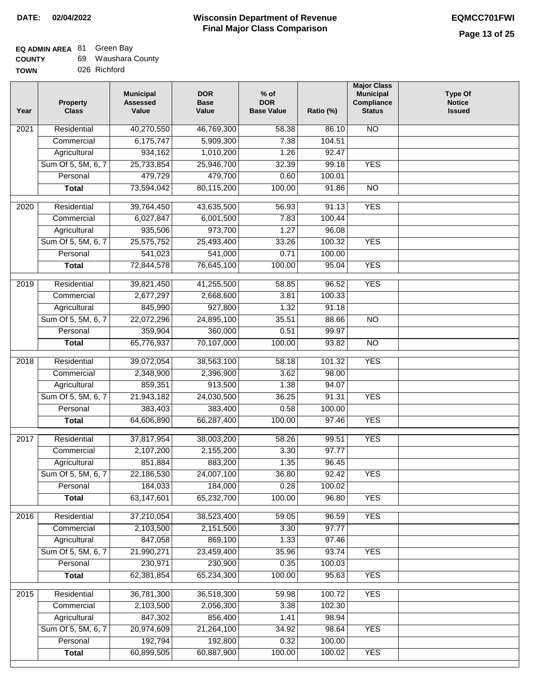$\overline{\phantom{a}}$ 

| <b>COUNTY</b> | 69. | Waushara County |
|---------------|-----|-----------------|
| <b>TOWN</b>   |     | 026 Richford    |

| Year              | <b>Property</b><br><b>Class</b> | <b>Municipal</b><br><b>Assessed</b><br>Value | <b>DOR</b><br><b>Base</b><br>Value | $%$ of<br><b>DOR</b><br><b>Base Value</b> | Ratio (%)        | <b>Major Class</b><br><b>Municipal</b><br>Compliance<br><b>Status</b> | <b>Type Of</b><br><b>Notice</b><br><b>Issued</b> |
|-------------------|---------------------------------|----------------------------------------------|------------------------------------|-------------------------------------------|------------------|-----------------------------------------------------------------------|--------------------------------------------------|
| 2021              | Residential                     | 40,270,550                                   | 46,769,300                         | 58.38                                     | 86.10            | N <sub>O</sub>                                                        |                                                  |
|                   | Commercial                      | 6,175,747                                    | 5,909,300                          | 7.38                                      | 104.51           |                                                                       |                                                  |
|                   | Agricultural                    | 934,162                                      | 1,010,200                          | 1.26                                      | 92.47            |                                                                       |                                                  |
|                   | Sum Of 5, 5M, 6, 7              | 25,733,854                                   | 25,946,700                         | 32.39                                     | 99.18            | <b>YES</b>                                                            |                                                  |
|                   | Personal                        | 479,729                                      | 479,700                            | 0.60                                      | 100.01           |                                                                       |                                                  |
|                   | <b>Total</b>                    | 73,594,042                                   | 80,115,200                         | 100.00                                    | 91.86            | $\overline{NO}$                                                       |                                                  |
| 2020              | Residential                     | 39,764,450                                   | 43,635,500                         | 56.93                                     | 91.13            | <b>YES</b>                                                            |                                                  |
|                   |                                 | 6,027,847                                    | 6,001,500                          | 7.83                                      | 100.44           |                                                                       |                                                  |
|                   | Commercial                      |                                              |                                    |                                           |                  |                                                                       |                                                  |
|                   | Agricultural                    | 935,506                                      | 973,700                            | 1.27                                      | 96.08            |                                                                       |                                                  |
|                   | Sum Of 5, 5M, 6, 7              | 25,575,752                                   | 25,493,400                         | 33.26<br>0.71                             | 100.32<br>100.00 | <b>YES</b>                                                            |                                                  |
|                   | Personal                        | 541,023                                      | 541,000                            |                                           |                  |                                                                       |                                                  |
|                   | <b>Total</b>                    | 72,844,578                                   | 76,645,100                         | 100.00                                    | 95.04            | <b>YES</b>                                                            |                                                  |
| $\frac{1}{2019}$  | Residential                     | 39,821,450                                   | 41,255,500                         | 58.85                                     | 96.52            | <b>YES</b>                                                            |                                                  |
|                   | Commercial                      | 2,677,297                                    | 2,668,600                          | 3.81                                      | 100.33           |                                                                       |                                                  |
|                   | Agricultural                    | 845,990                                      | 927,800                            | 1.32                                      | 91.18            |                                                                       |                                                  |
|                   | Sum Of 5, 5M, 6, 7              | 22,072,296                                   | 24,895,100                         | 35.51                                     | 88.66            | $\overline{NO}$                                                       |                                                  |
|                   | Personal                        | 359,904                                      | 360,000                            | 0.51                                      | 99.97            |                                                                       |                                                  |
|                   | <b>Total</b>                    | 65,776,937                                   | 70,107,000                         | 100.00                                    | 93.82            | $\overline{NO}$                                                       |                                                  |
| 2018              | Residential                     | 39,072,054                                   | 38,563,100                         | 58.18                                     | 101.32           | <b>YES</b>                                                            |                                                  |
|                   | Commercial                      | 2,348,900                                    | 2,396,900                          | 3.62                                      | 98.00            |                                                                       |                                                  |
|                   | Agricultural                    | 859,351                                      | 913,500                            | 1.38                                      | 94.07            |                                                                       |                                                  |
|                   | Sum Of 5, 5M, 6, 7              | 21,943,182                                   | 24,030,500                         | 36.25                                     | 91.31            | <b>YES</b>                                                            |                                                  |
|                   | Personal                        | 383,403                                      | 383,400                            | 0.58                                      | 100.00           |                                                                       |                                                  |
|                   | <b>Total</b>                    | 64,606,890                                   | 66,287,400                         | 100.00                                    | 97.46            | <b>YES</b>                                                            |                                                  |
| 2017              | Residential                     | 37,817,954                                   | 38,003,200                         | 58.26                                     | 99.51            | <b>YES</b>                                                            |                                                  |
|                   | Commercial                      | 2,107,200                                    | 2,155,200                          | 3.30                                      | 97.77            |                                                                       |                                                  |
|                   | Agricultural                    | 851,884                                      | 883,200                            | 1.35                                      | 96.45            |                                                                       |                                                  |
|                   | Sum Of 5, 5M, 6, 7              | 22,186,530                                   | 24,007,100                         | 36.80                                     | 92.42            | <b>YES</b>                                                            |                                                  |
|                   | Personal                        | 184,033                                      | 184,000                            | 0.28                                      | 100.02           |                                                                       |                                                  |
|                   | <b>Total</b>                    | 63,147,601                                   | 65,232,700                         | 100.00                                    | 96.80            | <b>YES</b>                                                            |                                                  |
| $\overline{2016}$ | Residential                     | 37,210,054                                   | 38,523,400                         | 59.05                                     | 96.59            | <b>YES</b>                                                            |                                                  |
|                   | Commercial                      | 2,103,500                                    | 2,151,500                          | 3.30                                      | 97.77            |                                                                       |                                                  |
|                   | Agricultural                    | 847,058                                      | 869,100                            | 1.33                                      | 97.46            |                                                                       |                                                  |
|                   | Sum Of 5, 5M, 6, 7              | 21,990,271                                   | 23,459,400                         | 35.96                                     | 93.74            | <b>YES</b>                                                            |                                                  |
|                   | Personal                        | 230,971                                      | 230,900                            | 0.35                                      | 100.03           |                                                                       |                                                  |
|                   | <b>Total</b>                    | 62,381,854                                   | 65,234,300                         | 100.00                                    | 95.63            | <b>YES</b>                                                            |                                                  |
| 2015              | Residential                     | 36,781,300                                   | 36,518,300                         | 59.98                                     | 100.72           | <b>YES</b>                                                            |                                                  |
|                   | Commercial                      | 2,103,500                                    | 2,056,300                          | 3.38                                      | 102.30           |                                                                       |                                                  |
|                   | Agricultural                    | 847,302                                      | 856,400                            | 1.41                                      | 98.94            |                                                                       |                                                  |
|                   | Sum Of 5, 5M, 6, 7              | 20,974,609                                   | 21,264,100                         | 34.92                                     | 98.64            | <b>YES</b>                                                            |                                                  |
|                   | Personal                        | 192,794                                      | 192,800                            | 0.32                                      | 100.00           |                                                                       |                                                  |
|                   | <b>Total</b>                    | 60,899,505                                   | 60,887,900                         | 100.00                                    | 100.02           | <b>YES</b>                                                            |                                                  |
|                   |                                 |                                              |                                    |                                           |                  |                                                                       |                                                  |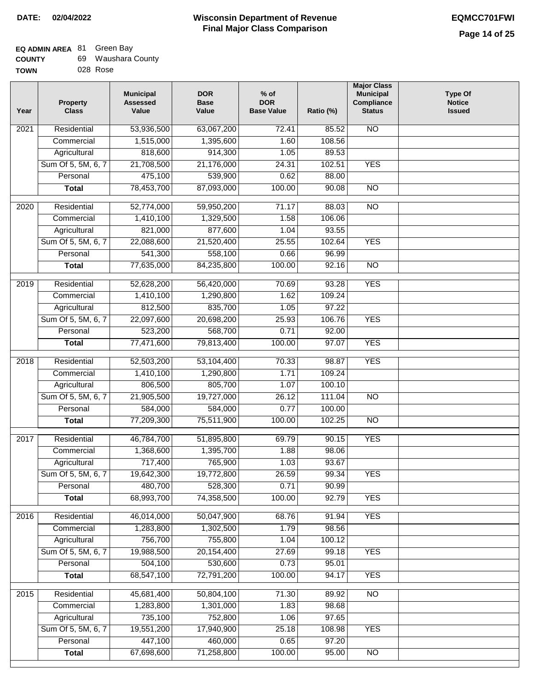# **Wisconsin Department of Revenue Final Major Class Comparison DATE: 02/04/2022 EQMCC701FWI**

┑

#### **EQ ADMIN AREA** 81 Green Bay **COUNTY** 69 Waushara County

| <b>UUUNII</b> | uJ. | wayonara vvi |
|---------------|-----|--------------|
| <b>TOWN</b>   |     | 028 Rose     |

| Year              | <b>Property</b><br><b>Class</b> | <b>Municipal</b><br><b>Assessed</b><br>Value | <b>DOR</b><br><b>Base</b><br>Value | $%$ of<br><b>DOR</b><br><b>Base Value</b> | Ratio (%) | <b>Major Class</b><br><b>Municipal</b><br>Compliance<br><b>Status</b> | <b>Type Of</b><br><b>Notice</b><br><b>Issued</b> |
|-------------------|---------------------------------|----------------------------------------------|------------------------------------|-------------------------------------------|-----------|-----------------------------------------------------------------------|--------------------------------------------------|
| 2021              | Residential                     | 53,936,500                                   | 63,067,200                         | 72.41                                     | 85.52     | N <sub>O</sub>                                                        |                                                  |
|                   | Commercial                      | 1,515,000                                    | 1,395,600                          | 1.60                                      | 108.56    |                                                                       |                                                  |
|                   | Agricultural                    | 818,600                                      | 914,300                            | 1.05                                      | 89.53     |                                                                       |                                                  |
|                   | Sum Of 5, 5M, 6, 7              | 21,708,500                                   | 21,176,000                         | 24.31                                     | 102.51    | <b>YES</b>                                                            |                                                  |
|                   | Personal                        | 475,100                                      | 539,900                            | 0.62                                      | 88.00     |                                                                       |                                                  |
|                   | <b>Total</b>                    | 78,453,700                                   | 87,093,000                         | 100.00                                    | 90.08     | $\overline{NO}$                                                       |                                                  |
| 2020              | Residential                     | 52,774,000                                   | 59,950,200                         | 71.17                                     | 88.03     | $\overline{3}$                                                        |                                                  |
|                   | Commercial                      | 1,410,100                                    | 1,329,500                          | 1.58                                      | 106.06    |                                                                       |                                                  |
|                   | Agricultural                    | 821,000                                      | 877,600                            | 1.04                                      | 93.55     |                                                                       |                                                  |
|                   | Sum Of 5, 5M, 6, 7              | 22,088,600                                   | 21,520,400                         | 25.55                                     | 102.64    | <b>YES</b>                                                            |                                                  |
|                   | Personal                        | 541,300                                      | 558,100                            | 0.66                                      | 96.99     |                                                                       |                                                  |
|                   | <b>Total</b>                    | 77,635,000                                   | 84,235,800                         | 100.00                                    | 92.16     | $\overline{NO}$                                                       |                                                  |
| 2019              | Residential                     | 52,628,200                                   | 56,420,000                         | 70.69                                     | 93.28     | <b>YES</b>                                                            |                                                  |
|                   | Commercial                      | 1,410,100                                    | 1,290,800                          | 1.62                                      | 109.24    |                                                                       |                                                  |
|                   | Agricultural                    | 812,500                                      | 835,700                            | 1.05                                      | 97.22     |                                                                       |                                                  |
|                   | Sum Of 5, 5M, 6, 7              | 22,097,600                                   | 20,698,200                         | 25.93                                     | 106.76    | <b>YES</b>                                                            |                                                  |
|                   | Personal                        | 523,200                                      | 568,700                            | 0.71                                      | 92.00     |                                                                       |                                                  |
|                   | <b>Total</b>                    | 77,471,600                                   | 79,813,400                         | 100.00                                    | 97.07     | <b>YES</b>                                                            |                                                  |
| $\overline{2018}$ | Residential                     | 52,503,200                                   | 53,104,400                         | 70.33                                     | 98.87     | <b>YES</b>                                                            |                                                  |
|                   | Commercial                      | 1,410,100                                    | 1,290,800                          | 1.71                                      | 109.24    |                                                                       |                                                  |
|                   | Agricultural                    | 806,500                                      | 805,700                            | 1.07                                      | 100.10    |                                                                       |                                                  |
|                   | Sum Of 5, 5M, 6, 7              | 21,905,500                                   | 19,727,000                         | 26.12                                     | 111.04    | <b>NO</b>                                                             |                                                  |
|                   | Personal                        | 584,000                                      | 584,000                            | 0.77                                      | 100.00    |                                                                       |                                                  |
|                   | <b>Total</b>                    | 77,209,300                                   | 75,511,900                         | 100.00                                    | 102.25    | $\overline{10}$                                                       |                                                  |
|                   |                                 |                                              |                                    |                                           |           |                                                                       |                                                  |
| 2017              | Residential                     | 46,784,700                                   | 51,895,800                         | 69.79                                     | 90.15     | <b>YES</b>                                                            |                                                  |
|                   | Commercial                      | 1,368,600                                    | 1,395,700                          | 1.88                                      | 98.06     |                                                                       |                                                  |
|                   | Agricultural                    | 717,400                                      | 765,900                            | 1.03                                      | 93.67     |                                                                       |                                                  |
|                   | Sum Of 5, 5M, 6, 7              | 19,642,300                                   | 19,772,800                         | 26.59                                     | 99.34     | <b>YES</b>                                                            |                                                  |
|                   | Personal                        | 480,700                                      | 528,300                            | 0.71                                      | 90.99     |                                                                       |                                                  |
|                   | <b>Total</b>                    | 68,993,700                                   | 74,358,500                         | 100.00                                    | 92.79     | <b>YES</b>                                                            |                                                  |
| 2016              | Residential                     | 46,014,000                                   | 50,047,900                         | 68.76                                     | 91.94     | <b>YES</b>                                                            |                                                  |
|                   | Commercial                      | 1,283,800                                    | 1,302,500                          | 1.79                                      | 98.56     |                                                                       |                                                  |
|                   | Agricultural                    | 756,700                                      | 755,800                            | 1.04                                      | 100.12    |                                                                       |                                                  |
|                   | Sum Of 5, 5M, 6, 7              | 19,988,500                                   | 20,154,400                         | 27.69                                     | 99.18     | <b>YES</b>                                                            |                                                  |
|                   | Personal                        | 504,100                                      | 530,600                            | 0.73                                      | 95.01     |                                                                       |                                                  |
|                   | <b>Total</b>                    | 68,547,100                                   | 72,791,200                         | 100.00                                    | 94.17     | <b>YES</b>                                                            |                                                  |
| 2015              | Residential                     | 45,681,400                                   | 50,804,100                         | 71.30                                     | 89.92     | $\overline{NO}$                                                       |                                                  |
|                   | Commercial                      | 1,283,800                                    | 1,301,000                          | 1.83                                      | 98.68     |                                                                       |                                                  |
|                   | Agricultural                    | 735,100                                      | 752,800                            | 1.06                                      | 97.65     |                                                                       |                                                  |
|                   | Sum Of 5, 5M, 6, 7              | 19,551,200                                   | 17,940,900                         | 25.18                                     | 108.98    | <b>YES</b>                                                            |                                                  |
|                   | Personal                        | 447,100                                      | 460,000                            | 0.65                                      | 97.20     |                                                                       |                                                  |
|                   | <b>Total</b>                    | 67,698,600                                   | 71,258,800                         | 100.00                                    | 95.00     | N <sub>O</sub>                                                        |                                                  |
|                   |                                 |                                              |                                    |                                           |           |                                                                       |                                                  |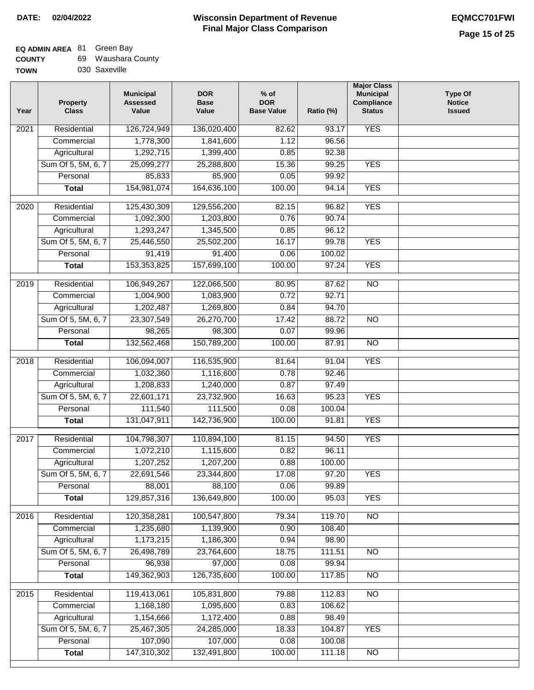# **EQ ADMIN AREA** 81 Green Bay

| <b>COUNTY</b> |  | Waushara County |  |
|---------------|--|-----------------|--|
|---------------|--|-----------------|--|

**TOWN** 030 Saxeville

| Year | <b>Property</b><br><b>Class</b> | <b>Municipal</b><br><b>Assessed</b><br>Value | <b>DOR</b><br><b>Base</b><br>Value | $%$ of<br><b>DOR</b><br><b>Base Value</b> | Ratio (%) | <b>Major Class</b><br><b>Municipal</b><br>Compliance<br><b>Status</b> | <b>Type Of</b><br><b>Notice</b><br><b>Issued</b> |
|------|---------------------------------|----------------------------------------------|------------------------------------|-------------------------------------------|-----------|-----------------------------------------------------------------------|--------------------------------------------------|
| 2021 | Residential                     | 126,724,949                                  | 136,020,400                        | 82.62                                     | 93.17     | <b>YES</b>                                                            |                                                  |
|      | Commercial                      | 1,778,300                                    | 1,841,600                          | 1.12                                      | 96.56     |                                                                       |                                                  |
|      | Agricultural                    | 1,292,715                                    | 1,399,400                          | 0.85                                      | 92.38     |                                                                       |                                                  |
|      | Sum Of 5, 5M, 6, 7              | 25,099,277                                   | 25,288,800                         | 15.36                                     | 99.25     | <b>YES</b>                                                            |                                                  |
|      | Personal                        | 85,833                                       | 85,900                             | 0.05                                      | 99.92     |                                                                       |                                                  |
|      | <b>Total</b>                    | 154,981,074                                  | 164,636,100                        | 100.00                                    | 94.14     | <b>YES</b>                                                            |                                                  |
| 2020 | Residential                     | 125,430,309                                  | 129,556,200                        | 82.15                                     | 96.82     | <b>YES</b>                                                            |                                                  |
|      | Commercial                      | 1,092,300                                    | 1,203,800                          | 0.76                                      | 90.74     |                                                                       |                                                  |
|      | Agricultural                    | 1,293,247                                    | 1,345,500                          | 0.85                                      | 96.12     |                                                                       |                                                  |
|      | Sum Of 5, 5M, 6, 7              | 25,446,550                                   | 25,502,200                         | 16.17                                     | 99.78     | <b>YES</b>                                                            |                                                  |
|      | Personal                        | 91,419                                       | 91,400                             | 0.06                                      | 100.02    |                                                                       |                                                  |
|      | <b>Total</b>                    | 153,353,825                                  | 157,699,100                        | 100.00                                    | 97.24     | <b>YES</b>                                                            |                                                  |
|      |                                 |                                              |                                    |                                           |           |                                                                       |                                                  |
| 2019 | Residential                     | 106,949,267                                  | 122,066,500                        | 80.95                                     | 87.62     | $\overline{NO}$                                                       |                                                  |
|      | Commercial                      | 1,004,900                                    | 1,083,900                          | 0.72                                      | 92.71     |                                                                       |                                                  |
|      | Agricultural                    | 1,202,487                                    | 1,269,800                          | 0.84                                      | 94.70     |                                                                       |                                                  |
|      | Sum Of 5, 5M, 6, 7              | 23,307,549                                   | 26,270,700                         | 17.42                                     | 88.72     | $\overline{NO}$                                                       |                                                  |
|      | Personal                        | 98,265                                       | 98,300                             | 0.07                                      | 99.96     |                                                                       |                                                  |
|      | <b>Total</b>                    | 132,562,468                                  | 150,789,200                        | 100.00                                    | 87.91     | $\overline{NO}$                                                       |                                                  |
| 2018 | Residential                     | 106,094,007                                  | 116,535,900                        | 81.64                                     | 91.04     | <b>YES</b>                                                            |                                                  |
|      | Commercial                      | 1,032,360                                    | 1,116,600                          | 0.78                                      | 92.46     |                                                                       |                                                  |
|      | Agricultural                    | 1,208,833                                    | 1,240,000                          | 0.87                                      | 97.49     |                                                                       |                                                  |
|      | Sum Of 5, 5M, 6, 7              | 22,601,171                                   | 23,732,900                         | 16.63                                     | 95.23     | <b>YES</b>                                                            |                                                  |
|      | Personal                        | 111,540                                      | 111,500                            | 0.08                                      | 100.04    |                                                                       |                                                  |
|      | <b>Total</b>                    | 131,047,911                                  | 142,736,900                        | 100.00                                    | 91.81     | <b>YES</b>                                                            |                                                  |
| 2017 | Residential                     | 104,798,307                                  | 110,894,100                        | 81.15                                     | 94.50     | <b>YES</b>                                                            |                                                  |
|      | Commercial                      | 1,072,210                                    | 1,115,600                          | 0.82                                      | 96.11     |                                                                       |                                                  |
|      | Agricultural                    | 1,207,252                                    | 1,207,200                          | 0.88                                      | 100.00    |                                                                       |                                                  |
|      | Sum Of 5, 5M, 6, 7              | 22,691,546                                   | 23,344,800                         | 17.08                                     | 97.20     | <b>YES</b>                                                            |                                                  |
|      | Personal                        | 88,001                                       | 88,100                             | 0.06                                      | 99.89     |                                                                       |                                                  |
|      | <b>Total</b>                    | 129,857,316                                  | 136,649,800                        | 100.00                                    | 95.03     | <b>YES</b>                                                            |                                                  |
| 2016 | Residential                     | 120,358,281                                  | 100,547,800                        | 79.34                                     | 119.70    | N <sub>O</sub>                                                        |                                                  |
|      | Commercial                      | 1,235,680                                    | 1,139,900                          | 0.90                                      | 108.40    |                                                                       |                                                  |
|      | Agricultural                    | 1,173,215                                    | 1,186,300                          | 0.94                                      | 98.90     |                                                                       |                                                  |
|      | Sum Of 5, 5M, 6, 7              | 26,498,789                                   | 23,764,600                         | 18.75                                     | 111.51    | N <sub>O</sub>                                                        |                                                  |
|      | Personal                        | 96,938                                       | 97,000                             | 0.08                                      | 99.94     |                                                                       |                                                  |
|      | <b>Total</b>                    | 149,362,903                                  | 126,735,600                        | 100.00                                    | 117.85    | N <sub>O</sub>                                                        |                                                  |
|      |                                 |                                              |                                    |                                           |           |                                                                       |                                                  |
| 2015 | Residential                     | 119,413,061                                  | 105,831,800                        | 79.88                                     | 112.83    | $\overline{NO}$                                                       |                                                  |
|      | Commercial                      | 1,168,180                                    | 1,095,600                          | 0.83                                      | 106.62    |                                                                       |                                                  |
|      | Agricultural                    | 1,154,666                                    | 1,172,400                          | 0.88                                      | 98.49     |                                                                       |                                                  |
|      | Sum Of 5, 5M, 6, 7              | 25,467,305                                   | 24,285,000                         | 18.33                                     | 104.87    | <b>YES</b>                                                            |                                                  |
|      | Personal                        | 107,090                                      | 107,000                            | 0.08                                      | 100.08    |                                                                       |                                                  |
|      | <b>Total</b>                    | 147,310,302                                  | 132,491,800                        | 100.00                                    | 111.18    | NO                                                                    |                                                  |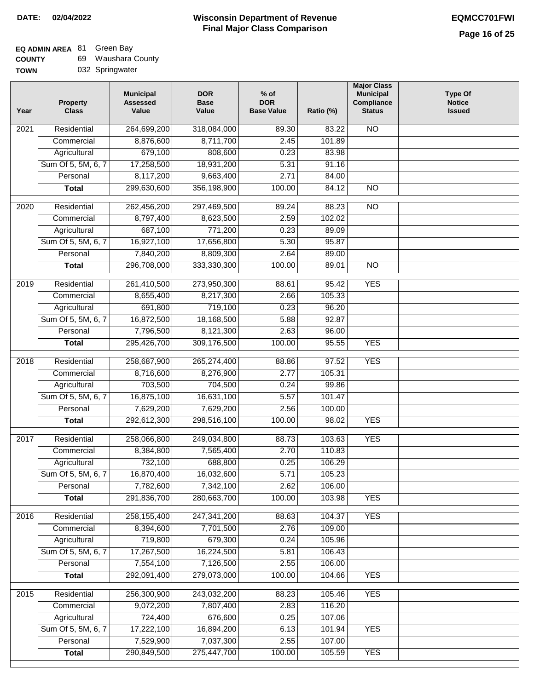| <b>COUNTY</b> | 69. | Waushara County |
|---------------|-----|-----------------|
| <b>TOWN</b>   |     | 032 Springwater |

| Year             | <b>Property</b><br><b>Class</b> | <b>Municipal</b><br><b>Assessed</b><br>Value | <b>DOR</b><br><b>Base</b><br>Value | $%$ of<br><b>DOR</b><br><b>Base Value</b> | Ratio (%) | <b>Major Class</b><br><b>Municipal</b><br>Compliance<br><b>Status</b> | <b>Type Of</b><br><b>Notice</b><br><b>Issued</b> |
|------------------|---------------------------------|----------------------------------------------|------------------------------------|-------------------------------------------|-----------|-----------------------------------------------------------------------|--------------------------------------------------|
| 2021             | Residential                     | 264,699,200                                  | 318,084,000                        | 89.30                                     | 83.22     | N <sub>O</sub>                                                        |                                                  |
|                  | Commercial                      | 8,876,600                                    | 8,711,700                          | 2.45                                      | 101.89    |                                                                       |                                                  |
|                  | Agricultural                    | 679,100                                      | 808,600                            | 0.23                                      | 83.98     |                                                                       |                                                  |
|                  | Sum Of 5, 5M, 6, 7              | 17,258,500                                   | 18,931,200                         | 5.31                                      | 91.16     |                                                                       |                                                  |
|                  | Personal                        | 8,117,200                                    | 9,663,400                          | 2.71                                      | 84.00     |                                                                       |                                                  |
|                  | <b>Total</b>                    | 299,630,600                                  | 356,198,900                        | 100.00                                    | 84.12     | <b>NO</b>                                                             |                                                  |
|                  |                                 |                                              |                                    |                                           |           |                                                                       |                                                  |
| 2020             | Residential                     | 262,456,200                                  | 297,469,500                        | 89.24                                     | 88.23     | $\overline{NO}$                                                       |                                                  |
|                  | Commercial                      | 8,797,400                                    | 8,623,500                          | 2.59                                      | 102.02    |                                                                       |                                                  |
|                  | Agricultural                    | 687,100                                      | 771,200                            | 0.23                                      | 89.09     |                                                                       |                                                  |
|                  | Sum Of 5, 5M, 6, 7              | 16,927,100                                   | 17,656,800                         | 5.30                                      | 95.87     |                                                                       |                                                  |
|                  | Personal                        | 7,840,200                                    | 8,809,300                          | 2.64                                      | 89.00     |                                                                       |                                                  |
|                  | <b>Total</b>                    | 296,708,000                                  | 333,330,300                        | 100.00                                    | 89.01     | $\overline{NO}$                                                       |                                                  |
| $\frac{2019}{ }$ | Residential                     | 261,410,500                                  | 273,950,300                        | 88.61                                     | 95.42     | <b>YES</b>                                                            |                                                  |
|                  | Commercial                      | 8,655,400                                    | 8,217,300                          | 2.66                                      | 105.33    |                                                                       |                                                  |
|                  | Agricultural                    | 691,800                                      | 719,100                            | 0.23                                      | 96.20     |                                                                       |                                                  |
|                  | Sum Of 5, 5M, 6, 7              | 16,872,500                                   | 18,168,500                         | 5.88                                      | 92.87     |                                                                       |                                                  |
|                  | Personal                        | 7,796,500                                    | 8,121,300                          | 2.63                                      | 96.00     |                                                                       |                                                  |
|                  | <b>Total</b>                    | 295,426,700                                  | 309,176,500                        | 100.00                                    | 95.55     | <b>YES</b>                                                            |                                                  |
| 2018             | Residential                     | 258,687,900                                  | 265,274,400                        | 88.86                                     | 97.52     | <b>YES</b>                                                            |                                                  |
|                  | Commercial                      | 8,716,600                                    | 8,276,900                          | 2.77                                      | 105.31    |                                                                       |                                                  |
|                  | Agricultural                    | 703,500                                      | 704,500                            | 0.24                                      | 99.86     |                                                                       |                                                  |
|                  | Sum Of 5, 5M, 6, 7              | 16,875,100                                   | 16,631,100                         | 5.57                                      | 101.47    |                                                                       |                                                  |
|                  | Personal                        | 7,629,200                                    | 7,629,200                          | 2.56                                      | 100.00    |                                                                       |                                                  |
|                  | <b>Total</b>                    | 292,612,300                                  | 298,516,100                        | 100.00                                    | 98.02     | <b>YES</b>                                                            |                                                  |
|                  |                                 |                                              |                                    |                                           |           |                                                                       |                                                  |
| 2017             | Residential                     | 258,066,800                                  | 249,034,800                        | 88.73                                     | 103.63    | <b>YES</b>                                                            |                                                  |
|                  | Commercial                      | 8,384,800                                    | 7,565,400                          | 2.70                                      | 110.83    |                                                                       |                                                  |
|                  | Agricultural                    | 732,100                                      | 688,800                            | 0.25                                      | 106.29    |                                                                       |                                                  |
|                  | Sum Of 5, 5M, 6, 7              | 16,870,400                                   | 16,032,600                         | 5.71                                      | 105.23    |                                                                       |                                                  |
|                  | Personal                        | 7,782,600                                    | 7,342,100                          | 2.62                                      | 106.00    |                                                                       |                                                  |
|                  | <b>Total</b>                    | 291,836,700                                  | 280,663,700                        | 100.00                                    | 103.98    | <b>YES</b>                                                            |                                                  |
| 2016             | Residential                     | 258, 155, 400                                | 247, 341, 200                      | 88.63                                     | 104.37    | <b>YES</b>                                                            |                                                  |
|                  | Commercial                      | 8,394,600                                    | 7,701,500                          | 2.76                                      | 109.00    |                                                                       |                                                  |
|                  | Agricultural                    | 719,800                                      | 679,300                            | 0.24                                      | 105.96    |                                                                       |                                                  |
|                  | Sum Of 5, 5M, 6, 7              | 17,267,500                                   | 16,224,500                         | 5.81                                      | 106.43    |                                                                       |                                                  |
|                  | Personal                        | 7,554,100                                    | 7,126,500                          | 2.55                                      | 106.00    |                                                                       |                                                  |
|                  | <b>Total</b>                    | 292,091,400                                  | 279,073,000                        | 100.00                                    | 104.66    | <b>YES</b>                                                            |                                                  |
| 2015             | Residential                     | 256,300,900                                  | 243,032,200                        | 88.23                                     | 105.46    | <b>YES</b>                                                            |                                                  |
|                  | Commercial                      | 9,072,200                                    | 7,807,400                          | 2.83                                      | 116.20    |                                                                       |                                                  |
|                  | Agricultural                    | 724,400                                      | 676,600                            | 0.25                                      | 107.06    |                                                                       |                                                  |
|                  | Sum Of 5, 5M, 6, 7              | 17,222,100                                   | 16,894,200                         | 6.13                                      | 101.94    | <b>YES</b>                                                            |                                                  |
|                  | Personal                        | 7,529,900                                    | 7,037,300                          | 2.55                                      | 107.00    |                                                                       |                                                  |
|                  | <b>Total</b>                    | 290,849,500                                  | 275,447,700                        | 100.00                                    | 105.59    | <b>YES</b>                                                            |                                                  |
|                  |                                 |                                              |                                    |                                           |           |                                                                       |                                                  |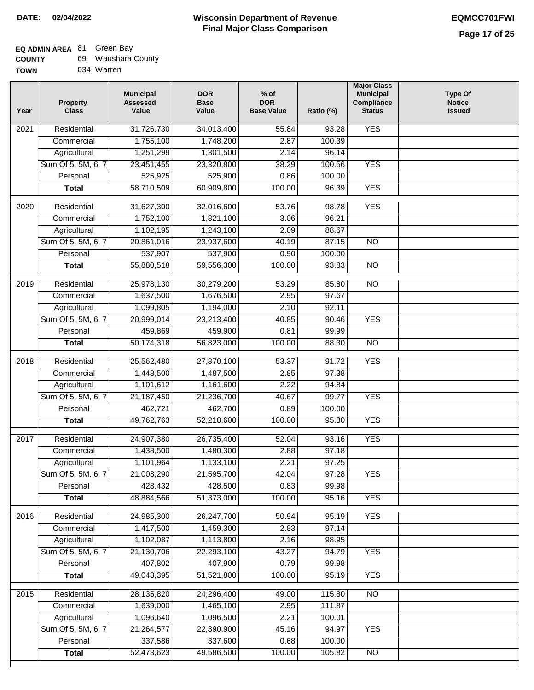| <b>COUNTY</b> | 69 Waushara County |
|---------------|--------------------|
| <b>TOWN</b>   | 034 Warren         |

| Year              | <b>Property</b><br><b>Class</b> | <b>Municipal</b><br><b>Assessed</b><br>Value | <b>DOR</b><br><b>Base</b><br>Value | $%$ of<br><b>DOR</b><br><b>Base Value</b> | Ratio (%)         | <b>Major Class</b><br><b>Municipal</b><br>Compliance<br><b>Status</b> | Type Of<br><b>Notice</b><br><b>Issued</b> |
|-------------------|---------------------------------|----------------------------------------------|------------------------------------|-------------------------------------------|-------------------|-----------------------------------------------------------------------|-------------------------------------------|
| $\overline{202}1$ | Residential                     | 31,726,730                                   | 34,013,400                         | 55.84                                     | 93.28             | <b>YES</b>                                                            |                                           |
|                   | Commercial                      | 1,755,100                                    | 1,748,200                          | 2.87                                      | 100.39            |                                                                       |                                           |
|                   | Agricultural                    | 1,251,299                                    | 1,301,500                          | 2.14                                      | 96.14             |                                                                       |                                           |
|                   | Sum Of 5, 5M, 6, 7              | 23,451,455                                   | 23,320,800                         | 38.29                                     | 100.56            | <b>YES</b>                                                            |                                           |
|                   | Personal                        | 525,925                                      | 525,900                            | 0.86                                      | 100.00            |                                                                       |                                           |
|                   | <b>Total</b>                    | 58,710,509                                   | 60,909,800                         | 100.00                                    | 96.39             | <b>YES</b>                                                            |                                           |
| 2020              | Residential                     | 31,627,300                                   | 32,016,600                         | 53.76                                     | 98.78             | <b>YES</b>                                                            |                                           |
|                   | Commercial                      | 1,752,100                                    | 1,821,100                          | 3.06                                      | 96.21             |                                                                       |                                           |
|                   | Agricultural                    | 1,102,195                                    | 1,243,100                          | 2.09                                      | 88.67             |                                                                       |                                           |
|                   | Sum Of 5, 5M, 6, 7              | 20,861,016                                   | 23,937,600                         | 40.19                                     | 87.15             | $\overline{NO}$                                                       |                                           |
|                   | Personal                        | 537,907                                      | 537,900                            | 0.90                                      | 100.00            |                                                                       |                                           |
|                   | <b>Total</b>                    | 55,880,518                                   | 59,556,300                         | 100.00                                    | 93.83             | $\overline{NO}$                                                       |                                           |
|                   |                                 |                                              |                                    |                                           |                   |                                                                       |                                           |
| 2019              | Residential                     | 25,978,130<br>1,637,500                      | 30,279,200                         | 53.29<br>2.95                             | 85.80<br>97.67    | $\overline{10}$                                                       |                                           |
|                   | Commercial                      |                                              | 1,676,500                          |                                           | 92.11             |                                                                       |                                           |
|                   | Agricultural                    | 1,099,805                                    | 1,194,000                          | 2.10<br>40.85                             | 90.46             | <b>YES</b>                                                            |                                           |
|                   | Sum Of 5, 5M, 6, 7<br>Personal  | 20,999,014<br>459,869                        | 23,213,400<br>459,900              | 0.81                                      | 99.99             |                                                                       |                                           |
|                   | <b>Total</b>                    | 50,174,318                                   | 56,823,000                         | 100.00                                    | 88.30             | $\overline{NO}$                                                       |                                           |
|                   |                                 |                                              |                                    |                                           |                   |                                                                       |                                           |
| 2018              | Residential                     | 25,562,480                                   | 27,870,100                         | 53.37                                     | $\frac{1}{91.72}$ | <b>YES</b>                                                            |                                           |
|                   | Commercial                      | 1,448,500                                    | 1,487,500                          | 2.85                                      | 97.38             |                                                                       |                                           |
|                   | Agricultural                    | 1,101,612                                    | 1,161,600                          | 2.22                                      | 94.84             |                                                                       |                                           |
|                   | Sum Of 5, 5M, 6, 7              | 21, 187, 450                                 | 21,236,700                         | 40.67                                     | 99.77             | <b>YES</b>                                                            |                                           |
|                   | Personal                        | 462,721                                      | 462,700                            | 0.89                                      | 100.00            |                                                                       |                                           |
|                   | <b>Total</b>                    | 49,762,763                                   | 52,218,600                         | 100.00                                    | 95.30             | <b>YES</b>                                                            |                                           |
| 2017              | Residential                     | 24,907,380                                   | 26,735,400                         | 52.04                                     | 93.16             | <b>YES</b>                                                            |                                           |
|                   | Commercial                      | 1,438,500                                    | 1,480,300                          | 2.88                                      | 97.18             |                                                                       |                                           |
|                   | Agricultural                    | 1,101,964                                    | 1,133,100                          | 2.21                                      | 97.25             |                                                                       |                                           |
|                   | Sum Of 5, 5M, 6, 7              | 21,008,290                                   | 21,595,700                         | 42.04                                     | 97.28             | <b>YES</b>                                                            |                                           |
|                   | Personal                        | 428,432                                      | 428,500                            | 0.83                                      | 99.98             |                                                                       |                                           |
|                   | <b>Total</b>                    | 48,884,566                                   | 51,373,000                         | 100.00                                    | 95.16             | <b>YES</b>                                                            |                                           |
| 2016              | Residential                     | 24,985,300                                   | 26,247,700                         | 50.94                                     | 95.19             | <b>YES</b>                                                            |                                           |
|                   | Commercial                      | 1,417,500                                    | 1,459,300                          | 2.83                                      | 97.14             |                                                                       |                                           |
|                   | Agricultural                    | 1,102,087                                    | 1,113,800                          | 2.16                                      | 98.95             |                                                                       |                                           |
|                   | Sum Of 5, 5M, 6, 7              | 21,130,706                                   | 22,293,100                         | 43.27                                     | 94.79             | <b>YES</b>                                                            |                                           |
|                   | Personal                        | 407,802                                      | 407,900                            | 0.79                                      | 99.98             |                                                                       |                                           |
|                   | <b>Total</b>                    | 49,043,395                                   | 51,521,800                         | 100.00                                    | 95.19             | <b>YES</b>                                                            |                                           |
| 2015              | Residential                     | 28,135,820                                   | 24,296,400                         | 49.00                                     | 115.80            | N <sub>O</sub>                                                        |                                           |
|                   | Commercial                      | 1,639,000                                    | 1,465,100                          | 2.95                                      | 111.87            |                                                                       |                                           |
|                   | Agricultural                    | 1,096,640                                    | 1,096,500                          | 2.21                                      | 100.01            |                                                                       |                                           |
|                   | Sum Of 5, 5M, 6, 7              | 21,264,577                                   | 22,390,900                         | 45.16                                     | 94.97             | <b>YES</b>                                                            |                                           |
|                   | Personal                        | 337,586                                      | 337,600                            | 0.68                                      | 100.00            |                                                                       |                                           |
|                   | <b>Total</b>                    | 52,473,623                                   | 49,586,500                         | 100.00                                    | 105.82            | NO                                                                    |                                           |
|                   |                                 |                                              |                                    |                                           |                   |                                                                       |                                           |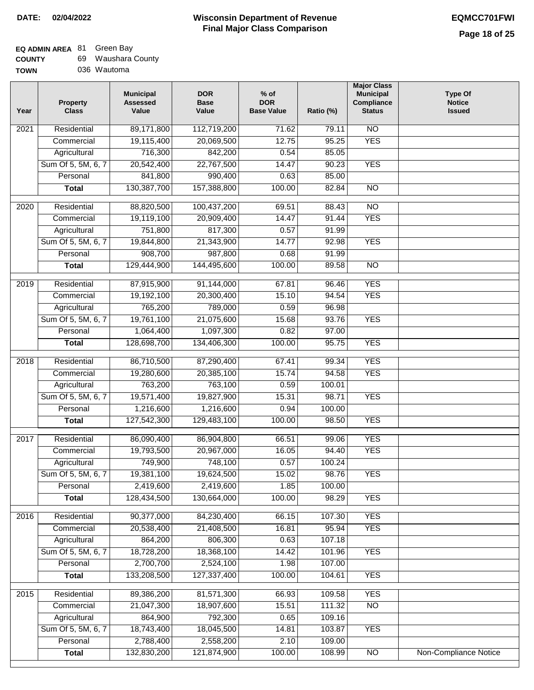# **Wisconsin Department of Revenue Final Major Class Comparison DATE: 02/04/2022 EQMCC701FWI**

# **EQ ADMIN AREA** 81 Green Bay

| <b>COUNTY</b> | 69. | Waushara County |
|---------------|-----|-----------------|
| <b>TOWN</b>   |     | 036 Wautoma     |

| Year              | <b>Property</b><br><b>Class</b> | <b>Municipal</b><br><b>Assessed</b><br>Value | <b>DOR</b><br><b>Base</b><br>Value | $%$ of<br><b>DOR</b><br><b>Base Value</b> | Ratio (%) | <b>Major Class</b><br><b>Municipal</b><br>Compliance<br><b>Status</b> | <b>Type Of</b><br><b>Notice</b><br><b>Issued</b> |
|-------------------|---------------------------------|----------------------------------------------|------------------------------------|-------------------------------------------|-----------|-----------------------------------------------------------------------|--------------------------------------------------|
| 2021              | Residential                     | 89,171,800                                   | 112,719,200                        | 71.62                                     | 79.11     | N <sub>O</sub>                                                        |                                                  |
|                   | Commercial                      | 19,115,400                                   | 20,069,500                         | 12.75                                     | 95.25     | <b>YES</b>                                                            |                                                  |
|                   | Agricultural                    | 716,300                                      | 842,200                            | 0.54                                      | 85.05     |                                                                       |                                                  |
|                   | Sum Of 5, 5M, 6, 7              | 20,542,400                                   | 22,767,500                         | 14.47                                     | 90.23     | <b>YES</b>                                                            |                                                  |
|                   | Personal                        | 841,800                                      | 990,400                            | 0.63                                      | 85.00     |                                                                       |                                                  |
|                   | <b>Total</b>                    | 130,387,700                                  | 157,388,800                        | 100.00                                    | 82.84     | $\overline{NO}$                                                       |                                                  |
| $\overline{2020}$ | Residential                     | 88,820,500                                   | 100,437,200                        | 69.51                                     | 88.43     | NO                                                                    |                                                  |
|                   | Commercial                      | 19,119,100                                   | 20,909,400                         | 14.47                                     | 91.44     | <b>YES</b>                                                            |                                                  |
|                   | Agricultural                    | 751,800                                      | 817,300                            | 0.57                                      | 91.99     |                                                                       |                                                  |
|                   | Sum Of 5, 5M, 6, 7              | 19,844,800                                   | 21,343,900                         | 14.77                                     | 92.98     | <b>YES</b>                                                            |                                                  |
|                   | Personal                        | 908,700                                      | 987,800                            | 0.68                                      | 91.99     |                                                                       |                                                  |
|                   | <b>Total</b>                    | 129,444,900                                  | 144,495,600                        | 100.00                                    | 89.58     | $\overline{NO}$                                                       |                                                  |
| 2019              | Residential                     | 87,915,900                                   | 91,144,000                         | 67.81                                     | 96.46     | <b>YES</b>                                                            |                                                  |
|                   | Commercial                      | 19,192,100                                   | 20,300,400                         | 15.10                                     | 94.54     | <b>YES</b>                                                            |                                                  |
|                   | Agricultural                    | 765,200                                      | 789,000                            | 0.59                                      | 96.98     |                                                                       |                                                  |
|                   | Sum Of 5, 5M, 6, 7              | 19,761,100                                   | 21,075,600                         | 15.68                                     | 93.76     | <b>YES</b>                                                            |                                                  |
|                   | Personal                        | 1,064,400                                    | 1,097,300                          | 0.82                                      | 97.00     |                                                                       |                                                  |
|                   | <b>Total</b>                    | 128,698,700                                  | 134,406,300                        | 100.00                                    | 95.75     | <b>YES</b>                                                            |                                                  |
| 2018              | Residential                     | 86,710,500                                   | 87,290,400                         | 67.41                                     | 99.34     | <b>YES</b>                                                            |                                                  |
|                   | Commercial                      | 19,280,600                                   | 20,385,100                         | 15.74                                     | 94.58     | <b>YES</b>                                                            |                                                  |
|                   | Agricultural                    | 763,200                                      | 763,100                            | 0.59                                      | 100.01    |                                                                       |                                                  |
|                   | Sum Of 5, 5M, 6, 7              | 19,571,400                                   | 19,827,900                         | 15.31                                     | 98.71     | <b>YES</b>                                                            |                                                  |
|                   | Personal                        | 1,216,600                                    | 1,216,600                          | 0.94                                      | 100.00    |                                                                       |                                                  |
|                   | <b>Total</b>                    | 127,542,300                                  | 129,483,100                        | 100.00                                    | 98.50     | <b>YES</b>                                                            |                                                  |
| 2017              | Residential                     | 86,090,400                                   | 86,904,800                         | 66.51                                     | 99.06     | <b>YES</b>                                                            |                                                  |
|                   | Commercial                      | 19,793,500                                   | 20,967,000                         | 16.05                                     | 94.40     | <b>YES</b>                                                            |                                                  |
|                   | Agricultural                    | 749,900                                      | 748,100                            | 0.57                                      | 100.24    |                                                                       |                                                  |
|                   | Sum Of 5, 5M, 6, 7              | 19,381,100                                   | 19,624,500                         | 15.02                                     | 98.76     | <b>YES</b>                                                            |                                                  |
|                   | Personal                        | 2,419,600                                    | 2,419,600                          | 1.85                                      | 100.00    |                                                                       |                                                  |
|                   | <b>Total</b>                    | 128,434,500                                  | 130,664,000                        | 100.00                                    | 98.29     | <b>YES</b>                                                            |                                                  |
| 2016              | Residential                     | 90,377,000                                   | 84,230,400                         | 66.15                                     | 107.30    | <b>YES</b>                                                            |                                                  |
|                   | Commercial                      | 20,538,400                                   | 21,408,500                         | 16.81                                     | 95.94     | <b>YES</b>                                                            |                                                  |
|                   | Agricultural                    | 864,200                                      | 806,300                            | 0.63                                      | 107.18    |                                                                       |                                                  |
|                   | Sum Of 5, 5M, 6, 7              | 18,728,200                                   | 18,368,100                         | 14.42                                     | 101.96    | <b>YES</b>                                                            |                                                  |
|                   | Personal                        | 2,700,700                                    | 2,524,100                          | 1.98                                      | 107.00    |                                                                       |                                                  |
|                   | <b>Total</b>                    | 133,208,500                                  | 127,337,400                        | 100.00                                    | 104.61    | <b>YES</b>                                                            |                                                  |
| 2015              | Residential                     | 89,386,200                                   | 81,571,300                         | 66.93                                     | 109.58    | <b>YES</b>                                                            |                                                  |
|                   | Commercial                      | 21,047,300                                   | 18,907,600                         | 15.51                                     | 111.32    | $\overline{NO}$                                                       |                                                  |
|                   | Agricultural                    | 864,900                                      | 792,300                            | 0.65                                      | 109.16    |                                                                       |                                                  |
|                   | Sum Of 5, 5M, 6, 7              | 18,743,400                                   | 18,045,500                         | 14.81                                     | 103.87    | <b>YES</b>                                                            |                                                  |
|                   | Personal                        | 2,788,400                                    | 2,558,200                          | 2.10                                      | 109.00    |                                                                       |                                                  |
|                   | <b>Total</b>                    | 132,830,200                                  | 121,874,900                        | 100.00                                    | 108.99    | NO                                                                    | <b>Non-Compliance Notice</b>                     |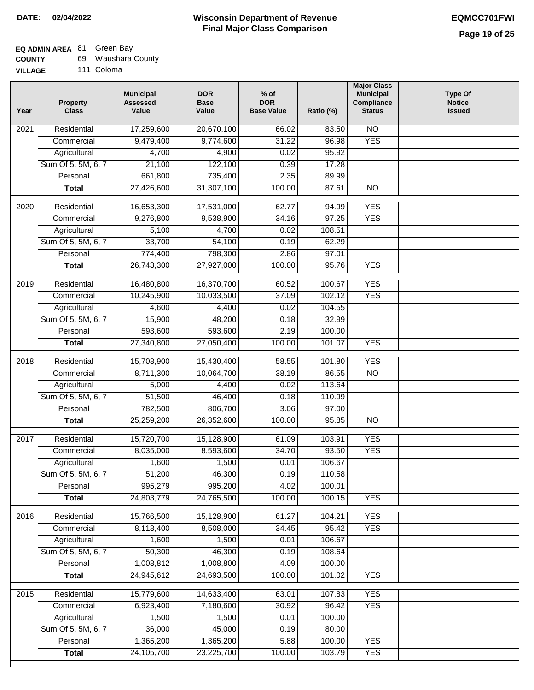# **EQ ADMIN AREA** 81 Green Bay

| <b>COUNTY</b> | Waushara County |
|---------------|-----------------|
|---------------|-----------------|

**VILLAGE** 111 Coloma

| Year              | <b>Property</b><br><b>Class</b> | <b>Municipal</b><br><b>Assessed</b><br>Value | <b>DOR</b><br><b>Base</b><br>Value | % of<br><b>DOR</b><br><b>Base Value</b> | Ratio (%) | <b>Major Class</b><br><b>Municipal</b><br>Compliance<br><b>Status</b> | <b>Type Of</b><br><b>Notice</b><br><b>Issued</b> |
|-------------------|---------------------------------|----------------------------------------------|------------------------------------|-----------------------------------------|-----------|-----------------------------------------------------------------------|--------------------------------------------------|
| $\overline{202}1$ | Residential                     | 17,259,600                                   | 20,670,100                         | 66.02                                   | 83.50     | N <sub>O</sub>                                                        |                                                  |
|                   | Commercial                      | 9,479,400                                    | 9,774,600                          | 31.22                                   | 96.98     | <b>YES</b>                                                            |                                                  |
|                   | Agricultural                    | 4,700                                        | 4,900                              | 0.02                                    | 95.92     |                                                                       |                                                  |
|                   | Sum Of 5, 5M, 6, 7              | 21,100                                       | 122,100                            | 0.39                                    | 17.28     |                                                                       |                                                  |
|                   | Personal                        | 661,800                                      | 735,400                            | 2.35                                    | 89.99     |                                                                       |                                                  |
|                   | <b>Total</b>                    | 27,426,600                                   | 31,307,100                         | 100.00                                  | 87.61     | $\overline{NO}$                                                       |                                                  |
| $\overline{2020}$ | Residential                     | 16,653,300                                   | 17,531,000                         | 62.77                                   | 94.99     | <b>YES</b>                                                            |                                                  |
|                   | Commercial                      | 9,276,800                                    | 9,538,900                          | 34.16                                   | 97.25     | <b>YES</b>                                                            |                                                  |
|                   | Agricultural                    | 5,100                                        | 4,700                              | 0.02                                    | 108.51    |                                                                       |                                                  |
|                   | Sum Of 5, 5M, 6, 7              | 33,700                                       | 54,100                             | 0.19                                    | 62.29     |                                                                       |                                                  |
|                   | Personal                        | 774,400                                      | 798,300                            | 2.86                                    | 97.01     |                                                                       |                                                  |
|                   | <b>Total</b>                    | 26,743,300                                   | 27,927,000                         | 100.00                                  | 95.76     | <b>YES</b>                                                            |                                                  |
|                   |                                 |                                              |                                    |                                         |           |                                                                       |                                                  |
| $\frac{1}{2019}$  | Residential                     | 16,480,800                                   | 16,370,700                         | 60.52                                   | 100.67    | <b>YES</b>                                                            |                                                  |
|                   | Commercial                      | 10,245,900                                   | 10,033,500                         | 37.09                                   | 102.12    | <b>YES</b>                                                            |                                                  |
|                   | Agricultural                    | 4,600                                        | 4,400                              | 0.02                                    | 104.55    |                                                                       |                                                  |
|                   | Sum Of 5, 5M, 6, 7              | 15,900                                       | 48,200                             | 0.18                                    | 32.99     |                                                                       |                                                  |
|                   | Personal                        | 593,600                                      | 593,600                            | 2.19                                    | 100.00    |                                                                       |                                                  |
|                   | <b>Total</b>                    | 27,340,800                                   | 27,050,400                         | 100.00                                  | 101.07    | <b>YES</b>                                                            |                                                  |
| 2018              | Residential                     | 15,708,900                                   | 15,430,400                         | 58.55                                   | 101.80    | <b>YES</b>                                                            |                                                  |
|                   | Commercial                      | 8,711,300                                    | 10,064,700                         | 38.19                                   | 86.55     | <b>NO</b>                                                             |                                                  |
|                   | Agricultural                    | 5,000                                        | 4,400                              | 0.02                                    | 113.64    |                                                                       |                                                  |
|                   | Sum Of 5, 5M, 6, 7              | 51,500                                       | 46,400                             | 0.18                                    | 110.99    |                                                                       |                                                  |
|                   | Personal                        | 782,500                                      | 806,700                            | 3.06                                    | 97.00     |                                                                       |                                                  |
|                   | <b>Total</b>                    | 25,259,200                                   | 26,352,600                         | 100.00                                  | 95.85     | $\overline{10}$                                                       |                                                  |
|                   |                                 |                                              |                                    |                                         |           |                                                                       |                                                  |
| $\overline{2017}$ | Residential                     | 15,720,700                                   | 15,128,900                         | 61.09                                   | 103.91    | <b>YES</b>                                                            |                                                  |
|                   | Commercial                      | 8,035,000                                    | 8,593,600                          | 34.70                                   | 93.50     | <b>YES</b>                                                            |                                                  |
|                   | Agricultural                    | 1,600                                        | 1,500                              | 0.01                                    | 106.67    |                                                                       |                                                  |
|                   | Sum Of 5, 5M, 6, 7              | 51,200                                       | 46,300                             | 0.19                                    | 110.58    |                                                                       |                                                  |
|                   | Personal                        | 995,279                                      | 995,200                            | 4.02                                    | 100.01    |                                                                       |                                                  |
|                   | <b>Total</b>                    | 24,803,779                                   | 24,765,500                         | 100.00                                  | 100.15    | <b>YES</b>                                                            |                                                  |
| 2016              | Residential                     | 15,766,500                                   | 15,128,900                         | 61.27                                   | 104.21    | <b>YES</b>                                                            |                                                  |
|                   | Commercial                      | 8,118,400                                    | 8,508,000                          | 34.45                                   | 95.42     | <b>YES</b>                                                            |                                                  |
|                   | Agricultural                    | 1,600                                        | 1,500                              | 0.01                                    | 106.67    |                                                                       |                                                  |
|                   | Sum Of 5, 5M, 6, 7              | 50,300                                       | 46,300                             | 0.19                                    | 108.64    |                                                                       |                                                  |
|                   | Personal                        | 1,008,812                                    | 1,008,800                          | 4.09                                    | 100.00    |                                                                       |                                                  |
|                   | <b>Total</b>                    | 24,945,612                                   | 24,693,500                         | 100.00                                  | 101.02    | <b>YES</b>                                                            |                                                  |
| 2015              | Residential                     | 15,779,600                                   | 14,633,400                         | 63.01                                   | 107.83    | <b>YES</b>                                                            |                                                  |
|                   | Commercial                      | 6,923,400                                    | 7,180,600                          | 30.92                                   | 96.42     | <b>YES</b>                                                            |                                                  |
|                   | Agricultural                    | 1,500                                        | 1,500                              | 0.01                                    | 100.00    |                                                                       |                                                  |
|                   | Sum Of 5, 5M, 6, 7              | 36,000                                       | 45,000                             | 0.19                                    | 80.00     |                                                                       |                                                  |
|                   | Personal                        | 1,365,200                                    | 1,365,200                          | 5.88                                    | 100.00    | <b>YES</b>                                                            |                                                  |
|                   | <b>Total</b>                    | 24,105,700                                   | 23,225,700                         | 100.00                                  | 103.79    | <b>YES</b>                                                            |                                                  |
|                   |                                 |                                              |                                    |                                         |           |                                                                       |                                                  |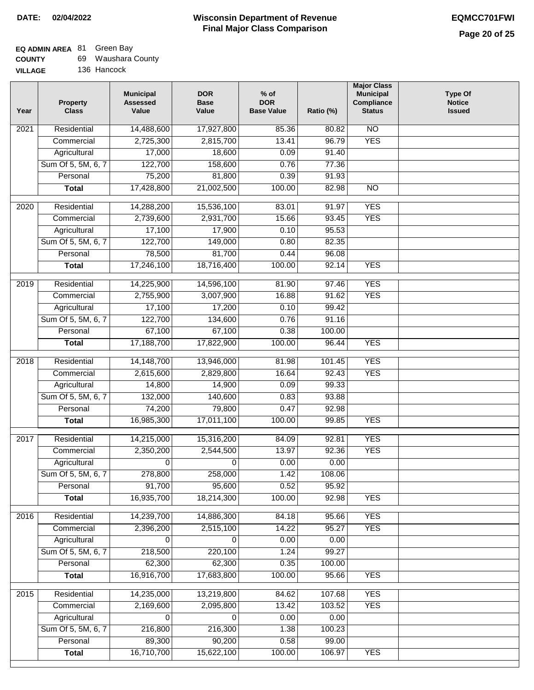# **EQ ADMIN AREA** 81 Green Bay

| <b>COUNTY</b> | 69 | Waushara County |  |
|---------------|----|-----------------|--|
|---------------|----|-----------------|--|

**VILLAGE** 136 Hancock

| Year | <b>Property</b><br><b>Class</b> | <b>Municipal</b><br><b>Assessed</b><br>Value | <b>DOR</b><br><b>Base</b><br>Value | $%$ of<br><b>DOR</b><br><b>Base Value</b> | Ratio (%) | <b>Major Class</b><br><b>Municipal</b><br>Compliance<br><b>Status</b> | <b>Type Of</b><br><b>Notice</b><br><b>Issued</b> |
|------|---------------------------------|----------------------------------------------|------------------------------------|-------------------------------------------|-----------|-----------------------------------------------------------------------|--------------------------------------------------|
| 2021 | Residential                     | 14,488,600                                   | 17,927,800                         | 85.36                                     | 80.82     | N <sub>O</sub>                                                        |                                                  |
|      | Commercial                      | 2,725,300                                    | 2,815,700                          | 13.41                                     | 96.79     | <b>YES</b>                                                            |                                                  |
|      | Agricultural                    | 17,000                                       | 18,600                             | 0.09                                      | 91.40     |                                                                       |                                                  |
|      | Sum Of 5, 5M, 6, 7              | 122,700                                      | 158,600                            | 0.76                                      | 77.36     |                                                                       |                                                  |
|      | Personal                        | 75,200                                       | 81,800                             | 0.39                                      | 91.93     |                                                                       |                                                  |
|      | <b>Total</b>                    | 17,428,800                                   | 21,002,500                         | 100.00                                    | 82.98     | $\overline{NO}$                                                       |                                                  |
| 2020 | Residential                     | 14,288,200                                   | 15,536,100                         | 83.01                                     | 91.97     | <b>YES</b>                                                            |                                                  |
|      | Commercial                      | 2,739,600                                    | 2,931,700                          | 15.66                                     | 93.45     | <b>YES</b>                                                            |                                                  |
|      | Agricultural                    | 17,100                                       | 17,900                             | 0.10                                      | 95.53     |                                                                       |                                                  |
|      | Sum Of 5, 5M, 6, 7              | 122,700                                      | 149,000                            | 0.80                                      | 82.35     |                                                                       |                                                  |
|      | Personal                        | 78,500                                       | 81,700                             | 0.44                                      | 96.08     |                                                                       |                                                  |
|      | <b>Total</b>                    | 17,246,100                                   | 18,716,400                         | 100.00                                    | 92.14     | <b>YES</b>                                                            |                                                  |
| 2019 | Residential                     | 14,225,900                                   | 14,596,100                         | 81.90                                     | 97.46     | <b>YES</b>                                                            |                                                  |
|      | Commercial                      | 2,755,900                                    | 3,007,900                          | 16.88                                     | 91.62     | <b>YES</b>                                                            |                                                  |
|      | Agricultural                    | 17,100                                       | 17,200                             | 0.10                                      | 99.42     |                                                                       |                                                  |
|      | Sum Of 5, 5M, 6, 7              | 122,700                                      | 134,600                            | 0.76                                      | 91.16     |                                                                       |                                                  |
|      | Personal                        | 67,100                                       | 67,100                             | 0.38                                      | 100.00    |                                                                       |                                                  |
|      | <b>Total</b>                    | 17,188,700                                   | 17,822,900                         | 100.00                                    | 96.44     | <b>YES</b>                                                            |                                                  |
| 2018 | Residential                     | 14,148,700                                   | 13,946,000                         | 81.98                                     | 101.45    | <b>YES</b>                                                            |                                                  |
|      | Commercial                      | 2,615,600                                    | 2,829,800                          | 16.64                                     | 92.43     | <b>YES</b>                                                            |                                                  |
|      | Agricultural                    | 14,800                                       | 14,900                             | 0.09                                      | 99.33     |                                                                       |                                                  |
|      | Sum Of 5, 5M, 6, 7              | 132,000                                      | 140,600                            | 0.83                                      | 93.88     |                                                                       |                                                  |
|      | Personal                        | 74,200                                       | 79,800                             | 0.47                                      | 92.98     |                                                                       |                                                  |
|      | <b>Total</b>                    | 16,985,300                                   | 17,011,100                         | 100.00                                    | 99.85     | <b>YES</b>                                                            |                                                  |
| 2017 | Residential                     | 14,215,000                                   | 15,316,200                         | 84.09                                     | 92.81     | <b>YES</b>                                                            |                                                  |
|      | Commercial                      | 2,350,200                                    | 2,544,500                          | 13.97                                     | 92.36     | <b>YES</b>                                                            |                                                  |
|      | Agricultural                    | 0                                            | 0                                  | 0.00                                      | 0.00      |                                                                       |                                                  |
|      | Sum Of 5, 5M, 6, 7              | 278,800                                      | 258,000                            | 1.42                                      | 108.06    |                                                                       |                                                  |
|      | Personal                        | 91,700                                       | 95,600                             | 0.52                                      | 95.92     |                                                                       |                                                  |
|      | <b>Total</b>                    | 16,935,700                                   | 18,214,300                         | 100.00                                    | 92.98     | <b>YES</b>                                                            |                                                  |
| 2016 | Residential                     | 14,239,700                                   | 14,886,300                         | 84.18                                     | 95.66     | <b>YES</b>                                                            |                                                  |
|      | Commercial                      | 2,396,200                                    | 2,515,100                          | 14.22                                     | 95.27     | <b>YES</b>                                                            |                                                  |
|      | Agricultural                    | 0                                            | 0                                  | 0.00                                      | 0.00      |                                                                       |                                                  |
|      | Sum Of 5, 5M, 6, 7              | 218,500                                      | 220,100                            | 1.24                                      | 99.27     |                                                                       |                                                  |
|      | Personal                        | 62,300                                       | 62,300                             | 0.35                                      | 100.00    |                                                                       |                                                  |
|      | <b>Total</b>                    | 16,916,700                                   | 17,683,800                         | 100.00                                    | 95.66     | <b>YES</b>                                                            |                                                  |
| 2015 | Residential                     | 14,235,000                                   | 13,219,800                         | 84.62                                     | 107.68    | <b>YES</b>                                                            |                                                  |
|      | Commercial                      | 2,169,600                                    | 2,095,800                          | 13.42                                     | 103.52    | <b>YES</b>                                                            |                                                  |
|      | Agricultural                    | 0                                            | 0                                  | 0.00                                      | 0.00      |                                                                       |                                                  |
|      | Sum Of 5, 5M, 6, 7              | 216,800                                      | 216,300                            | 1.38                                      | 100.23    |                                                                       |                                                  |
|      | Personal                        | 89,300                                       | 90,200                             | 0.58                                      | 99.00     |                                                                       |                                                  |
|      | <b>Total</b>                    | 16,710,700                                   | 15,622,100                         | 100.00                                    | 106.97    | <b>YES</b>                                                            |                                                  |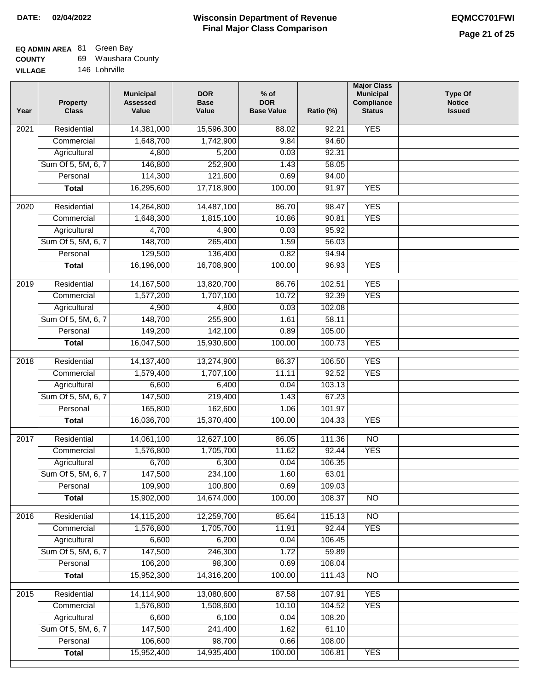# **Wisconsin Department of Revenue Final Major Class Comparison DATE: 02/04/2022 EQMCC701FWI**

#### **EQ ADMIN AREA** c.<br>60 Wausha 81 Green Bay

| <b>COUNTY</b>  | 69 Waushara County |
|----------------|--------------------|
| <b>VILLAGE</b> | 146 Lohrville      |

| Year             | <b>Property</b><br><b>Class</b> | <b>Municipal</b><br><b>Assessed</b><br>Value | <b>DOR</b><br><b>Base</b><br>Value | $%$ of<br><b>DOR</b><br><b>Base Value</b> | Ratio (%) | <b>Major Class</b><br><b>Municipal</b><br>Compliance<br><b>Status</b> | <b>Type Of</b><br><b>Notice</b><br><b>Issued</b> |
|------------------|---------------------------------|----------------------------------------------|------------------------------------|-------------------------------------------|-----------|-----------------------------------------------------------------------|--------------------------------------------------|
| 2021             | Residential                     | 14,381,000                                   | 15,596,300                         | 88.02                                     | 92.21     | <b>YES</b>                                                            |                                                  |
|                  | Commercial                      | 1,648,700                                    | 1,742,900                          | 9.84                                      | 94.60     |                                                                       |                                                  |
|                  | Agricultural                    | 4,800                                        | 5,200                              | 0.03                                      | 92.31     |                                                                       |                                                  |
|                  | Sum Of 5, 5M, 6, 7              | 146,800                                      | 252,900                            | 1.43                                      | 58.05     |                                                                       |                                                  |
|                  | Personal                        | 114,300                                      | 121,600                            | 0.69                                      | 94.00     |                                                                       |                                                  |
|                  | <b>Total</b>                    | 16,295,600                                   | 17,718,900                         | 100.00                                    | 91.97     | <b>YES</b>                                                            |                                                  |
| 2020             | Residential                     | 14,264,800                                   | 14,487,100                         | 86.70                                     | 98.47     | <b>YES</b>                                                            |                                                  |
|                  | Commercial                      | 1,648,300                                    | 1,815,100                          | 10.86                                     | 90.81     | <b>YES</b>                                                            |                                                  |
|                  | Agricultural                    | 4,700                                        | 4,900                              | 0.03                                      | 95.92     |                                                                       |                                                  |
|                  | Sum Of 5, 5M, 6, 7              | 148,700                                      | 265,400                            | 1.59                                      | 56.03     |                                                                       |                                                  |
|                  | Personal                        | 129,500                                      | 136,400                            | 0.82                                      | 94.94     |                                                                       |                                                  |
|                  | <b>Total</b>                    | 16,196,000                                   | 16,708,900                         | 100.00                                    | 96.93     | <b>YES</b>                                                            |                                                  |
|                  |                                 |                                              |                                    |                                           |           |                                                                       |                                                  |
| $\frac{1}{2019}$ | Residential                     | 14,167,500                                   | 13,820,700                         | 86.76                                     | 102.51    | <b>YES</b>                                                            |                                                  |
|                  | Commercial                      | 1,577,200                                    | 1,707,100                          | 10.72                                     | 92.39     | <b>YES</b>                                                            |                                                  |
|                  | Agricultural                    | 4,900                                        | 4,800                              | 0.03                                      | 102.08    |                                                                       |                                                  |
|                  | Sum Of 5, 5M, 6, 7              | 148,700                                      | 255,900                            | 1.61                                      | 58.11     |                                                                       |                                                  |
|                  | Personal                        | 149,200                                      | 142,100                            | 0.89                                      | 105.00    |                                                                       |                                                  |
|                  | <b>Total</b>                    | 16,047,500                                   | 15,930,600                         | 100.00                                    | 100.73    | <b>YES</b>                                                            |                                                  |
| 2018             | Residential                     | 14, 137, 400                                 | 13,274,900                         | 86.37                                     | 106.50    | <b>YES</b>                                                            |                                                  |
|                  | Commercial                      | 1,579,400                                    | 1,707,100                          | 11.11                                     | 92.52     | <b>YES</b>                                                            |                                                  |
|                  | Agricultural                    | 6,600                                        | 6,400                              | 0.04                                      | 103.13    |                                                                       |                                                  |
|                  | Sum Of 5, 5M, 6, 7              | 147,500                                      | 219,400                            | 1.43                                      | 67.23     |                                                                       |                                                  |
|                  | Personal                        | 165,800                                      | 162,600                            | 1.06                                      | 101.97    |                                                                       |                                                  |
|                  | <b>Total</b>                    | 16,036,700                                   | 15,370,400                         | 100.00                                    | 104.33    | <b>YES</b>                                                            |                                                  |
| 2017             | Residential                     | 14,061,100                                   | 12,627,100                         | 86.05                                     | 111.36    | $\overline{NO}$                                                       |                                                  |
|                  | Commercial                      | 1,576,800                                    | 1,705,700                          | 11.62                                     | 92.44     | <b>YES</b>                                                            |                                                  |
|                  | Agricultural                    | 6,700                                        | 6,300                              | 0.04                                      | 106.35    |                                                                       |                                                  |
|                  | Sum Of 5, 5M, 6, 7              | 147,500                                      | 234,100                            | 1.60                                      | 63.01     |                                                                       |                                                  |
|                  | Personal                        | 109,900                                      | 100,800                            | 0.69                                      | 109.03    |                                                                       |                                                  |
|                  | <b>Total</b>                    | 15,902,000                                   | 14,674,000                         | 100.00                                    | 108.37    | $\overline{N}$                                                        |                                                  |
|                  |                                 |                                              |                                    |                                           |           |                                                                       |                                                  |
| 2016             | Residential                     | 14,115,200                                   | 12,259,700                         | 85.64                                     | 115.13    | N <sub>O</sub>                                                        |                                                  |
|                  | Commercial                      | 1,576,800                                    | 1,705,700                          | 11.91                                     | 92.44     | <b>YES</b>                                                            |                                                  |
|                  | Agricultural                    | 6,600                                        | 6,200                              | 0.04                                      | 106.45    |                                                                       |                                                  |
|                  | Sum Of 5, 5M, 6, 7              | 147,500                                      | 246,300                            | 1.72                                      | 59.89     |                                                                       |                                                  |
|                  | Personal                        | 106,200                                      | 98,300                             | 0.69                                      | 108.04    |                                                                       |                                                  |
|                  | <b>Total</b>                    | 15,952,300                                   | 14,316,200                         | 100.00                                    | 111.43    | N <sub>O</sub>                                                        |                                                  |
| 2015             | Residential                     | 14,114,900                                   | 13,080,600                         | 87.58                                     | 107.91    | <b>YES</b>                                                            |                                                  |
|                  | Commercial                      | 1,576,800                                    | 1,508,600                          | 10.10                                     | 104.52    | <b>YES</b>                                                            |                                                  |
|                  | Agricultural                    | 6,600                                        | 6,100                              | 0.04                                      | 108.20    |                                                                       |                                                  |
|                  | Sum Of 5, 5M, 6, 7              | 147,500                                      | 241,400                            | 1.62                                      | 61.10     |                                                                       |                                                  |
|                  | Personal                        | 106,600                                      | 98,700                             | 0.66                                      | 108.00    |                                                                       |                                                  |
|                  | <b>Total</b>                    | 15,952,400                                   | 14,935,400                         | 100.00                                    | 106.81    | <b>YES</b>                                                            |                                                  |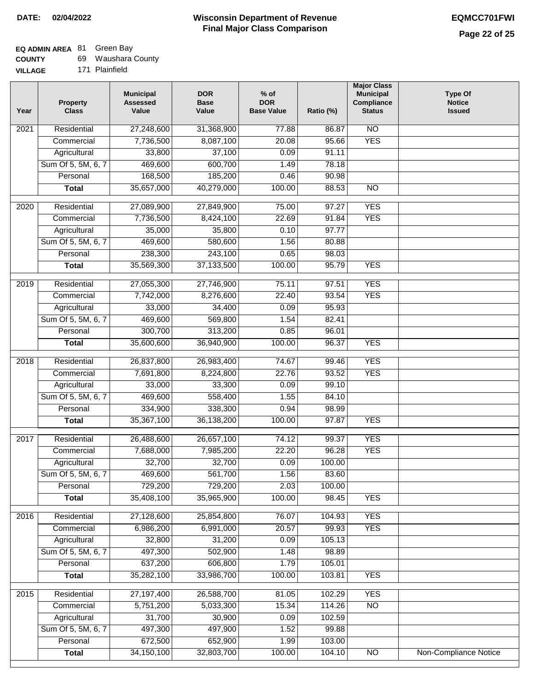# **EQ ADMIN AREA** 81 Green Bay

| <b>COUNTY</b> |  | Waushara County |
|---------------|--|-----------------|
|---------------|--|-----------------|

**VILLAGE** 171 Plainfield

| Year              | <b>Property</b><br><b>Class</b> | <b>Municipal</b><br><b>Assessed</b><br>Value | <b>DOR</b><br><b>Base</b><br>Value | % of<br><b>DOR</b><br><b>Base Value</b> | Ratio (%) | <b>Major Class</b><br><b>Municipal</b><br>Compliance<br><b>Status</b> | <b>Type Of</b><br><b>Notice</b><br><b>Issued</b> |
|-------------------|---------------------------------|----------------------------------------------|------------------------------------|-----------------------------------------|-----------|-----------------------------------------------------------------------|--------------------------------------------------|
| $\overline{202}1$ | Residential                     | 27,248,600                                   | 31,368,900                         | 77.88                                   | 86.87     | $\overline{NO}$                                                       |                                                  |
|                   | Commercial                      | 7,736,500                                    | 8,087,100                          | 20.08                                   | 95.66     | <b>YES</b>                                                            |                                                  |
|                   | Agricultural                    | 33,800                                       | 37,100                             | 0.09                                    | 91.11     |                                                                       |                                                  |
|                   | Sum Of 5, 5M, 6, 7              | 469,600                                      | 600,700                            | 1.49                                    | 78.18     |                                                                       |                                                  |
|                   | Personal                        | 168,500                                      | 185,200                            | 0.46                                    | 90.98     |                                                                       |                                                  |
|                   | <b>Total</b>                    | 35,657,000                                   | 40,279,000                         | 100.00                                  | 88.53     | $\overline{NO}$                                                       |                                                  |
| $\overline{2020}$ | Residential                     | 27,089,900                                   | 27,849,900                         | 75.00                                   | 97.27     | <b>YES</b>                                                            |                                                  |
|                   | Commercial                      | 7,736,500                                    | 8,424,100                          | 22.69                                   | 91.84     | <b>YES</b>                                                            |                                                  |
|                   | Agricultural                    | 35,000                                       | 35,800                             | 0.10                                    | 97.77     |                                                                       |                                                  |
|                   | Sum Of 5, 5M, 6, 7              | 469,600                                      | 580,600                            | 1.56                                    | 80.88     |                                                                       |                                                  |
|                   | Personal                        | 238,300                                      | 243,100                            | 0.65                                    | 98.03     |                                                                       |                                                  |
|                   | <b>Total</b>                    | 35,569,300                                   | 37,133,500                         | 100.00                                  | 95.79     | <b>YES</b>                                                            |                                                  |
| 2019              | Residential                     | 27,055,300                                   | 27,746,900                         | 75.11                                   | 97.51     | <b>YES</b>                                                            |                                                  |
|                   | Commercial                      | 7,742,000                                    | 8,276,600                          | 22.40                                   | 93.54     | <b>YES</b>                                                            |                                                  |
|                   | Agricultural                    | 33,000                                       | 34,400                             | 0.09                                    | 95.93     |                                                                       |                                                  |
|                   | Sum Of 5, 5M, 6, 7              | 469,600                                      | 569,800                            | 1.54                                    | 82.41     |                                                                       |                                                  |
|                   | Personal                        | 300,700                                      | 313,200                            | 0.85                                    | 96.01     |                                                                       |                                                  |
|                   | <b>Total</b>                    | 35,600,600                                   | 36,940,900                         | 100.00                                  | 96.37     | <b>YES</b>                                                            |                                                  |
| 2018              | Residential                     | 26,837,800                                   | 26,983,400                         | 74.67                                   | 99.46     | <b>YES</b>                                                            |                                                  |
|                   | Commercial                      | 7,691,800                                    | 8,224,800                          | 22.76                                   | 93.52     | <b>YES</b>                                                            |                                                  |
|                   | Agricultural                    | 33,000                                       | 33,300                             | 0.09                                    | 99.10     |                                                                       |                                                  |
|                   | Sum Of 5, 5M, 6, 7              | 469,600                                      | 558,400                            | 1.55                                    | 84.10     |                                                                       |                                                  |
|                   | Personal                        | 334,900                                      | 338,300                            | 0.94                                    | 98.99     |                                                                       |                                                  |
|                   | <b>Total</b>                    | 35,367,100                                   | 36,138,200                         | 100.00                                  | 97.87     | <b>YES</b>                                                            |                                                  |
| 2017              | Residential                     | 26,488,600                                   | 26,657,100                         | 74.12                                   | 99.37     | <b>YES</b>                                                            |                                                  |
|                   | Commercial                      | 7,688,000                                    | 7,985,200                          | 22.20                                   | 96.28     | <b>YES</b>                                                            |                                                  |
|                   | Agricultural                    | 32,700                                       | 32,700                             | 0.09                                    | 100.00    |                                                                       |                                                  |
|                   | Sum Of 5, 5M, 6, 7              | 469,600                                      | 561,700                            | 1.56                                    | 83.60     |                                                                       |                                                  |
|                   | Personal                        | 729,200                                      | 729,200                            | 2.03                                    | 100.00    |                                                                       |                                                  |
|                   | <b>Total</b>                    | 35,408,100                                   | 35,965,900                         | 100.00                                  | 98.45     | <b>YES</b>                                                            |                                                  |
| 2016              | Residential                     | 27,128,600                                   | 25,854,800                         | 76.07                                   | 104.93    | <b>YES</b>                                                            |                                                  |
|                   | Commercial                      | 6,986,200                                    | 6,991,000                          | 20.57                                   | 99.93     | <b>YES</b>                                                            |                                                  |
|                   | Agricultural                    | 32,800                                       | 31,200                             | 0.09                                    | 105.13    |                                                                       |                                                  |
|                   | Sum Of 5, 5M, 6, 7              | 497,300                                      | 502,900                            | 1.48                                    | 98.89     |                                                                       |                                                  |
|                   | Personal                        | 637,200                                      | 606,800                            | 1.79                                    | 105.01    |                                                                       |                                                  |
|                   | <b>Total</b>                    | 35,282,100                                   | 33,986,700                         | 100.00                                  | 103.81    | <b>YES</b>                                                            |                                                  |
| 2015              | Residential                     | 27,197,400                                   | 26,588,700                         | 81.05                                   | 102.29    | <b>YES</b>                                                            |                                                  |
|                   | Commercial                      | 5,751,200                                    | 5,033,300                          | 15.34                                   | 114.26    | $\overline{NO}$                                                       |                                                  |
|                   | Agricultural                    | 31,700                                       | 30,900                             | 0.09                                    | 102.59    |                                                                       |                                                  |
|                   | Sum Of 5, 5M, 6, 7              | 497,300                                      | 497,900                            | 1.52                                    | 99.88     |                                                                       |                                                  |
|                   | Personal                        | 672,500                                      | 652,900                            | 1.99                                    | 103.00    |                                                                       |                                                  |
|                   | <b>Total</b>                    | 34, 150, 100                                 | 32,803,700                         | 100.00                                  | 104.10    | N <sub>O</sub>                                                        | <b>Non-Compliance Notice</b>                     |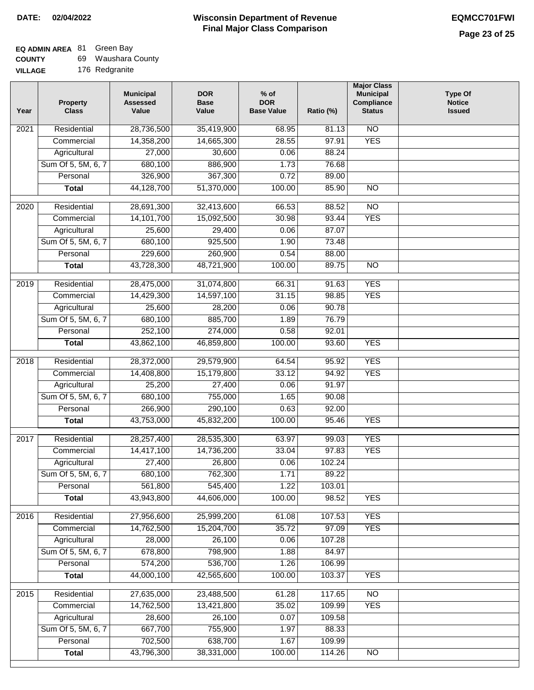# **EQ ADMIN AREA** 81 Green Bay

| <b>COUNTY</b> |  | 69 Waushara County |
|---------------|--|--------------------|
|---------------|--|--------------------|

**VILLAGE** 176 Redgranite

| Year              | <b>Property</b><br><b>Class</b> | <b>Municipal</b><br><b>Assessed</b><br>Value | <b>DOR</b><br><b>Base</b><br>Value | $%$ of<br><b>DOR</b><br><b>Base Value</b> | Ratio (%)       | <b>Major Class</b><br><b>Municipal</b><br>Compliance<br>Status | <b>Type Of</b><br><b>Notice</b><br><b>Issued</b> |
|-------------------|---------------------------------|----------------------------------------------|------------------------------------|-------------------------------------------|-----------------|----------------------------------------------------------------|--------------------------------------------------|
| $\overline{202}1$ | Residential                     | 28,736,500                                   | 35,419,900                         | 68.95                                     | 81.13           | N <sub>O</sub>                                                 |                                                  |
|                   | Commercial                      | 14,358,200                                   | 14,665,300                         | 28.55                                     | 97.91           | <b>YES</b>                                                     |                                                  |
|                   | Agricultural                    | 27,000                                       | 30,600                             | 0.06                                      | 88.24           |                                                                |                                                  |
|                   | Sum Of 5, 5M, 6, 7              | 680,100                                      | 886,900                            | 1.73                                      | 76.68           |                                                                |                                                  |
|                   | Personal                        | 326,900                                      | 367,300                            | 0.72                                      | 89.00           |                                                                |                                                  |
|                   | <b>Total</b>                    | 44,128,700                                   | 51,370,000                         | 100.00                                    | 85.90           | $\overline{NO}$                                                |                                                  |
| $\overline{2020}$ | Residential                     | 28,691,300                                   | 32,413,600                         | 66.53                                     | 88.52           | $\overline{NO}$                                                |                                                  |
|                   | Commercial                      | 14,101,700                                   | 15,092,500                         | 30.98                                     | 93.44           | <b>YES</b>                                                     |                                                  |
|                   | Agricultural                    | 25,600                                       | 29,400                             | 0.06                                      | 87.07           |                                                                |                                                  |
|                   | Sum Of 5, 5M, 6, 7              | 680,100                                      | 925,500                            | 1.90                                      | 73.48           |                                                                |                                                  |
|                   | Personal                        | 229,600                                      | 260,900                            | 0.54                                      | 88.00           |                                                                |                                                  |
|                   | <b>Total</b>                    | 43,728,300                                   | 48,721,900                         | 100.00                                    | 89.75           | $\overline{NO}$                                                |                                                  |
|                   |                                 |                                              |                                    |                                           |                 |                                                                |                                                  |
| 2019              | Residential                     | 28,475,000                                   | 31,074,800                         | 66.31                                     | 91.63           | <b>YES</b>                                                     |                                                  |
|                   | Commercial                      | 14,429,300                                   | 14,597,100                         | 31.15                                     | 98.85           | <b>YES</b>                                                     |                                                  |
|                   | Agricultural                    | 25,600                                       | 28,200                             | 0.06                                      | 90.78           |                                                                |                                                  |
|                   | Sum Of 5, 5M, 6, 7              | 680,100                                      | 885,700                            | 1.89                                      | 76.79           |                                                                |                                                  |
|                   | Personal                        | 252,100                                      | 274,000                            | 0.58<br>100.00                            | 92.01           | <b>YES</b>                                                     |                                                  |
|                   | <b>Total</b>                    | 43,862,100                                   | 46,859,800                         |                                           | 93.60           |                                                                |                                                  |
| 2018              | Residential                     | 28,372,000                                   | 29,579,900                         | 64.54                                     | 95.92           | <b>YES</b>                                                     |                                                  |
|                   | Commercial                      | 14,408,800                                   | 15,179,800                         | 33.12                                     | 94.92           | <b>YES</b>                                                     |                                                  |
|                   | Agricultural                    | 25,200                                       | 27,400                             | 0.06                                      | 91.97           |                                                                |                                                  |
|                   | Sum Of 5, 5M, 6, 7              | 680,100                                      | 755,000                            | 1.65                                      | 90.08           |                                                                |                                                  |
|                   | Personal                        | 266,900                                      | 290,100                            | 0.63                                      | 92.00           |                                                                |                                                  |
|                   | <b>Total</b>                    | 43,753,000                                   | 45,832,200                         | 100.00                                    | 95.46           | <b>YES</b>                                                     |                                                  |
| 2017              | Residential                     | 28,257,400                                   | 28,535,300                         | 63.97                                     | 99.03           | <b>YES</b>                                                     |                                                  |
|                   | Commercial                      | 14,417,100                                   | 14,736,200                         | 33.04                                     | 97.83           | <b>YES</b>                                                     |                                                  |
|                   | Agricultural                    | 27,400                                       | 26,800                             | 0.06                                      | 102.24          |                                                                |                                                  |
|                   | Sum Of 5, 5M, 6, 7              | 680,100                                      | 762,300                            | 1.71                                      | 89.22           |                                                                |                                                  |
|                   | Personal                        | 561,800                                      | 545,400                            | 1.22                                      | 103.01          |                                                                |                                                  |
|                   | <b>Total</b>                    | 43,943,800                                   | 44,606,000                         | 100.00                                    | 98.52           | <b>YES</b>                                                     |                                                  |
|                   |                                 |                                              |                                    |                                           |                 |                                                                |                                                  |
| 2016              | Residential                     | 27,956,600                                   | 25,999,200                         | 61.08                                     | 107.53          | <b>YES</b>                                                     |                                                  |
|                   | Commercial<br>Agricultural      | 14,762,500<br>28,000                         | 15,204,700<br>26,100               | 35.72<br>0.06                             | 97.09<br>107.28 | <b>YES</b>                                                     |                                                  |
|                   | Sum Of 5, 5M, 6, 7              | 678,800                                      | 798,900                            | 1.88                                      | 84.97           |                                                                |                                                  |
|                   | Personal                        | 574,200                                      | 536,700                            | 1.26                                      | 106.99          |                                                                |                                                  |
|                   | <b>Total</b>                    | 44,000,100                                   | 42,565,600                         | 100.00                                    | 103.37          | <b>YES</b>                                                     |                                                  |
|                   |                                 |                                              |                                    |                                           |                 |                                                                |                                                  |
| 2015              | Residential                     | 27,635,000                                   | 23,488,500                         | 61.28                                     | 117.65          | <b>NO</b>                                                      |                                                  |
|                   | Commercial                      | 14,762,500                                   | 13,421,800                         | 35.02                                     | 109.99          | <b>YES</b>                                                     |                                                  |
|                   | Agricultural                    | 28,600                                       | 26,100                             | 0.07                                      | 109.58          |                                                                |                                                  |
|                   | Sum Of 5, 5M, 6, 7              | 667,700                                      | 755,900                            | 1.97                                      | 88.33           |                                                                |                                                  |
|                   | Personal                        | 702,500                                      | 638,700                            | 1.67                                      | 109.99          |                                                                |                                                  |
|                   | <b>Total</b>                    | 43,796,300                                   | 38,331,000                         | 100.00                                    | 114.26          | NO                                                             |                                                  |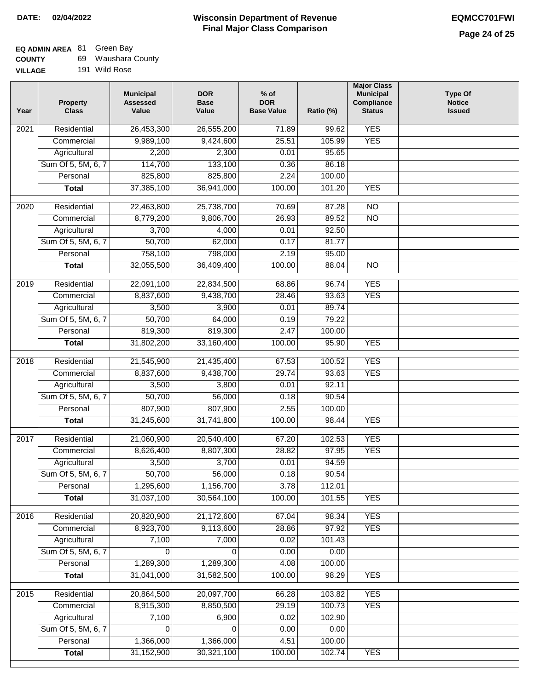| <b>COUNTY</b>  | 69 Waushara County |
|----------------|--------------------|
| <b>VILLAGE</b> | 191 Wild Rose      |

| Year              | <b>Property</b><br><b>Class</b>    | <b>Municipal</b><br><b>Assessed</b><br>Value | <b>DOR</b><br><b>Base</b><br>Value | $%$ of<br><b>DOR</b><br><b>Base Value</b> | Ratio (%)      | <b>Major Class</b><br><b>Municipal</b><br>Compliance<br><b>Status</b> | <b>Type Of</b><br><b>Notice</b><br><b>Issued</b> |
|-------------------|------------------------------------|----------------------------------------------|------------------------------------|-------------------------------------------|----------------|-----------------------------------------------------------------------|--------------------------------------------------|
| 2021              | Residential                        | 26,453,300                                   | 26,555,200                         | 71.89                                     | 99.62          | <b>YES</b>                                                            |                                                  |
|                   | Commercial                         | 9,989,100                                    | 9,424,600                          | 25.51                                     | 105.99         | <b>YES</b>                                                            |                                                  |
|                   | Agricultural                       | 2,200                                        | 2,300                              | 0.01                                      | 95.65          |                                                                       |                                                  |
|                   | Sum Of 5, 5M, 6, 7                 | 114,700                                      | 133,100                            | 0.36                                      | 86.18          |                                                                       |                                                  |
|                   | Personal                           | 825,800                                      | 825,800                            | 2.24                                      | 100.00         |                                                                       |                                                  |
|                   | <b>Total</b>                       | 37,385,100                                   | 36,941,000                         | 100.00                                    | 101.20         | <b>YES</b>                                                            |                                                  |
| 2020              | Residential                        | 22,463,800                                   | 25,738,700                         | 70.69                                     | 87.28          | N <sub>O</sub>                                                        |                                                  |
|                   | Commercial                         | 8,779,200                                    | 9,806,700                          | 26.93                                     | 89.52          | $\overline{NO}$                                                       |                                                  |
|                   | Agricultural                       | 3,700                                        | 4,000                              | 0.01                                      | 92.50          |                                                                       |                                                  |
|                   | Sum Of 5, 5M, 6, 7                 | 50,700                                       | 62,000                             | 0.17                                      | 81.77          |                                                                       |                                                  |
|                   | Personal                           | 758,100                                      | 798,000                            | 2.19                                      | 95.00          |                                                                       |                                                  |
|                   | <b>Total</b>                       | 32,055,500                                   | 36,409,400                         | 100.00                                    | 88.04          | $\overline{NO}$                                                       |                                                  |
| 2019              | Residential                        | 22,091,100                                   | 22,834,500                         | 68.86                                     | 96.74          | <b>YES</b>                                                            |                                                  |
|                   | Commercial                         | 8,837,600                                    | 9,438,700                          | 28.46                                     | 93.63          | <b>YES</b>                                                            |                                                  |
|                   | Agricultural                       | 3,500                                        | 3,900                              | 0.01                                      | 89.74          |                                                                       |                                                  |
|                   | Sum Of 5, 5M, 6, 7                 | 50,700                                       | 64,000                             | 0.19                                      | 79.22          |                                                                       |                                                  |
|                   | Personal                           | 819,300                                      | 819,300                            | 2.47                                      | 100.00         |                                                                       |                                                  |
|                   | <b>Total</b>                       | 31,802,200                                   | 33,160,400                         | 100.00                                    | 95.90          | <b>YES</b>                                                            |                                                  |
| $\overline{2018}$ | Residential                        | 21,545,900                                   | 21,435,400                         | 67.53                                     | 100.52         | <b>YES</b>                                                            |                                                  |
|                   | Commercial                         | 8,837,600                                    | 9,438,700                          | 29.74                                     | 93.63          | <b>YES</b>                                                            |                                                  |
|                   | Agricultural                       | 3,500                                        | 3,800                              | 0.01                                      | 92.11          |                                                                       |                                                  |
|                   | Sum Of 5, 5M, 6, 7                 | 50,700                                       | 56,000                             | 0.18                                      | 90.54          |                                                                       |                                                  |
|                   | Personal                           | 807,900                                      | 807,900                            | 2.55                                      | 100.00         |                                                                       |                                                  |
|                   | <b>Total</b>                       | 31,245,600                                   | 31,741,800                         | 100.00                                    | 98.44          | <b>YES</b>                                                            |                                                  |
| 2017              | Residential                        | 21,060,900                                   | 20,540,400                         | 67.20                                     | 102.53         | <b>YES</b>                                                            |                                                  |
|                   | Commercial                         | 8,626,400                                    | 8,807,300                          | 28.82                                     | 97.95          | <b>YES</b>                                                            |                                                  |
|                   | Agricultural                       | 3,500                                        | 3,700                              | 0.01                                      | 94.59          |                                                                       |                                                  |
|                   | Sum Of 5, 5M, 6, 7                 | 50,700                                       | 56,000                             | 0.18                                      | 90.54          |                                                                       |                                                  |
|                   | Personal                           | 1,295,600                                    | 1,156,700                          | 3.78                                      | 112.01         |                                                                       |                                                  |
|                   | <b>Total</b>                       | 31,037,100                                   | 30,564,100                         | 100.00                                    | 101.55         | <b>YES</b>                                                            |                                                  |
|                   |                                    |                                              |                                    |                                           |                |                                                                       |                                                  |
| 2016              | Residential                        | 20,820,900                                   | 21,172,600                         | 67.04                                     | 98.34<br>97.92 | <b>YES</b><br><b>YES</b>                                              |                                                  |
|                   | Commercial                         | 8,923,700                                    | 9,113,600                          | 28.86                                     |                |                                                                       |                                                  |
|                   | Agricultural<br>Sum Of 5, 5M, 6, 7 | 7,100<br>0                                   | 7,000                              | 0.02<br>0.00                              | 101.43<br>0.00 |                                                                       |                                                  |
|                   | Personal                           | 1,289,300                                    | 1,289,300                          | 4.08                                      | 100.00         |                                                                       |                                                  |
|                   | <b>Total</b>                       | 31,041,000                                   | 31,582,500                         | 100.00                                    | 98.29          | <b>YES</b>                                                            |                                                  |
|                   |                                    |                                              |                                    |                                           |                |                                                                       |                                                  |
| $\overline{2015}$ | Residential                        | 20,864,500                                   | 20,097,700                         | 66.28                                     | 103.82         | <b>YES</b>                                                            |                                                  |
|                   | Commercial                         | 8,915,300                                    | 8,850,500                          | 29.19                                     | 100.73         | <b>YES</b>                                                            |                                                  |
|                   | Agricultural                       | 7,100                                        | 6,900                              | 0.02                                      | 102.90         |                                                                       |                                                  |
|                   | Sum Of 5, 5M, 6, 7                 | 0                                            | 0                                  | 0.00                                      | 0.00           |                                                                       |                                                  |
|                   | Personal                           | 1,366,000                                    | 1,366,000                          | 4.51                                      | 100.00         |                                                                       |                                                  |
|                   | <b>Total</b>                       | 31,152,900                                   | 30,321,100                         | 100.00                                    | 102.74         | <b>YES</b>                                                            |                                                  |